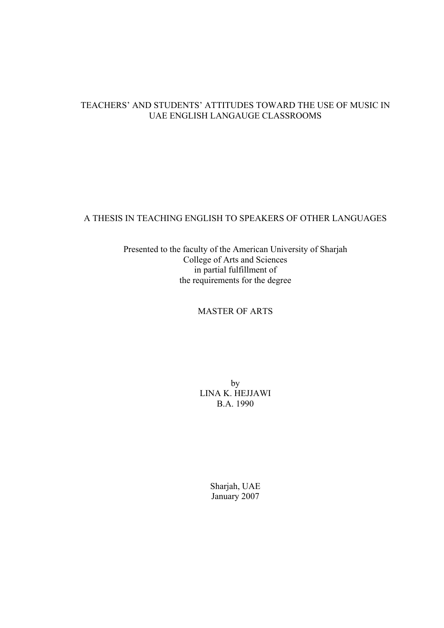# TEACHERS' AND STUDENTS' ATTITUDES TOWARD THE USE OF MUSIC IN UAE ENGLISH LANGAUGE CLASSROOMS

# A THESIS IN TEACHING ENGLISH TO SPEAKERS OF OTHER LANGUAGES

Presented to the faculty of the American University of Sharjah College of Arts and Sciences in partial fulfillment of the requirements for the degree

## MASTER OF ARTS

by LINA K. HEJJAWI B.A. 1990

> Sharjah, UAE January 2007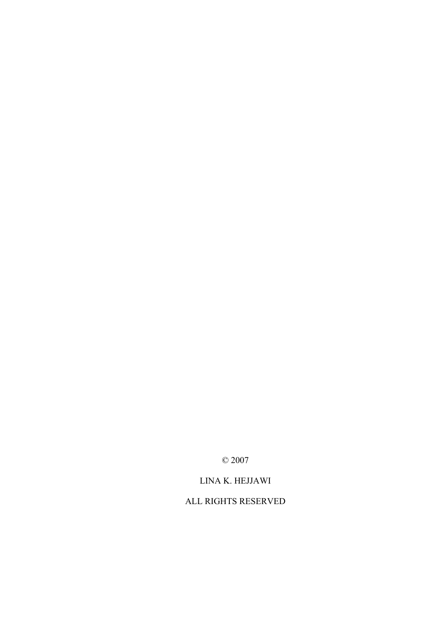© 2007

LINA K. HEJJAWI

ALL RIGHTS RESERVED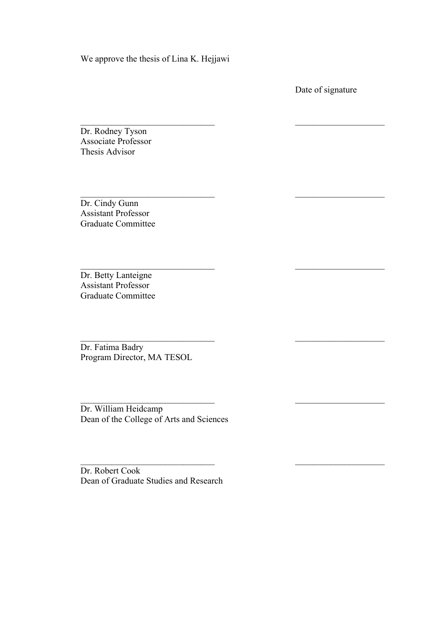We approve the thesis of Lina K. Hejjawi

 $\_$  , and the contribution of the contribution of  $\mathcal{L}_\mathbf{z}$ 

 $\_$  , and the contribution of the contribution of  $\mathcal{L}_\mathbf{z}$ 

 $\mathcal{L}_\text{max}$  and the contract of the contract of the contract of the contract of the contract of the contract of the contract of the contract of the contract of the contract of the contract of the contract of the contrac

 $\_$  , and the contribution of the contribution of  $\mathcal{L}_\mathbf{z}$ 

 $\_$  , and the contribution of the contribution of  $\mathcal{L}_\mathbf{z}$ 

 $\_$  , and the contribution of the contribution of  $\mathcal{L}_\mathbf{z}$ 

Date of signature

Dr. Rodney Tyson Associate Professor Thesis Advisor

Dr. Cindy Gunn Assistant Professor Graduate Committee

Dr. Betty Lanteigne Assistant Professor Graduate Committee

Dr. Fatima Badry Program Director, MA TESOL

Dr. William Heidcamp Dean of the College of Arts and Sciences

Dr. Robert Cook Dean of Graduate Studies and Research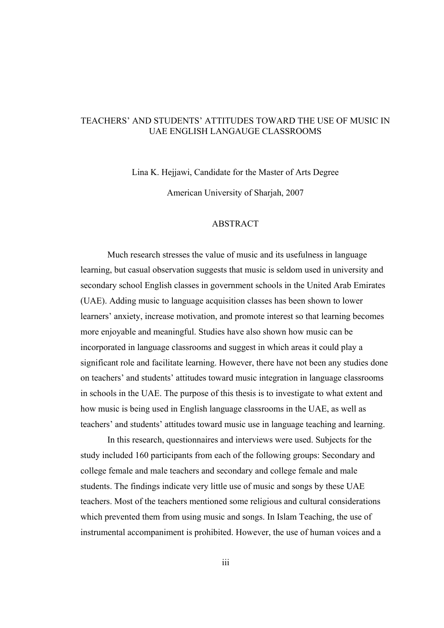## TEACHERS' AND STUDENTS' ATTITUDES TOWARD THE USE OF MUSIC IN UAE ENGLISH LANGAUGE CLASSROOMS

Lina K. Hejjawi, Candidate for the Master of Arts Degree

American University of Sharjah, 2007

### ABSTRACT

Much research stresses the value of music and its usefulness in language learning, but casual observation suggests that music is seldom used in university and secondary school English classes in government schools in the United Arab Emirates (UAE). Adding music to language acquisition classes has been shown to lower learners' anxiety, increase motivation, and promote interest so that learning becomes more enjoyable and meaningful. Studies have also shown how music can be incorporated in language classrooms and suggest in which areas it could play a significant role and facilitate learning. However, there have not been any studies done on teachers' and students' attitudes toward music integration in language classrooms in schools in the UAE. The purpose of this thesis is to investigate to what extent and how music is being used in English language classrooms in the UAE, as well as teachers' and students' attitudes toward music use in language teaching and learning.

In this research, questionnaires and interviews were used. Subjects for the study included 160 participants from each of the following groups: Secondary and college female and male teachers and secondary and college female and male students. The findings indicate very little use of music and songs by these UAE teachers. Most of the teachers mentioned some religious and cultural considerations which prevented them from using music and songs. In Islam Teaching, the use of instrumental accompaniment is prohibited. However, the use of human voices and a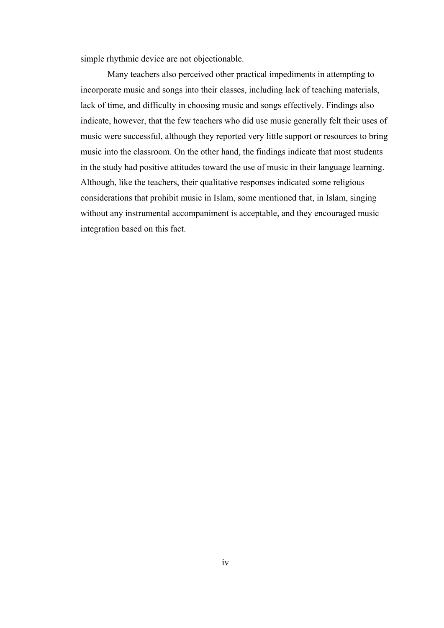simple rhythmic device are not objectionable.

Many teachers also perceived other practical impediments in attempting to incorporate music and songs into their classes, including lack of teaching materials, lack of time, and difficulty in choosing music and songs effectively. Findings also indicate, however, that the few teachers who did use music generally felt their uses of music were successful, although they reported very little support or resources to bring music into the classroom. On the other hand, the findings indicate that most students in the study had positive attitudes toward the use of music in their language learning. Although, like the teachers, their qualitative responses indicated some religious considerations that prohibit music in Islam, some mentioned that, in Islam, singing without any instrumental accompaniment is acceptable, and they encouraged music integration based on this fact.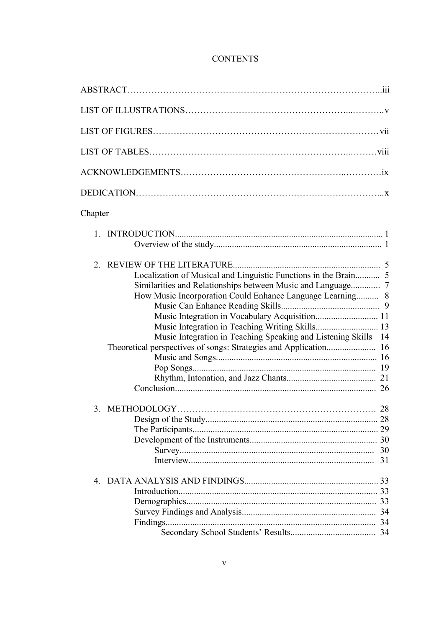# **CONTENTS**

| Chapter                                                                                                                                                                                         |    |
|-------------------------------------------------------------------------------------------------------------------------------------------------------------------------------------------------|----|
|                                                                                                                                                                                                 |    |
| 2 <sub>1</sub><br>How Music Incorporation Could Enhance Language Learning 8<br>Music Integration in Vocabulary Acquisition 11<br>Music Integration in Teaching Speaking and Listening Skills 14 |    |
|                                                                                                                                                                                                 | 31 |
|                                                                                                                                                                                                 |    |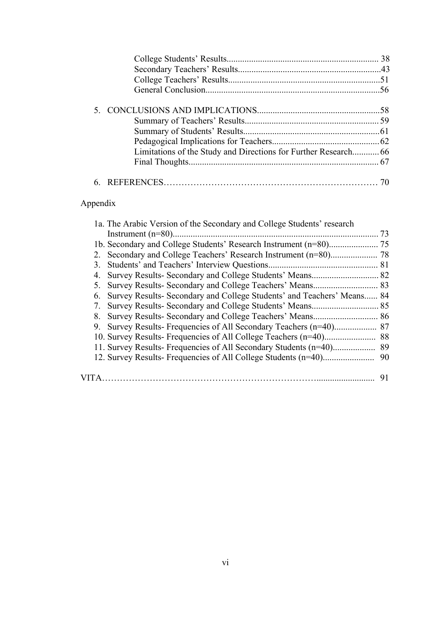# Appendix

|  | 1a. The Arabic Version of the Secondary and College Students' research    |    |
|--|---------------------------------------------------------------------------|----|
|  |                                                                           | 73 |
|  |                                                                           |    |
|  |                                                                           |    |
|  |                                                                           |    |
|  |                                                                           |    |
|  |                                                                           |    |
|  | 6. Survey Results- Secondary and College Students' and Teachers' Means 84 |    |
|  |                                                                           |    |
|  |                                                                           |    |
|  |                                                                           |    |
|  |                                                                           |    |
|  |                                                                           |    |
|  |                                                                           |    |
|  |                                                                           |    |
|  |                                                                           | 91 |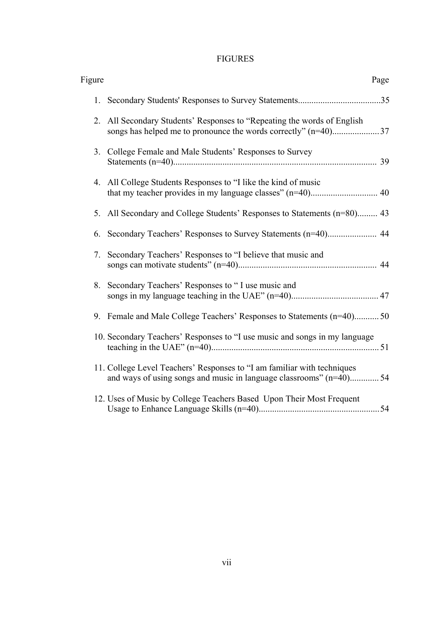# FIGURES

| Figure | Page                                                                                                                                           |  |
|--------|------------------------------------------------------------------------------------------------------------------------------------------------|--|
|        |                                                                                                                                                |  |
| 2.     | All Secondary Students' Responses to "Repeating the words of English                                                                           |  |
| 3.     | College Female and Male Students' Responses to Survey                                                                                          |  |
|        | 4. All College Students Responses to "I like the kind of music                                                                                 |  |
|        | 5. All Secondary and College Students' Responses to Statements (n=80) 43                                                                       |  |
| 6.     |                                                                                                                                                |  |
| 7.     | Secondary Teachers' Responses to "I believe that music and                                                                                     |  |
|        | 8. Secondary Teachers' Responses to "I use music and                                                                                           |  |
|        | 9. Female and Male College Teachers' Responses to Statements (n=40)50                                                                          |  |
|        | 10. Secondary Teachers' Responses to "I use music and songs in my language                                                                     |  |
|        | 11. College Level Teachers' Responses to "I am familiar with techniques<br>and ways of using songs and music in language classrooms" (n=40) 54 |  |
|        | 12. Uses of Music by College Teachers Based Upon Their Most Frequent                                                                           |  |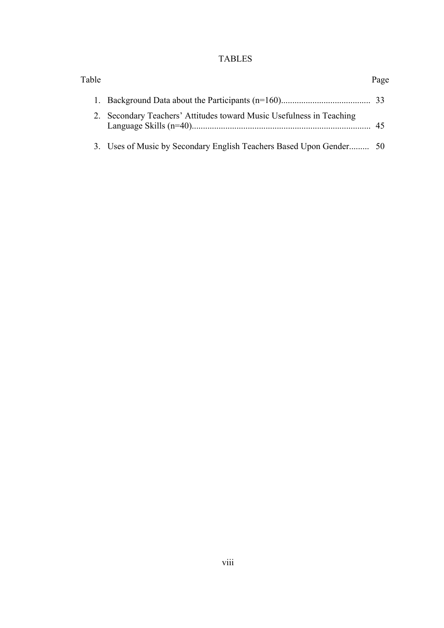# TABLES

| Table |                                                                      | Page |
|-------|----------------------------------------------------------------------|------|
|       |                                                                      |      |
|       | 2. Secondary Teachers' Attitudes toward Music Usefulness in Teaching | 45   |
|       | 3. Uses of Music by Secondary English Teachers Based Upon Gender 50  |      |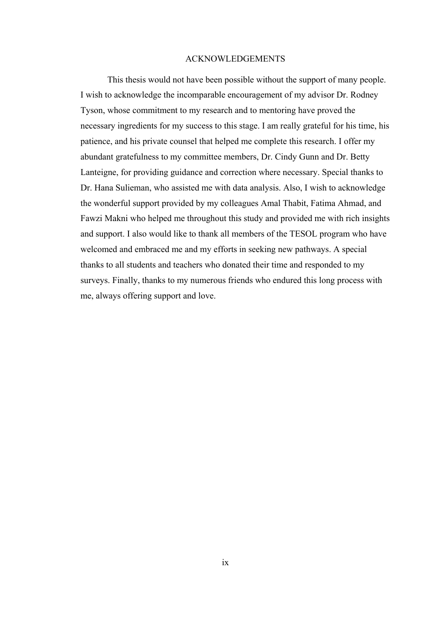#### ACKNOWLEDGEMENTS

This thesis would not have been possible without the support of many people. I wish to acknowledge the incomparable encouragement of my advisor Dr. Rodney Tyson, whose commitment to my research and to mentoring have proved the necessary ingredients for my success to this stage. I am really grateful for his time, his patience, and his private counsel that helped me complete this research. I offer my abundant gratefulness to my committee members, Dr. Cindy Gunn and Dr. Betty Lanteigne, for providing guidance and correction where necessary. Special thanks to Dr. Hana Sulieman, who assisted me with data analysis. Also, I wish to acknowledge the wonderful support provided by my colleagues Amal Thabit, Fatima Ahmad, and Fawzi Makni who helped me throughout this study and provided me with rich insights and support. I also would like to thank all members of the TESOL program who have welcomed and embraced me and my efforts in seeking new pathways. A special thanks to all students and teachers who donated their time and responded to my surveys. Finally, thanks to my numerous friends who endured this long process with me, always offering support and love.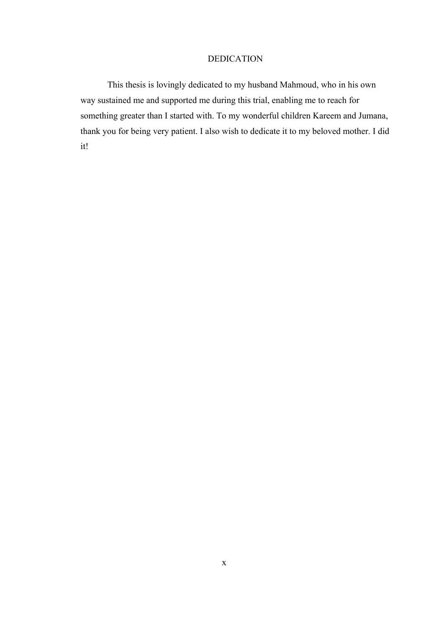### DEDICATION

This thesis is lovingly dedicated to my husband Mahmoud, who in his own way sustained me and supported me during this trial, enabling me to reach for something greater than I started with. To my wonderful children Kareem and Jumana, thank you for being very patient. I also wish to dedicate it to my beloved mother. I did it!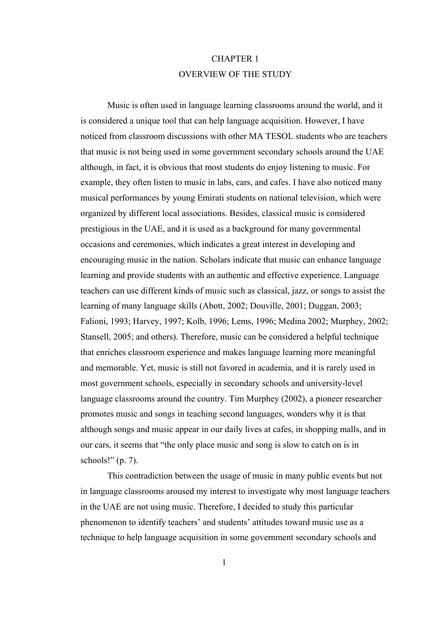# CHAPTER 1 OVERVIEW OF THE STUDY

 Music is often used in language learning classrooms around the world, and it is considered a unique tool that can help language acquisition. However, I have noticed from classroom discussions with other MA TESOL students who are teachers that music is not being used in some government secondary schools around the UAE although, in fact, it is obvious that most students do enjoy listening to music. For example, they often listen to music in labs, cars, and cafes. I have also noticed many musical performances by young Emirati students on national television, which were organized by different local associations. Besides, classical music is considered prestigious in the UAE, and it is used as a background for many governmental occasions and ceremonies, which indicates a great interest in developing and encouraging music in the nation. Scholars indicate that music can enhance language learning and provide students with an authentic and effective experience. Language teachers can use different kinds of music such as classical, jazz, or songs to assist the learning of many language skills (Abott, 2002; Douville, 2001; Duggan, 2003; Falioni, 1993; Harvey, 1997; Kolb, 1996; Lems, 1996; Medina 2002; Murphey, 2002; Stansell, 2005; and others). Therefore, music can be considered a helpful technique that enriches classroom experience and makes language learning more meaningful and memorable. Yet, music is still not favored in academia, and it is rarely used in most government schools, especially in secondary schools and university-level language classrooms around the country. Tim Murphey (2002), a pioneer researcher promotes music and songs in teaching second languages, wonders why it is that although songs and music appear in our daily lives at cafes, in shopping malls, and in our cars, it seems that "the only place music and song is slow to catch on is in schools!"  $(p. 7)$ .

This contradiction between the usage of music in many public events but not in language classrooms aroused my interest to investigate why most language teachers in the UAE are not using music. Therefore, I decided to study this particular phenomenon to identify teachers' and students' attitudes toward music use as a technique to help language acquisition in some government secondary schools and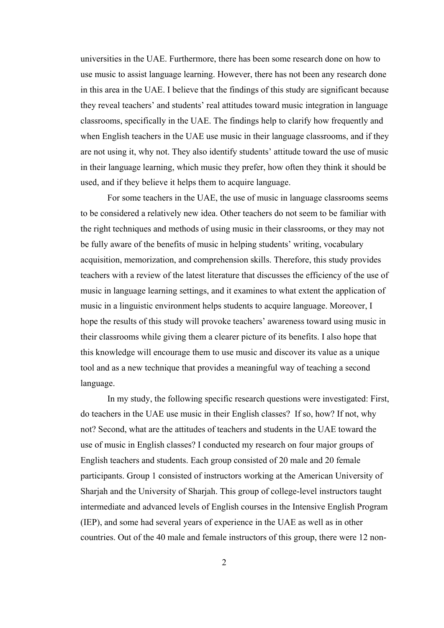universities in the UAE. Furthermore, there has been some research done on how to use music to assist language learning. However, there has not been any research done in this area in the UAE. I believe that the findings of this study are significant because they reveal teachers' and students' real attitudes toward music integration in language classrooms, specifically in the UAE. The findings help to clarify how frequently and when English teachers in the UAE use music in their language classrooms, and if they are not using it, why not. They also identify students' attitude toward the use of music in their language learning, which music they prefer, how often they think it should be used, and if they believe it helps them to acquire language.

For some teachers in the UAE, the use of music in language classrooms seems to be considered a relatively new idea. Other teachers do not seem to be familiar with the right techniques and methods of using music in their classrooms, or they may not be fully aware of the benefits of music in helping students' writing, vocabulary acquisition, memorization, and comprehension skills. Therefore, this study provides teachers with a review of the latest literature that discusses the efficiency of the use of music in language learning settings, and it examines to what extent the application of music in a linguistic environment helps students to acquire language. Moreover, I hope the results of this study will provoke teachers' awareness toward using music in their classrooms while giving them a clearer picture of its benefits. I also hope that this knowledge will encourage them to use music and discover its value as a unique tool and as a new technique that provides a meaningful way of teaching a second language.

In my study, the following specific research questions were investigated: First, do teachers in the UAE use music in their English classes? If so, how? If not, why not? Second, what are the attitudes of teachers and students in the UAE toward the use of music in English classes? I conducted my research on four major groups of English teachers and students. Each group consisted of 20 male and 20 female participants. Group 1 consisted of instructors working at the American University of Sharjah and the University of Sharjah. This group of college-level instructors taught intermediate and advanced levels of English courses in the Intensive English Program (IEP), and some had several years of experience in the UAE as well as in other countries. Out of the 40 male and female instructors of this group, there were 12 non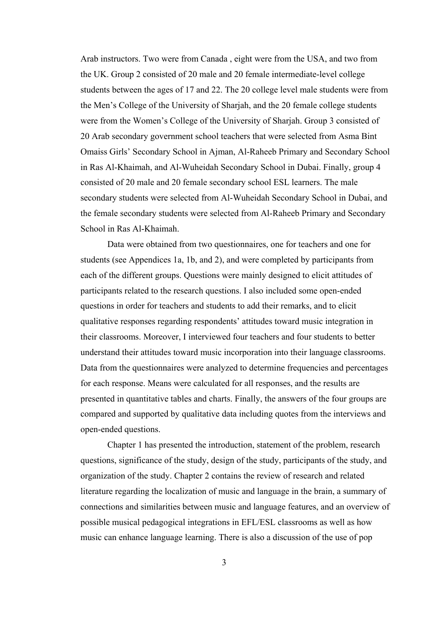Arab instructors. Two were from Canada , eight were from the USA, and two from the UK. Group 2 consisted of 20 male and 20 female intermediate-level college students between the ages of 17 and 22. The 20 college level male students were from the Men's College of the University of Sharjah, and the 20 female college students were from the Women's College of the University of Sharjah. Group 3 consisted of 20 Arab secondary government school teachers that were selected from Asma Bint Omaiss Girls' Secondary School in Ajman, Al-Raheeb Primary and Secondary School in Ras Al-Khaimah, and Al-Wuheidah Secondary School in Dubai. Finally, group 4 consisted of 20 male and 20 female secondary school ESL learners. The male secondary students were selected from Al-Wuheidah Secondary School in Dubai, and the female secondary students were selected from Al-Raheeb Primary and Secondary School in Ras Al-Khaimah.

Data were obtained from two questionnaires, one for teachers and one for students (see Appendices 1a, 1b, and 2), and were completed by participants from each of the different groups. Questions were mainly designed to elicit attitudes of participants related to the research questions. I also included some open-ended questions in order for teachers and students to add their remarks, and to elicit qualitative responses regarding respondents' attitudes toward music integration in their classrooms. Moreover, I interviewed four teachers and four students to better understand their attitudes toward music incorporation into their language classrooms. Data from the questionnaires were analyzed to determine frequencies and percentages for each response. Means were calculated for all responses, and the results are presented in quantitative tables and charts. Finally, the answers of the four groups are compared and supported by qualitative data including quotes from the interviews and open-ended questions.

Chapter 1 has presented the introduction, statement of the problem, research questions, significance of the study, design of the study, participants of the study, and organization of the study. Chapter 2 contains the review of research and related literature regarding the localization of music and language in the brain, a summary of connections and similarities between music and language features, and an overview of possible musical pedagogical integrations in EFL/ESL classrooms as well as how music can enhance language learning. There is also a discussion of the use of pop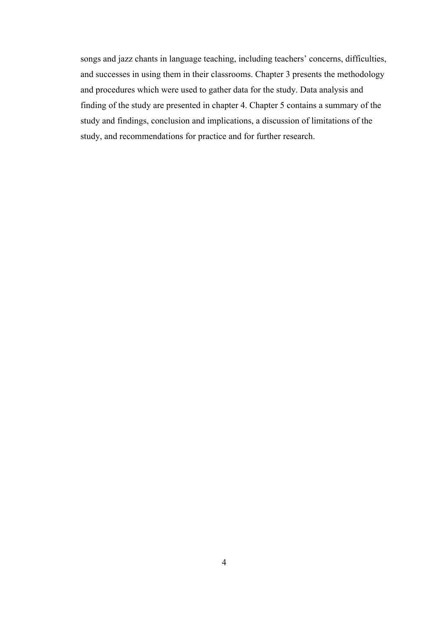songs and jazz chants in language teaching, including teachers' concerns, difficulties, and successes in using them in their classrooms. Chapter 3 presents the methodology and procedures which were used to gather data for the study. Data analysis and finding of the study are presented in chapter 4. Chapter 5 contains a summary of the study and findings, conclusion and implications, a discussion of limitations of the study, and recommendations for practice and for further research.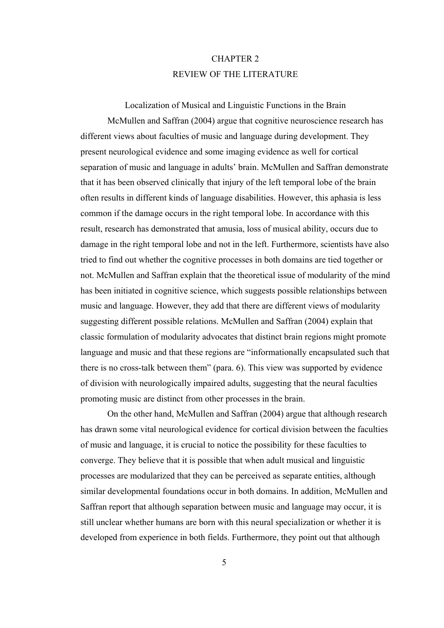# CHAPTER 2 REVIEW OF THE LITERATURE

Localization of Musical and Linguistic Functions in the Brain McMullen and Saffran (2004) argue that cognitive neuroscience research has different views about faculties of music and language during development. They present neurological evidence and some imaging evidence as well for cortical separation of music and language in adults' brain. McMullen and Saffran demonstrate that it has been observed clinically that injury of the left temporal lobe of the brain often results in different kinds of language disabilities. However, this aphasia is less common if the damage occurs in the right temporal lobe. In accordance with this result, research has demonstrated that amusia, loss of musical ability, occurs due to damage in the right temporal lobe and not in the left. Furthermore, scientists have also tried to find out whether the cognitive processes in both domains are tied together or not. McMullen and Saffran explain that the theoretical issue of modularity of the mind has been initiated in cognitive science, which suggests possible relationships between music and language. However, they add that there are different views of modularity suggesting different possible relations. McMullen and Saffran (2004) explain that classic formulation of modularity advocates that distinct brain regions might promote language and music and that these regions are "informationally encapsulated such that there is no cross-talk between them" (para. 6). This view was supported by evidence of division with neurologically impaired adults, suggesting that the neural faculties promoting music are distinct from other processes in the brain.

On the other hand, McMullen and Saffran (2004) argue that although research has drawn some vital neurological evidence for cortical division between the faculties of music and language, it is crucial to notice the possibility for these faculties to converge. They believe that it is possible that when adult musical and linguistic processes are modularized that they can be perceived as separate entities, although similar developmental foundations occur in both domains. In addition, McMullen and Saffran report that although separation between music and language may occur, it is still unclear whether humans are born with this neural specialization or whether it is developed from experience in both fields. Furthermore, they point out that although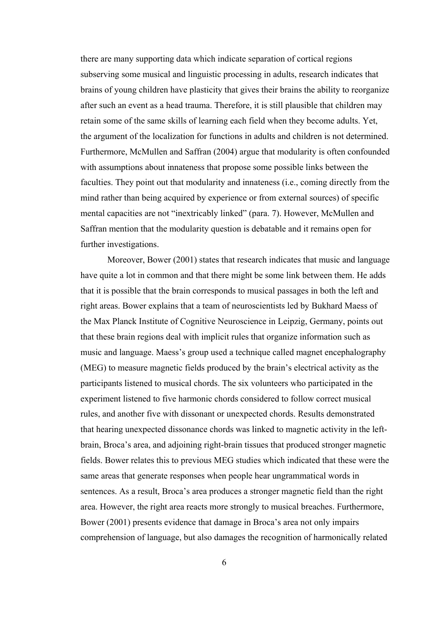there are many supporting data which indicate separation of cortical regions subserving some musical and linguistic processing in adults, research indicates that brains of young children have plasticity that gives their brains the ability to reorganize after such an event as a head trauma. Therefore, it is still plausible that children may retain some of the same skills of learning each field when they become adults. Yet, the argument of the localization for functions in adults and children is not determined. Furthermore, McMullen and Saffran (2004) argue that modularity is often confounded with assumptions about innateness that propose some possible links between the faculties. They point out that modularity and innateness (i.e., coming directly from the mind rather than being acquired by experience or from external sources) of specific mental capacities are not "inextricably linked" (para. 7). However, McMullen and Saffran mention that the modularity question is debatable and it remains open for further investigations.

Moreover, Bower (2001) states that research indicates that music and language have quite a lot in common and that there might be some link between them. He adds that it is possible that the brain corresponds to musical passages in both the left and right areas. Bower explains that a team of neuroscientists led by Bukhard Maess of the Max Planck Institute of Cognitive Neuroscience in Leipzig, Germany, points out that these brain regions deal with implicit rules that organize information such as music and language. Maess's group used a technique called magnet encephalography (MEG) to measure magnetic fields produced by the brain's electrical activity as the participants listened to musical chords. The six volunteers who participated in the experiment listened to five harmonic chords considered to follow correct musical rules, and another five with dissonant or unexpected chords. Results demonstrated that hearing unexpected dissonance chords was linked to magnetic activity in the leftbrain, Broca's area, and adjoining right-brain tissues that produced stronger magnetic fields. Bower relates this to previous MEG studies which indicated that these were the same areas that generate responses when people hear ungrammatical words in sentences. As a result, Broca's area produces a stronger magnetic field than the right area. However, the right area reacts more strongly to musical breaches. Furthermore, Bower (2001) presents evidence that damage in Broca's area not only impairs comprehension of language, but also damages the recognition of harmonically related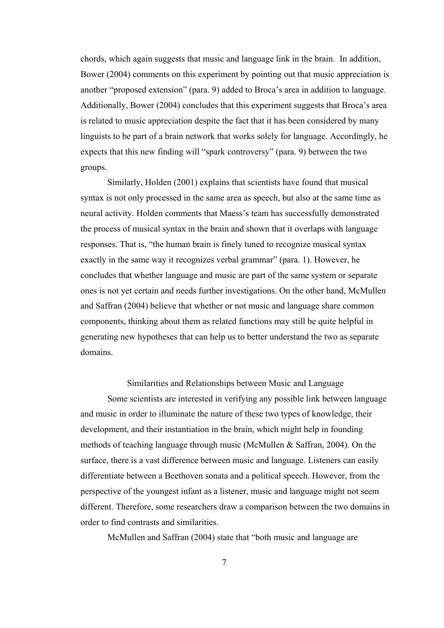chords, which again suggests that music and language link in the brain. In addition, Bower (2004) comments on this experiment by pointing out that music appreciation is another "proposed extension" (para. 9) added to Broca's area in addition to language. Additionally, Bower (2004) concludes that this experiment suggests that Broca's area is related to music appreciation despite the fact that it has been considered by many linguists to be part of a brain network that works solely for language. Accordingly, he expects that this new finding will "spark controversy" (para. 9) between the two groups.

Similarly, Holden (2001) explains that scientists have found that musical syntax is not only processed in the same area as speech, but also at the same time as neural activity. Holden comments that Maess's team has successfully demonstrated the process of musical syntax in the brain and shown that it overlaps with language responses. That is, "the human brain is finely tuned to recognize musical syntax exactly in the same way it recognizes verbal grammar" (para. 1). However, he concludes that whether language and music are part of the same system or separate ones is not yet certain and needs further investigations. On the other hand, McMullen and Saffran (2004) believe that whether or not music and language share common components, thinking about them as related functions may still be quite helpful in generating new hypotheses that can help us to better understand the two as separate domains.

Similarities and Relationships between Music and Language

Some scientists are interested in verifying any possible link between language and music in order to illuminate the nature of these two types of knowledge, their development, and their instantiation in the brain, which might help in founding methods of teaching language through music (McMullen & Saffran, 2004). On the surface, there is a vast difference between music and language. Listeners can easily differentiate between a Beethoven sonata and a political speech. However, from the perspective of the youngest infant as a listener, music and language might not seem different. Therefore, some researchers draw a comparison between the two domains in order to find contrasts and similarities.

McMullen and Saffran (2004) state that "both music and language are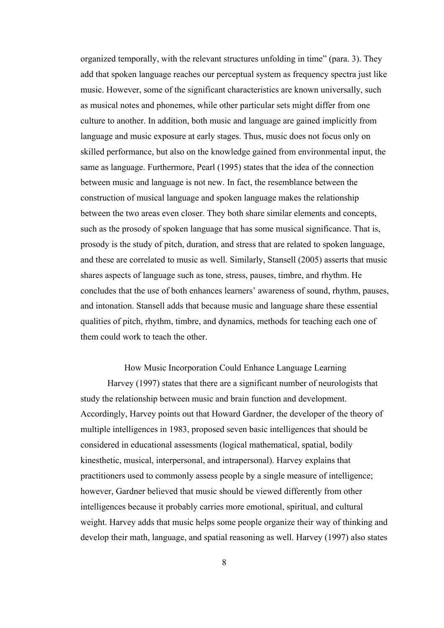organized temporally, with the relevant structures unfolding in time" (para. 3). They add that spoken language reaches our perceptual system as frequency spectra just like music. However, some of the significant characteristics are known universally, such as musical notes and phonemes, while other particular sets might differ from one culture to another. In addition, both music and language are gained implicitly from language and music exposure at early stages. Thus, music does not focus only on skilled performance, but also on the knowledge gained from environmental input, the same as language. Furthermore, Pearl (1995) states that the idea of the connection between music and language is not new. In fact, the resemblance between the construction of musical language and spoken language makes the relationship between the two areas even closer. They both share similar elements and concepts, such as the prosody of spoken language that has some musical significance. That is, prosody is the study of pitch, duration, and stress that are related to spoken language, and these are correlated to music as well. Similarly, Stansell (2005) asserts that music shares aspects of language such as tone, stress, pauses, timbre, and rhythm. He concludes that the use of both enhances learners' awareness of sound, rhythm, pauses, and intonation. Stansell adds that because music and language share these essential qualities of pitch, rhythm, timbre, and dynamics, methods for teaching each one of them could work to teach the other.

How Music Incorporation Could Enhance Language Learning Harvey (1997) states that there are a significant number of neurologists that study the relationship between music and brain function and development. Accordingly, Harvey points out that Howard Gardner, the developer of the theory of multiple intelligences in 1983, proposed seven basic intelligences that should be considered in educational assessments (logical mathematical, spatial, bodily kinesthetic, musical, interpersonal, and intrapersonal). Harvey explains that practitioners used to commonly assess people by a single measure of intelligence; however, Gardner believed that music should be viewed differently from other intelligences because it probably carries more emotional, spiritual, and cultural weight. Harvey adds that music helps some people organize their way of thinking and develop their math, language, and spatial reasoning as well. Harvey (1997) also states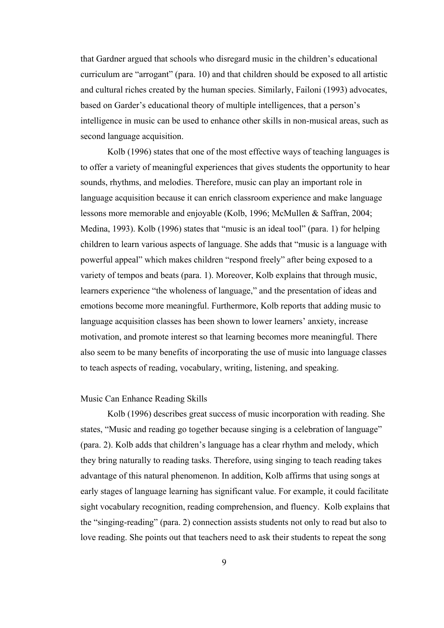that Gardner argued that schools who disregard music in the children's educational curriculum are "arrogant" (para. 10) and that children should be exposed to all artistic and cultural riches created by the human species. Similarly, Failoni (1993) advocates, based on Garder's educational theory of multiple intelligences, that a person's intelligence in music can be used to enhance other skills in non-musical areas, such as second language acquisition.

Kolb (1996) states that one of the most effective ways of teaching languages is to offer a variety of meaningful experiences that gives students the opportunity to hear sounds, rhythms, and melodies. Therefore, music can play an important role in language acquisition because it can enrich classroom experience and make language lessons more memorable and enjoyable (Kolb, 1996; McMullen & Saffran, 2004; Medina, 1993). Kolb (1996) states that "music is an ideal tool" (para. 1) for helping children to learn various aspects of language. She adds that "music is a language with powerful appeal" which makes children "respond freely" after being exposed to a variety of tempos and beats (para. 1). Moreover, Kolb explains that through music, learners experience "the wholeness of language," and the presentation of ideas and emotions become more meaningful. Furthermore, Kolb reports that adding music to language acquisition classes has been shown to lower learners' anxiety, increase motivation, and promote interest so that learning becomes more meaningful. There also seem to be many benefits of incorporating the use of music into language classes to teach aspects of reading, vocabulary, writing, listening, and speaking.

#### Music Can Enhance Reading Skills

Kolb (1996) describes great success of music incorporation with reading. She states, "Music and reading go together because singing is a celebration of language" (para. 2). Kolb adds that children's language has a clear rhythm and melody, which they bring naturally to reading tasks. Therefore, using singing to teach reading takes advantage of this natural phenomenon. In addition, Kolb affirms that using songs at early stages of language learning has significant value. For example, it could facilitate sight vocabulary recognition, reading comprehension, and fluency. Kolb explains that the "singing-reading" (para. 2) connection assists students not only to read but also to love reading. She points out that teachers need to ask their students to repeat the song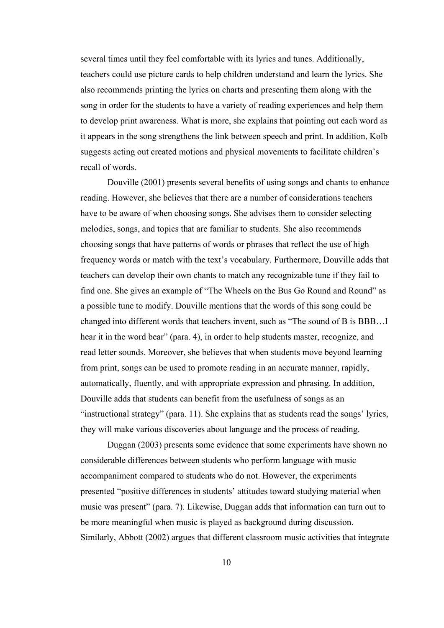several times until they feel comfortable with its lyrics and tunes. Additionally, teachers could use picture cards to help children understand and learn the lyrics. She also recommends printing the lyrics on charts and presenting them along with the song in order for the students to have a variety of reading experiences and help them to develop print awareness. What is more, she explains that pointing out each word as it appears in the song strengthens the link between speech and print. In addition, Kolb suggests acting out created motions and physical movements to facilitate children's recall of words.

 Douville (2001) presents several benefits of using songs and chants to enhance reading. However, she believes that there are a number of considerations teachers have to be aware of when choosing songs. She advises them to consider selecting melodies, songs, and topics that are familiar to students. She also recommends choosing songs that have patterns of words or phrases that reflect the use of high frequency words or match with the text's vocabulary. Furthermore, Douville adds that teachers can develop their own chants to match any recognizable tune if they fail to find one. She gives an example of "The Wheels on the Bus Go Round and Round" as a possible tune to modify. Douville mentions that the words of this song could be changed into different words that teachers invent, such as "The sound of B is BBB…I hear it in the word bear" (para. 4), in order to help students master, recognize, and read letter sounds. Moreover, she believes that when students move beyond learning from print, songs can be used to promote reading in an accurate manner, rapidly, automatically, fluently, and with appropriate expression and phrasing. In addition, Douville adds that students can benefit from the usefulness of songs as an "instructional strategy" (para. 11). She explains that as students read the songs' lyrics, they will make various discoveries about language and the process of reading.

Duggan (2003) presents some evidence that some experiments have shown no considerable differences between students who perform language with music accompaniment compared to students who do not. However, the experiments presented "positive differences in students' attitudes toward studying material when music was present" (para. 7). Likewise, Duggan adds that information can turn out to be more meaningful when music is played as background during discussion. Similarly, Abbott (2002) argues that different classroom music activities that integrate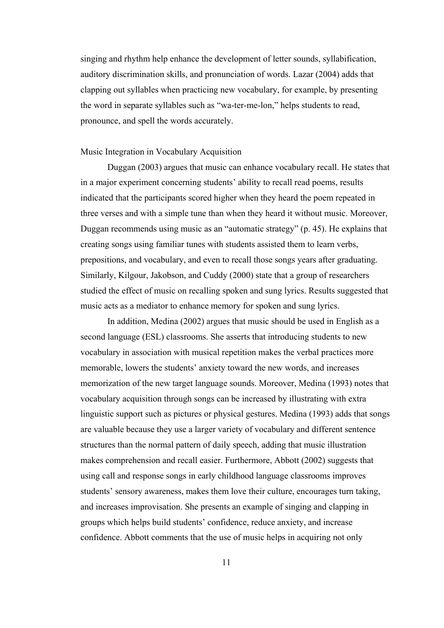singing and rhythm help enhance the development of letter sounds, syllabification, auditory discrimination skills, and pronunciation of words. Lazar (2004) adds that clapping out syllables when practicing new vocabulary, for example, by presenting the word in separate syllables such as "wa-ter-me-lon," helps students to read, pronounce, and spell the words accurately.

### Music Integration in Vocabulary Acquisition

Duggan (2003) argues that music can enhance vocabulary recall. He states that in a major experiment concerning students' ability to recall read poems, results indicated that the participants scored higher when they heard the poem repeated in three verses and with a simple tune than when they heard it without music. Moreover, Duggan recommends using music as an "automatic strategy" (p. 45). He explains that creating songs using familiar tunes with students assisted them to learn verbs, prepositions, and vocabulary, and even to recall those songs years after graduating. Similarly, Kilgour, Jakobson, and Cuddy (2000) state that a group of researchers studied the effect of music on recalling spoken and sung lyrics. Results suggested that music acts as a mediator to enhance memory for spoken and sung lyrics.

In addition, Medina (2002) argues that music should be used in English as a second language (ESL) classrooms. She asserts that introducing students to new vocabulary in association with musical repetition makes the verbal practices more memorable, lowers the students' anxiety toward the new words, and increases memorization of the new target language sounds. Moreover, Medina (1993) notes that vocabulary acquisition through songs can be increased by illustrating with extra linguistic support such as pictures or physical gestures. Medina (1993) adds that songs are valuable because they use a larger variety of vocabulary and different sentence structures than the normal pattern of daily speech, adding that music illustration makes comprehension and recall easier. Furthermore, Abbott (2002) suggests that using call and response songs in early childhood language classrooms improves students' sensory awareness, makes them love their culture, encourages turn taking, and increases improvisation. She presents an example of singing and clapping in groups which helps build students' confidence, reduce anxiety, and increase confidence. Abbott comments that the use of music helps in acquiring not only

11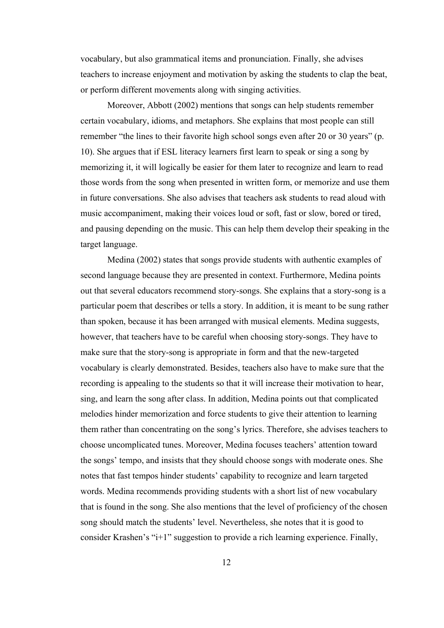vocabulary, but also grammatical items and pronunciation. Finally, she advises teachers to increase enjoyment and motivation by asking the students to clap the beat, or perform different movements along with singing activities.

Moreover, Abbott (2002) mentions that songs can help students remember certain vocabulary, idioms, and metaphors. She explains that most people can still remember "the lines to their favorite high school songs even after 20 or 30 years" (p. 10). She argues that if ESL literacy learners first learn to speak or sing a song by memorizing it, it will logically be easier for them later to recognize and learn to read those words from the song when presented in written form, or memorize and use them in future conversations. She also advises that teachers ask students to read aloud with music accompaniment, making their voices loud or soft, fast or slow, bored or tired, and pausing depending on the music. This can help them develop their speaking in the target language.

Medina (2002) states that songs provide students with authentic examples of second language because they are presented in context. Furthermore, Medina points out that several educators recommend story-songs. She explains that a story-song is a particular poem that describes or tells a story. In addition, it is meant to be sung rather than spoken, because it has been arranged with musical elements. Medina suggests, however, that teachers have to be careful when choosing story-songs. They have to make sure that the story-song is appropriate in form and that the new-targeted vocabulary is clearly demonstrated. Besides, teachers also have to make sure that the recording is appealing to the students so that it will increase their motivation to hear, sing, and learn the song after class. In addition, Medina points out that complicated melodies hinder memorization and force students to give their attention to learning them rather than concentrating on the song's lyrics. Therefore, she advises teachers to choose uncomplicated tunes. Moreover, Medina focuses teachers' attention toward the songs' tempo, and insists that they should choose songs with moderate ones. She notes that fast tempos hinder students' capability to recognize and learn targeted words. Medina recommends providing students with a short list of new vocabulary that is found in the song. She also mentions that the level of proficiency of the chosen song should match the students' level. Nevertheless, she notes that it is good to consider Krashen's "i+1" suggestion to provide a rich learning experience. Finally,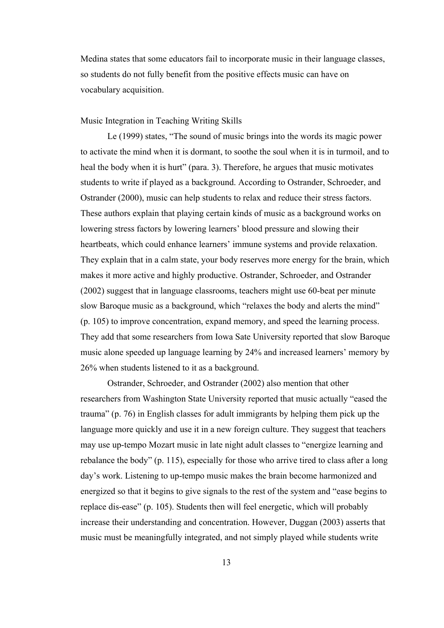Medina states that some educators fail to incorporate music in their language classes, so students do not fully benefit from the positive effects music can have on vocabulary acquisition.

Music Integration in Teaching Writing Skills

Le (1999) states, "The sound of music brings into the words its magic power to activate the mind when it is dormant, to soothe the soul when it is in turmoil, and to heal the body when it is hurt" (para. 3). Therefore, he argues that music motivates students to write if played as a background. According to Ostrander, Schroeder, and Ostrander (2000), music can help students to relax and reduce their stress factors. These authors explain that playing certain kinds of music as a background works on lowering stress factors by lowering learners' blood pressure and slowing their heartbeats, which could enhance learners' immune systems and provide relaxation. They explain that in a calm state, your body reserves more energy for the brain, which makes it more active and highly productive. Ostrander, Schroeder, and Ostrander (2002) suggest that in language classrooms, teachers might use 60-beat per minute slow Baroque music as a background, which "relaxes the body and alerts the mind" (p. 105) to improve concentration, expand memory, and speed the learning process. They add that some researchers from Iowa Sate University reported that slow Baroque music alone speeded up language learning by 24% and increased learners' memory by 26% when students listened to it as a background.

Ostrander, Schroeder, and Ostrander (2002) also mention that other researchers from Washington State University reported that music actually "eased the trauma" (p. 76) in English classes for adult immigrants by helping them pick up the language more quickly and use it in a new foreign culture. They suggest that teachers may use up-tempo Mozart music in late night adult classes to "energize learning and rebalance the body" (p. 115), especially for those who arrive tired to class after a long day's work. Listening to up-tempo music makes the brain become harmonized and energized so that it begins to give signals to the rest of the system and "ease begins to replace dis-ease" (p. 105). Students then will feel energetic, which will probably increase their understanding and concentration. However, Duggan (2003) asserts that music must be meaningfully integrated, and not simply played while students write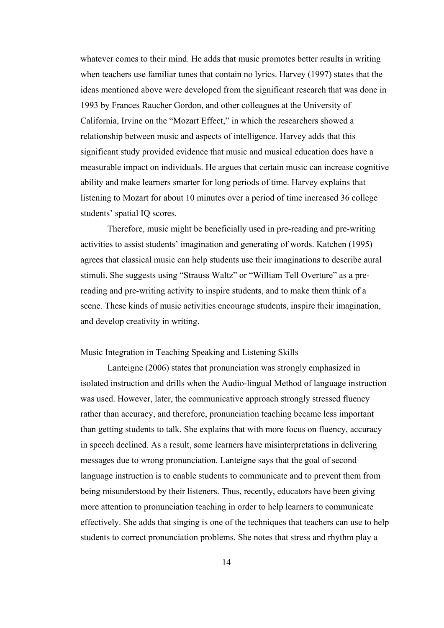whatever comes to their mind. He adds that music promotes better results in writing when teachers use familiar tunes that contain no lyrics. Harvey (1997) states that the ideas mentioned above were developed from the significant research that was done in 1993 by Frances Raucher Gordon, and other colleagues at the University of California, Irvine on the "Mozart Effect," in which the researchers showed a relationship between music and aspects of intelligence. Harvey adds that this significant study provided evidence that music and musical education does have a measurable impact on individuals. He argues that certain music can increase cognitive ability and make learners smarter for long periods of time. Harvey explains that listening to Mozart for about 10 minutes over a period of time increased 36 college students' spatial IQ scores.

Therefore, music might be beneficially used in pre-reading and pre-writing activities to assist students' imagination and generating of words. Katchen (1995) agrees that classical music can help students use their imaginations to describe aural stimuli. She suggests using "Strauss Waltz" or "William Tell Overture" as a prereading and pre-writing activity to inspire students, and to make them think of a scene. These kinds of music activities encourage students, inspire their imagination, and develop creativity in writing.

### Music Integration in Teaching Speaking and Listening Skills

Lanteigne (2006) states that pronunciation was strongly emphasized in isolated instruction and drills when the Audio-lingual Method of language instruction was used. However, later, the communicative approach strongly stressed fluency rather than accuracy, and therefore, pronunciation teaching became less important than getting students to talk. She explains that with more focus on fluency, accuracy in speech declined. As a result, some learners have misinterpretations in delivering messages due to wrong pronunciation. Lanteigne says that the goal of second language instruction is to enable students to communicate and to prevent them from being misunderstood by their listeners. Thus, recently, educators have been giving more attention to pronunciation teaching in order to help learners to communicate effectively. She adds that singing is one of the techniques that teachers can use to help students to correct pronunciation problems. She notes that stress and rhythm play a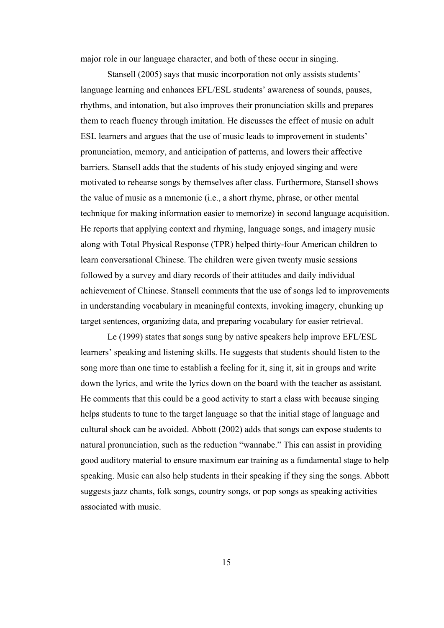major role in our language character, and both of these occur in singing.

Stansell (2005) says that music incorporation not only assists students' language learning and enhances EFL/ESL students' awareness of sounds, pauses, rhythms, and intonation, but also improves their pronunciation skills and prepares them to reach fluency through imitation. He discusses the effect of music on adult ESL learners and argues that the use of music leads to improvement in students' pronunciation, memory, and anticipation of patterns, and lowers their affective barriers. Stansell adds that the students of his study enjoyed singing and were motivated to rehearse songs by themselves after class. Furthermore, Stansell shows the value of music as a mnemonic (i.e., a short rhyme, phrase, or other mental technique for making information easier to memorize) in second language acquisition. He reports that applying context and rhyming, language songs, and imagery music along with Total Physical Response (TPR) helped thirty-four American children to learn conversational Chinese. The children were given twenty music sessions followed by a survey and diary records of their attitudes and daily individual achievement of Chinese. Stansell comments that the use of songs led to improvements in understanding vocabulary in meaningful contexts, invoking imagery, chunking up target sentences, organizing data, and preparing vocabulary for easier retrieval.

Le (1999) states that songs sung by native speakers help improve EFL/ESL learners' speaking and listening skills. He suggests that students should listen to the song more than one time to establish a feeling for it, sing it, sit in groups and write down the lyrics, and write the lyrics down on the board with the teacher as assistant. He comments that this could be a good activity to start a class with because singing helps students to tune to the target language so that the initial stage of language and cultural shock can be avoided. Abbott (2002) adds that songs can expose students to natural pronunciation, such as the reduction "wannabe." This can assist in providing good auditory material to ensure maximum ear training as a fundamental stage to help speaking. Music can also help students in their speaking if they sing the songs. Abbott suggests jazz chants, folk songs, country songs, or pop songs as speaking activities associated with music.

15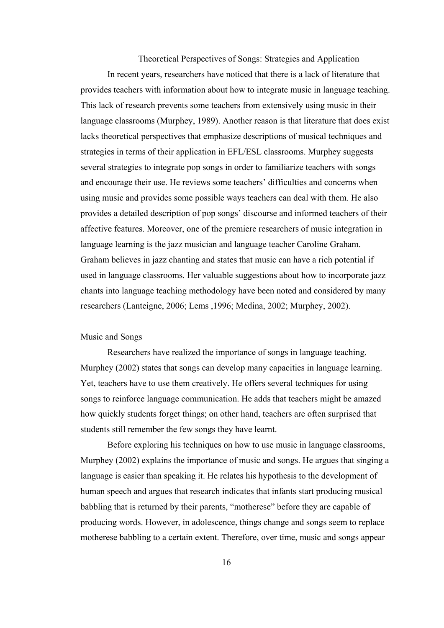Theoretical Perspectives of Songs: Strategies and Application

 In recent years, researchers have noticed that there is a lack of literature that provides teachers with information about how to integrate music in language teaching. This lack of research prevents some teachers from extensively using music in their language classrooms (Murphey, 1989). Another reason is that literature that does exist lacks theoretical perspectives that emphasize descriptions of musical techniques and strategies in terms of their application in EFL/ESL classrooms. Murphey suggests several strategies to integrate pop songs in order to familiarize teachers with songs and encourage their use. He reviews some teachers' difficulties and concerns when using music and provides some possible ways teachers can deal with them. He also provides a detailed description of pop songs' discourse and informed teachers of their affective features. Moreover, one of the premiere researchers of music integration in language learning is the jazz musician and language teacher Caroline Graham. Graham believes in jazz chanting and states that music can have a rich potential if used in language classrooms. Her valuable suggestions about how to incorporate jazz chants into language teaching methodology have been noted and considered by many researchers (Lanteigne, 2006; Lems ,1996; Medina, 2002; Murphey, 2002).

#### Music and Songs

 Researchers have realized the importance of songs in language teaching. Murphey (2002) states that songs can develop many capacities in language learning. Yet, teachers have to use them creatively. He offers several techniques for using songs to reinforce language communication. He adds that teachers might be amazed how quickly students forget things; on other hand, teachers are often surprised that students still remember the few songs they have learnt.

 Before exploring his techniques on how to use music in language classrooms, Murphey (2002) explains the importance of music and songs. He argues that singing a language is easier than speaking it. He relates his hypothesis to the development of human speech and argues that research indicates that infants start producing musical babbling that is returned by their parents, "motherese" before they are capable of producing words. However, in adolescence, things change and songs seem to replace motherese babbling to a certain extent. Therefore, over time, music and songs appear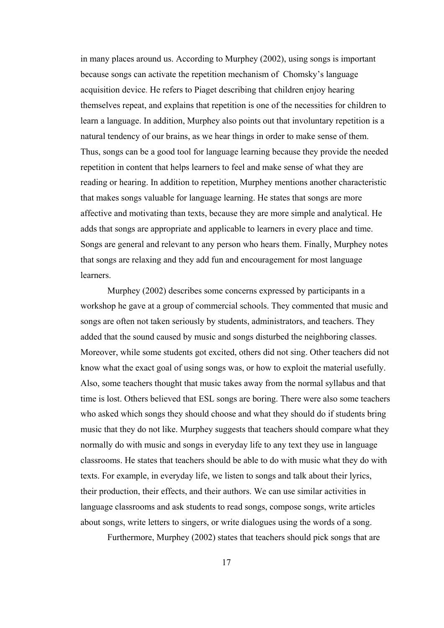in many places around us. According to Murphey (2002), using songs is important because songs can activate the repetition mechanism of Chomsky's language acquisition device. He refers to Piaget describing that children enjoy hearing themselves repeat, and explains that repetition is one of the necessities for children to learn a language. In addition, Murphey also points out that involuntary repetition is a natural tendency of our brains, as we hear things in order to make sense of them. Thus, songs can be a good tool for language learning because they provide the needed repetition in content that helps learners to feel and make sense of what they are reading or hearing. In addition to repetition, Murphey mentions another characteristic that makes songs valuable for language learning. He states that songs are more affective and motivating than texts, because they are more simple and analytical. He adds that songs are appropriate and applicable to learners in every place and time. Songs are general and relevant to any person who hears them. Finally, Murphey notes that songs are relaxing and they add fun and encouragement for most language learners.

 Murphey (2002) describes some concerns expressed by participants in a workshop he gave at a group of commercial schools. They commented that music and songs are often not taken seriously by students, administrators, and teachers. They added that the sound caused by music and songs disturbed the neighboring classes. Moreover, while some students got excited, others did not sing. Other teachers did not know what the exact goal of using songs was, or how to exploit the material usefully. Also, some teachers thought that music takes away from the normal syllabus and that time is lost. Others believed that ESL songs are boring. There were also some teachers who asked which songs they should choose and what they should do if students bring music that they do not like. Murphey suggests that teachers should compare what they normally do with music and songs in everyday life to any text they use in language classrooms. He states that teachers should be able to do with music what they do with texts. For example, in everyday life, we listen to songs and talk about their lyrics, their production, their effects, and their authors. We can use similar activities in language classrooms and ask students to read songs, compose songs, write articles about songs, write letters to singers, or write dialogues using the words of a song.

Furthermore, Murphey (2002) states that teachers should pick songs that are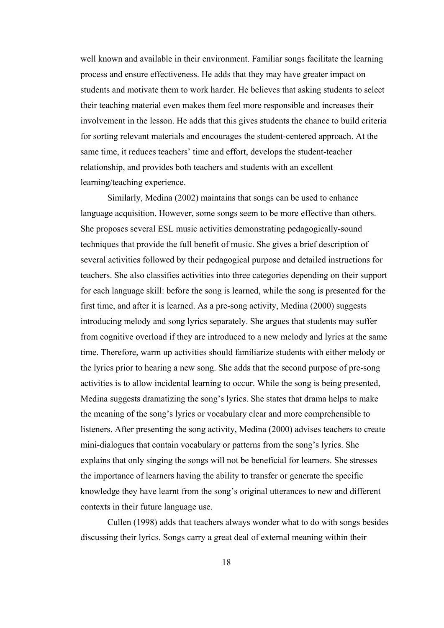well known and available in their environment. Familiar songs facilitate the learning process and ensure effectiveness. He adds that they may have greater impact on students and motivate them to work harder. He believes that asking students to select their teaching material even makes them feel more responsible and increases their involvement in the lesson. He adds that this gives students the chance to build criteria for sorting relevant materials and encourages the student-centered approach. At the same time, it reduces teachers' time and effort, develops the student-teacher relationship, and provides both teachers and students with an excellent learning/teaching experience.

 Similarly, Medina (2002) maintains that songs can be used to enhance language acquisition. However, some songs seem to be more effective than others. She proposes several ESL music activities demonstrating pedagogically-sound techniques that provide the full benefit of music. She gives a brief description of several activities followed by their pedagogical purpose and detailed instructions for teachers. She also classifies activities into three categories depending on their support for each language skill: before the song is learned, while the song is presented for the first time, and after it is learned. As a pre-song activity, Medina (2000) suggests introducing melody and song lyrics separately. She argues that students may suffer from cognitive overload if they are introduced to a new melody and lyrics at the same time. Therefore, warm up activities should familiarize students with either melody or the lyrics prior to hearing a new song. She adds that the second purpose of pre-song activities is to allow incidental learning to occur. While the song is being presented, Medina suggests dramatizing the song's lyrics. She states that drama helps to make the meaning of the song's lyrics or vocabulary clear and more comprehensible to listeners. After presenting the song activity, Medina (2000) advises teachers to create mini-dialogues that contain vocabulary or patterns from the song's lyrics. She explains that only singing the songs will not be beneficial for learners. She stresses the importance of learners having the ability to transfer or generate the specific knowledge they have learnt from the song's original utterances to new and different contexts in their future language use.

Cullen (1998) adds that teachers always wonder what to do with songs besides discussing their lyrics. Songs carry a great deal of external meaning within their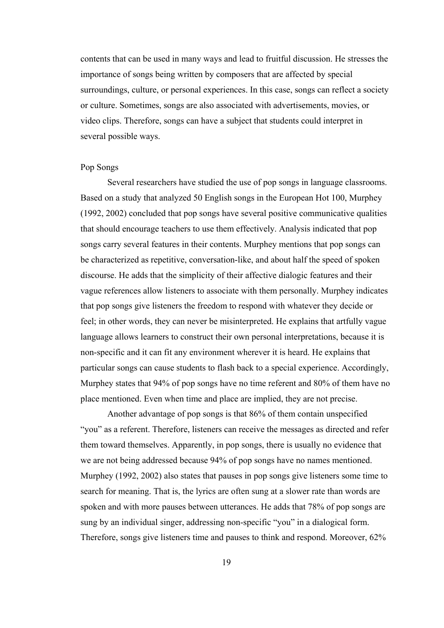contents that can be used in many ways and lead to fruitful discussion. He stresses the importance of songs being written by composers that are affected by special surroundings, culture, or personal experiences. In this case, songs can reflect a society or culture. Sometimes, songs are also associated with advertisements, movies, or video clips. Therefore, songs can have a subject that students could interpret in several possible ways.

#### Pop Songs

 Several researchers have studied the use of pop songs in language classrooms. Based on a study that analyzed 50 English songs in the European Hot 100, Murphey (1992, 2002) concluded that pop songs have several positive communicative qualities that should encourage teachers to use them effectively. Analysis indicated that pop songs carry several features in their contents. Murphey mentions that pop songs can be characterized as repetitive, conversation-like, and about half the speed of spoken discourse. He adds that the simplicity of their affective dialogic features and their vague references allow listeners to associate with them personally. Murphey indicates that pop songs give listeners the freedom to respond with whatever they decide or feel; in other words, they can never be misinterpreted. He explains that artfully vague language allows learners to construct their own personal interpretations, because it is non-specific and it can fit any environment wherever it is heard. He explains that particular songs can cause students to flash back to a special experience. Accordingly, Murphey states that 94% of pop songs have no time referent and 80% of them have no place mentioned. Even when time and place are implied, they are not precise.

 Another advantage of pop songs is that 86% of them contain unspecified "you" as a referent. Therefore, listeners can receive the messages as directed and refer them toward themselves. Apparently, in pop songs, there is usually no evidence that we are not being addressed because 94% of pop songs have no names mentioned. Murphey (1992, 2002) also states that pauses in pop songs give listeners some time to search for meaning. That is, the lyrics are often sung at a slower rate than words are spoken and with more pauses between utterances. He adds that 78% of pop songs are sung by an individual singer, addressing non-specific "you" in a dialogical form. Therefore, songs give listeners time and pauses to think and respond. Moreover, 62%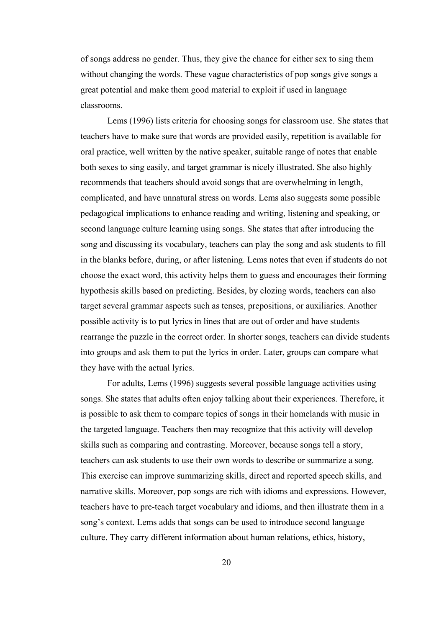of songs address no gender. Thus, they give the chance for either sex to sing them without changing the words. These vague characteristics of pop songs give songs a great potential and make them good material to exploit if used in language classrooms.

 Lems (1996) lists criteria for choosing songs for classroom use. She states that teachers have to make sure that words are provided easily, repetition is available for oral practice, well written by the native speaker, suitable range of notes that enable both sexes to sing easily, and target grammar is nicely illustrated. She also highly recommends that teachers should avoid songs that are overwhelming in length, complicated, and have unnatural stress on words. Lems also suggests some possible pedagogical implications to enhance reading and writing, listening and speaking, or second language culture learning using songs. She states that after introducing the song and discussing its vocabulary, teachers can play the song and ask students to fill in the blanks before, during, or after listening. Lems notes that even if students do not choose the exact word, this activity helps them to guess and encourages their forming hypothesis skills based on predicting. Besides, by clozing words, teachers can also target several grammar aspects such as tenses, prepositions, or auxiliaries. Another possible activity is to put lyrics in lines that are out of order and have students rearrange the puzzle in the correct order. In shorter songs, teachers can divide students into groups and ask them to put the lyrics in order. Later, groups can compare what they have with the actual lyrics.

 For adults, Lems (1996) suggests several possible language activities using songs. She states that adults often enjoy talking about their experiences. Therefore, it is possible to ask them to compare topics of songs in their homelands with music in the targeted language. Teachers then may recognize that this activity will develop skills such as comparing and contrasting. Moreover, because songs tell a story, teachers can ask students to use their own words to describe or summarize a song. This exercise can improve summarizing skills, direct and reported speech skills, and narrative skills. Moreover, pop songs are rich with idioms and expressions. However, teachers have to pre-teach target vocabulary and idioms, and then illustrate them in a song's context. Lems adds that songs can be used to introduce second language culture. They carry different information about human relations, ethics, history,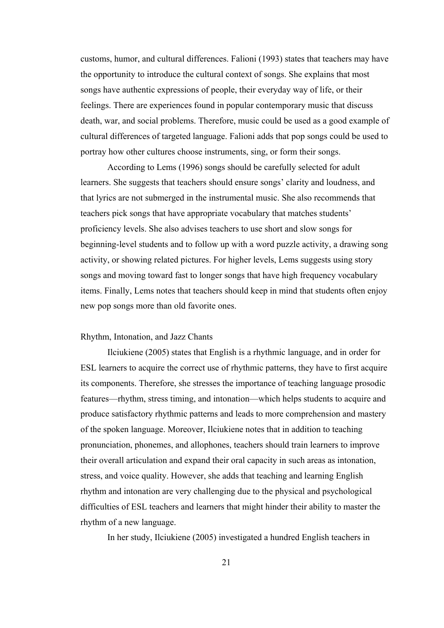customs, humor, and cultural differences. Falioni (1993) states that teachers may have the opportunity to introduce the cultural context of songs. She explains that most songs have authentic expressions of people, their everyday way of life, or their feelings. There are experiences found in popular contemporary music that discuss death, war, and social problems. Therefore, music could be used as a good example of cultural differences of targeted language. Falioni adds that pop songs could be used to portray how other cultures choose instruments, sing, or form their songs.

 According to Lems (1996) songs should be carefully selected for adult learners. She suggests that teachers should ensure songs' clarity and loudness, and that lyrics are not submerged in the instrumental music. She also recommends that teachers pick songs that have appropriate vocabulary that matches students' proficiency levels. She also advises teachers to use short and slow songs for beginning-level students and to follow up with a word puzzle activity, a drawing song activity, or showing related pictures. For higher levels, Lems suggests using story songs and moving toward fast to longer songs that have high frequency vocabulary items. Finally, Lems notes that teachers should keep in mind that students often enjoy new pop songs more than old favorite ones.

#### Rhythm, Intonation, and Jazz Chants

Ilciukiene (2005) states that English is a rhythmic language, and in order for ESL learners to acquire the correct use of rhythmic patterns, they have to first acquire its components. Therefore, she stresses the importance of teaching language prosodic features—rhythm, stress timing, and intonation—which helps students to acquire and produce satisfactory rhythmic patterns and leads to more comprehension and mastery of the spoken language. Moreover, Ilciukiene notes that in addition to teaching pronunciation, phonemes, and allophones, teachers should train learners to improve their overall articulation and expand their oral capacity in such areas as intonation, stress, and voice quality. However, she adds that teaching and learning English rhythm and intonation are very challenging due to the physical and psychological difficulties of ESL teachers and learners that might hinder their ability to master the rhythm of a new language.

In her study, Ilciukiene (2005) investigated a hundred English teachers in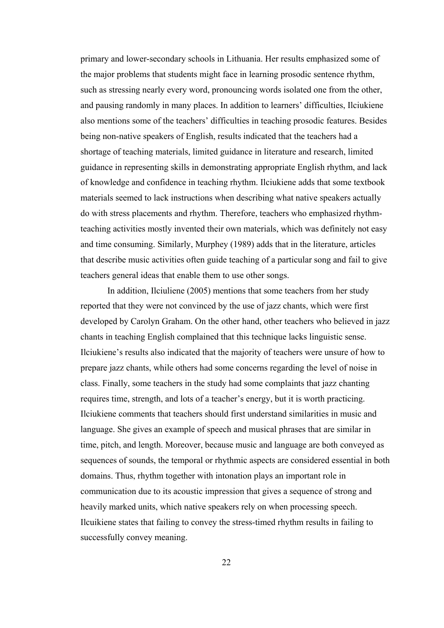primary and lower-secondary schools in Lithuania. Her results emphasized some of the major problems that students might face in learning prosodic sentence rhythm, such as stressing nearly every word, pronouncing words isolated one from the other, and pausing randomly in many places. In addition to learners' difficulties, Ilciukiene also mentions some of the teachers' difficulties in teaching prosodic features. Besides being non-native speakers of English, results indicated that the teachers had a shortage of teaching materials, limited guidance in literature and research, limited guidance in representing skills in demonstrating appropriate English rhythm, and lack of knowledge and confidence in teaching rhythm. Ilciukiene adds that some textbook materials seemed to lack instructions when describing what native speakers actually do with stress placements and rhythm. Therefore, teachers who emphasized rhythmteaching activities mostly invented their own materials, which was definitely not easy and time consuming. Similarly, Murphey (1989) adds that in the literature, articles that describe music activities often guide teaching of a particular song and fail to give teachers general ideas that enable them to use other songs.

In addition, Ilciuliene (2005) mentions that some teachers from her study reported that they were not convinced by the use of jazz chants, which were first developed by Carolyn Graham. On the other hand, other teachers who believed in jazz chants in teaching English complained that this technique lacks linguistic sense. Ilciukiene's results also indicated that the majority of teachers were unsure of how to prepare jazz chants, while others had some concerns regarding the level of noise in class. Finally, some teachers in the study had some complaints that jazz chanting requires time, strength, and lots of a teacher's energy, but it is worth practicing. Ilciukiene comments that teachers should first understand similarities in music and language. She gives an example of speech and musical phrases that are similar in time, pitch, and length. Moreover, because music and language are both conveyed as sequences of sounds, the temporal or rhythmic aspects are considered essential in both domains. Thus, rhythm together with intonation plays an important role in communication due to its acoustic impression that gives a sequence of strong and heavily marked units, which native speakers rely on when processing speech. Ilcuikiene states that failing to convey the stress-timed rhythm results in failing to successfully convey meaning.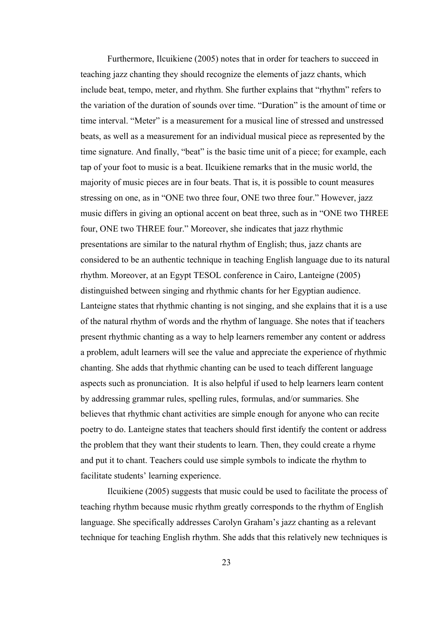Furthermore, Ilcuikiene (2005) notes that in order for teachers to succeed in teaching jazz chanting they should recognize the elements of jazz chants, which include beat, tempo, meter, and rhythm. She further explains that "rhythm" refers to the variation of the duration of sounds over time. "Duration" is the amount of time or time interval. "Meter" is a measurement for a musical line of stressed and unstressed beats, as well as a measurement for an individual musical piece as represented by the time signature. And finally, "beat" is the basic time unit of a piece; for example, each tap of your foot to music is a beat. Ilcuikiene remarks that in the music world, the majority of music pieces are in four beats. That is, it is possible to count measures stressing on one, as in "ONE two three four, ONE two three four." However, jazz music differs in giving an optional accent on beat three, such as in "ONE two THREE four, ONE two THREE four." Moreover, she indicates that jazz rhythmic presentations are similar to the natural rhythm of English; thus, jazz chants are considered to be an authentic technique in teaching English language due to its natural rhythm. Moreover, at an Egypt TESOL conference in Cairo, Lanteigne (2005) distinguished between singing and rhythmic chants for her Egyptian audience. Lanteigne states that rhythmic chanting is not singing, and she explains that it is a use of the natural rhythm of words and the rhythm of language. She notes that if teachers present rhythmic chanting as a way to help learners remember any content or address a problem, adult learners will see the value and appreciate the experience of rhythmic chanting. She adds that rhythmic chanting can be used to teach different language aspects such as pronunciation. It is also helpful if used to help learners learn content by addressing grammar rules, spelling rules, formulas, and/or summaries. She believes that rhythmic chant activities are simple enough for anyone who can recite poetry to do. Lanteigne states that teachers should first identify the content or address the problem that they want their students to learn. Then, they could create a rhyme and put it to chant. Teachers could use simple symbols to indicate the rhythm to facilitate students' learning experience.

 Ilcuikiene (2005) suggests that music could be used to facilitate the process of teaching rhythm because music rhythm greatly corresponds to the rhythm of English language. She specifically addresses Carolyn Graham's jazz chanting as a relevant technique for teaching English rhythm. She adds that this relatively new techniques is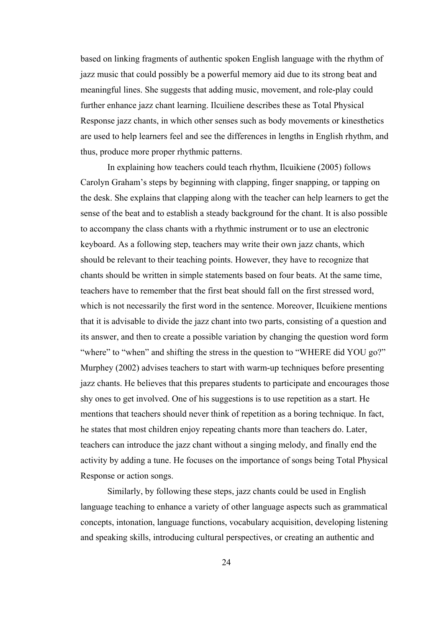based on linking fragments of authentic spoken English language with the rhythm of jazz music that could possibly be a powerful memory aid due to its strong beat and meaningful lines. She suggests that adding music, movement, and role-play could further enhance jazz chant learning. Ilcuiliene describes these as Total Physical Response jazz chants, in which other senses such as body movements or kinesthetics are used to help learners feel and see the differences in lengths in English rhythm, and thus, produce more proper rhythmic patterns.

 In explaining how teachers could teach rhythm, Ilcuikiene (2005) follows Carolyn Graham's steps by beginning with clapping, finger snapping, or tapping on the desk. She explains that clapping along with the teacher can help learners to get the sense of the beat and to establish a steady background for the chant. It is also possible to accompany the class chants with a rhythmic instrument or to use an electronic keyboard. As a following step, teachers may write their own jazz chants, which should be relevant to their teaching points. However, they have to recognize that chants should be written in simple statements based on four beats. At the same time, teachers have to remember that the first beat should fall on the first stressed word, which is not necessarily the first word in the sentence. Moreover, Ilcuikiene mentions that it is advisable to divide the jazz chant into two parts, consisting of a question and its answer, and then to create a possible variation by changing the question word form "where" to "when" and shifting the stress in the question to "WHERE did YOU go?" Murphey (2002) advises teachers to start with warm-up techniques before presenting jazz chants. He believes that this prepares students to participate and encourages those shy ones to get involved. One of his suggestions is to use repetition as a start. He mentions that teachers should never think of repetition as a boring technique. In fact, he states that most children enjoy repeating chants more than teachers do. Later, teachers can introduce the jazz chant without a singing melody, and finally end the activity by adding a tune. He focuses on the importance of songs being Total Physical Response or action songs.

 Similarly, by following these steps, jazz chants could be used in English language teaching to enhance a variety of other language aspects such as grammatical concepts, intonation, language functions, vocabulary acquisition, developing listening and speaking skills, introducing cultural perspectives, or creating an authentic and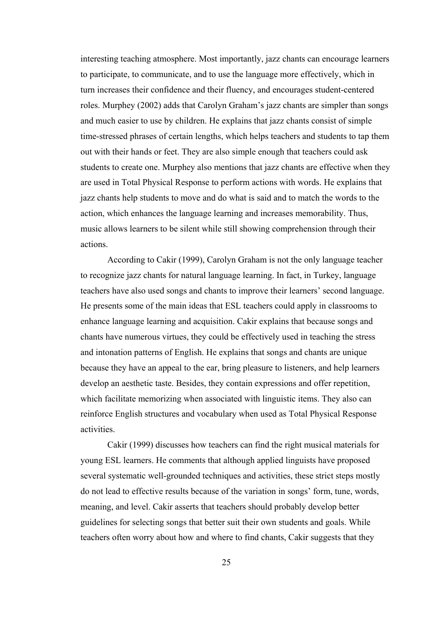interesting teaching atmosphere. Most importantly, jazz chants can encourage learners to participate, to communicate, and to use the language more effectively, which in turn increases their confidence and their fluency, and encourages student-centered roles. Murphey (2002) adds that Carolyn Graham's jazz chants are simpler than songs and much easier to use by children. He explains that jazz chants consist of simple time-stressed phrases of certain lengths, which helps teachers and students to tap them out with their hands or feet. They are also simple enough that teachers could ask students to create one. Murphey also mentions that jazz chants are effective when they are used in Total Physical Response to perform actions with words. He explains that jazz chants help students to move and do what is said and to match the words to the action, which enhances the language learning and increases memorability. Thus, music allows learners to be silent while still showing comprehension through their actions.

 According to Cakir (1999), Carolyn Graham is not the only language teacher to recognize jazz chants for natural language learning. In fact, in Turkey, language teachers have also used songs and chants to improve their learners' second language. He presents some of the main ideas that ESL teachers could apply in classrooms to enhance language learning and acquisition. Cakir explains that because songs and chants have numerous virtues, they could be effectively used in teaching the stress and intonation patterns of English. He explains that songs and chants are unique because they have an appeal to the ear, bring pleasure to listeners, and help learners develop an aesthetic taste. Besides, they contain expressions and offer repetition, which facilitate memorizing when associated with linguistic items. They also can reinforce English structures and vocabulary when used as Total Physical Response activities.

 Cakir (1999) discusses how teachers can find the right musical materials for young ESL learners. He comments that although applied linguists have proposed several systematic well-grounded techniques and activities, these strict steps mostly do not lead to effective results because of the variation in songs' form, tune, words, meaning, and level. Cakir asserts that teachers should probably develop better guidelines for selecting songs that better suit their own students and goals. While teachers often worry about how and where to find chants, Cakir suggests that they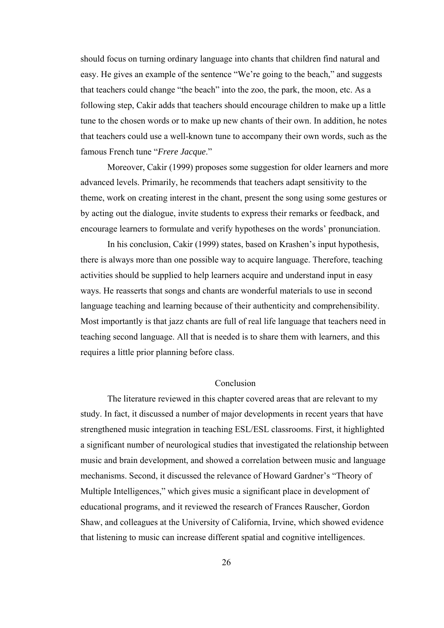should focus on turning ordinary language into chants that children find natural and easy. He gives an example of the sentence "We're going to the beach," and suggests that teachers could change "the beach" into the zoo, the park, the moon, etc. As a following step, Cakir adds that teachers should encourage children to make up a little tune to the chosen words or to make up new chants of their own. In addition, he notes that teachers could use a well-known tune to accompany their own words, such as the famous French tune "*Frere Jacque*."

 Moreover, Cakir (1999) proposes some suggestion for older learners and more advanced levels. Primarily, he recommends that teachers adapt sensitivity to the theme, work on creating interest in the chant, present the song using some gestures or by acting out the dialogue, invite students to express their remarks or feedback, and encourage learners to formulate and verify hypotheses on the words' pronunciation.

 In his conclusion, Cakir (1999) states, based on Krashen's input hypothesis, there is always more than one possible way to acquire language. Therefore, teaching activities should be supplied to help learners acquire and understand input in easy ways. He reasserts that songs and chants are wonderful materials to use in second language teaching and learning because of their authenticity and comprehensibility. Most importantly is that jazz chants are full of real life language that teachers need in teaching second language. All that is needed is to share them with learners, and this requires a little prior planning before class.

### Conclusion

The literature reviewed in this chapter covered areas that are relevant to my study. In fact, it discussed a number of major developments in recent years that have strengthened music integration in teaching ESL/ESL classrooms. First, it highlighted a significant number of neurological studies that investigated the relationship between music and brain development, and showed a correlation between music and language mechanisms. Second, it discussed the relevance of Howard Gardner's "Theory of Multiple Intelligences," which gives music a significant place in development of educational programs, and it reviewed the research of Frances Rauscher, Gordon Shaw, and colleagues at the University of California, Irvine, which showed evidence that listening to music can increase different spatial and cognitive intelligences.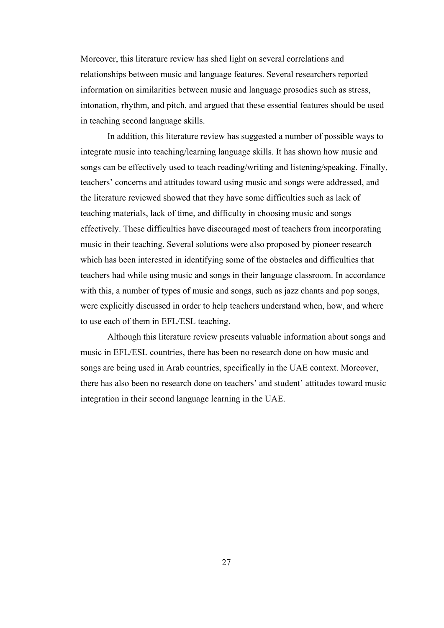Moreover, this literature review has shed light on several correlations and relationships between music and language features. Several researchers reported information on similarities between music and language prosodies such as stress, intonation, rhythm, and pitch, and argued that these essential features should be used in teaching second language skills.

In addition, this literature review has suggested a number of possible ways to integrate music into teaching/learning language skills. It has shown how music and songs can be effectively used to teach reading/writing and listening/speaking. Finally, teachers' concerns and attitudes toward using music and songs were addressed, and the literature reviewed showed that they have some difficulties such as lack of teaching materials, lack of time, and difficulty in choosing music and songs effectively. These difficulties have discouraged most of teachers from incorporating music in their teaching. Several solutions were also proposed by pioneer research which has been interested in identifying some of the obstacles and difficulties that teachers had while using music and songs in their language classroom. In accordance with this, a number of types of music and songs, such as jazz chants and pop songs, were explicitly discussed in order to help teachers understand when, how, and where to use each of them in EFL/ESL teaching.

Although this literature review presents valuable information about songs and music in EFL/ESL countries, there has been no research done on how music and songs are being used in Arab countries, specifically in the UAE context. Moreover, there has also been no research done on teachers' and student' attitudes toward music integration in their second language learning in the UAE.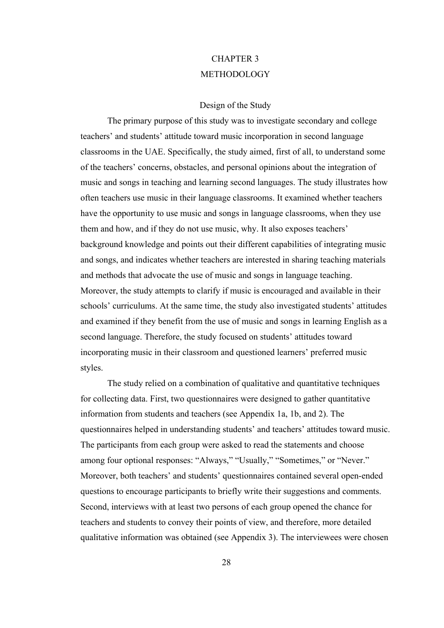# CHAPTER 3 METHODOLOGY

## Design of the Study

 The primary purpose of this study was to investigate secondary and college teachers' and students' attitude toward music incorporation in second language classrooms in the UAE. Specifically, the study aimed, first of all, to understand some of the teachers' concerns, obstacles, and personal opinions about the integration of music and songs in teaching and learning second languages. The study illustrates how often teachers use music in their language classrooms. It examined whether teachers have the opportunity to use music and songs in language classrooms, when they use them and how, and if they do not use music, why. It also exposes teachers' background knowledge and points out their different capabilities of integrating music and songs, and indicates whether teachers are interested in sharing teaching materials and methods that advocate the use of music and songs in language teaching. Moreover, the study attempts to clarify if music is encouraged and available in their schools' curriculums. At the same time, the study also investigated students' attitudes and examined if they benefit from the use of music and songs in learning English as a second language. Therefore, the study focused on students' attitudes toward incorporating music in their classroom and questioned learners' preferred music styles.

 The study relied on a combination of qualitative and quantitative techniques for collecting data. First, two questionnaires were designed to gather quantitative information from students and teachers (see Appendix 1a, 1b, and 2). The questionnaires helped in understanding students' and teachers' attitudes toward music. The participants from each group were asked to read the statements and choose among four optional responses: "Always," "Usually," "Sometimes," or "Never." Moreover, both teachers' and students' questionnaires contained several open-ended questions to encourage participants to briefly write their suggestions and comments. Second, interviews with at least two persons of each group opened the chance for teachers and students to convey their points of view, and therefore, more detailed qualitative information was obtained (see Appendix 3). The interviewees were chosen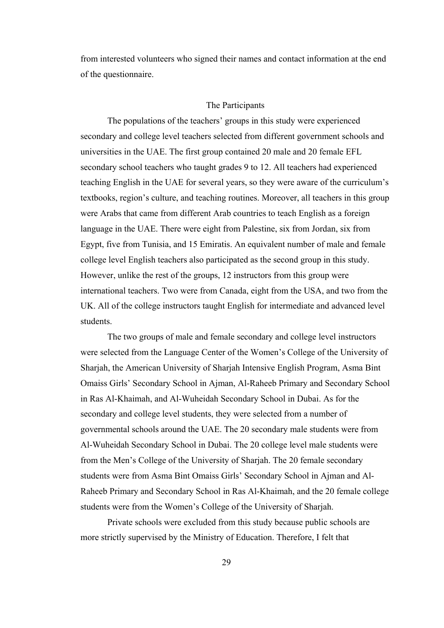from interested volunteers who signed their names and contact information at the end of the questionnaire.

## The Participants

 The populations of the teachers' groups in this study were experienced secondary and college level teachers selected from different government schools and universities in the UAE. The first group contained 20 male and 20 female EFL secondary school teachers who taught grades 9 to 12. All teachers had experienced teaching English in the UAE for several years, so they were aware of the curriculum's textbooks, region's culture, and teaching routines. Moreover, all teachers in this group were Arabs that came from different Arab countries to teach English as a foreign language in the UAE. There were eight from Palestine, six from Jordan, six from Egypt, five from Tunisia, and 15 Emiratis. An equivalent number of male and female college level English teachers also participated as the second group in this study. However, unlike the rest of the groups, 12 instructors from this group were international teachers. Two were from Canada, eight from the USA, and two from the UK. All of the college instructors taught English for intermediate and advanced level students.

The two groups of male and female secondary and college level instructors were selected from the Language Center of the Women's College of the University of Sharjah, the American University of Sharjah Intensive English Program, Asma Bint Omaiss Girls' Secondary School in Ajman, Al-Raheeb Primary and Secondary School in Ras Al-Khaimah, and Al-Wuheidah Secondary School in Dubai. As for the secondary and college level students, they were selected from a number of governmental schools around the UAE. The 20 secondary male students were from Al-Wuheidah Secondary School in Dubai. The 20 college level male students were from the Men's College of the University of Sharjah. The 20 female secondary students were from Asma Bint Omaiss Girls' Secondary School in Ajman and Al-Raheeb Primary and Secondary School in Ras Al-Khaimah, and the 20 female college students were from the Women's College of the University of Sharjah.

Private schools were excluded from this study because public schools are more strictly supervised by the Ministry of Education. Therefore, I felt that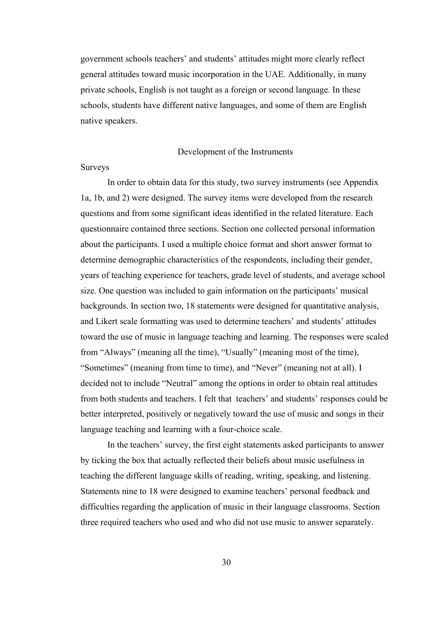government schools teachers' and students' attitudes might more clearly reflect general attitudes toward music incorporation in the UAE. Additionally, in many private schools, English is not taught as a foreign or second language. In these schools, students have different native languages, and some of them are English native speakers.

## Development of the Instruments

#### Surveys

 In order to obtain data for this study, two survey instruments (see Appendix 1a, 1b, and 2) were designed. The survey items were developed from the research questions and from some significant ideas identified in the related literature. Each questionnaire contained three sections. Section one collected personal information about the participants. I used a multiple choice format and short answer format to determine demographic characteristics of the respondents, including their gender, years of teaching experience for teachers, grade level of students, and average school size. One question was included to gain information on the participants' musical backgrounds. In section two, 18 statements were designed for quantitative analysis, and Likert scale formatting was used to determine teachers' and students' attitudes toward the use of music in language teaching and learning. The responses were scaled from "Always" (meaning all the time), "Usually" (meaning most of the time), "Sometimes" (meaning from time to time), and "Never" (meaning not at all). I decided not to include "Neutral" among the options in order to obtain real attitudes from both students and teachers. I felt that teachers' and students' responses could be better interpreted, positively or negatively toward the use of music and songs in their language teaching and learning with a four-choice scale.

In the teachers' survey, the first eight statements asked participants to answer by ticking the box that actually reflected their beliefs about music usefulness in teaching the different language skills of reading, writing, speaking, and listening. Statements nine to 18 were designed to examine teachers' personal feedback and difficulties regarding the application of music in their language classrooms. Section three required teachers who used and who did not use music to answer separately.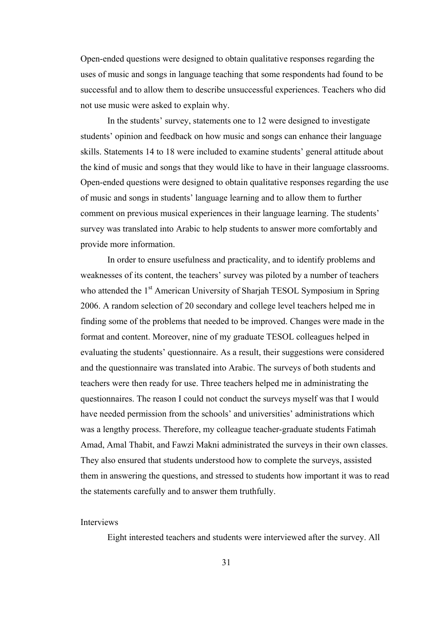Open-ended questions were designed to obtain qualitative responses regarding the uses of music and songs in language teaching that some respondents had found to be successful and to allow them to describe unsuccessful experiences. Teachers who did not use music were asked to explain why.

In the students' survey, statements one to 12 were designed to investigate students' opinion and feedback on how music and songs can enhance their language skills. Statements 14 to 18 were included to examine students' general attitude about the kind of music and songs that they would like to have in their language classrooms. Open-ended questions were designed to obtain qualitative responses regarding the use of music and songs in students' language learning and to allow them to further comment on previous musical experiences in their language learning. The students' survey was translated into Arabic to help students to answer more comfortably and provide more information.

 In order to ensure usefulness and practicality, and to identify problems and weaknesses of its content, the teachers' survey was piloted by a number of teachers who attended the 1<sup>st</sup> American University of Sharjah TESOL Symposium in Spring 2006. A random selection of 20 secondary and college level teachers helped me in finding some of the problems that needed to be improved. Changes were made in the format and content. Moreover, nine of my graduate TESOL colleagues helped in evaluating the students' questionnaire. As a result, their suggestions were considered and the questionnaire was translated into Arabic. The surveys of both students and teachers were then ready for use. Three teachers helped me in administrating the questionnaires. The reason I could not conduct the surveys myself was that I would have needed permission from the schools' and universities' administrations which was a lengthy process. Therefore, my colleague teacher-graduate students Fatimah Amad, Amal Thabit, and Fawzi Makni administrated the surveys in their own classes. They also ensured that students understood how to complete the surveys, assisted them in answering the questions, and stressed to students how important it was to read the statements carefully and to answer them truthfully.

## Interviews

Eight interested teachers and students were interviewed after the survey. All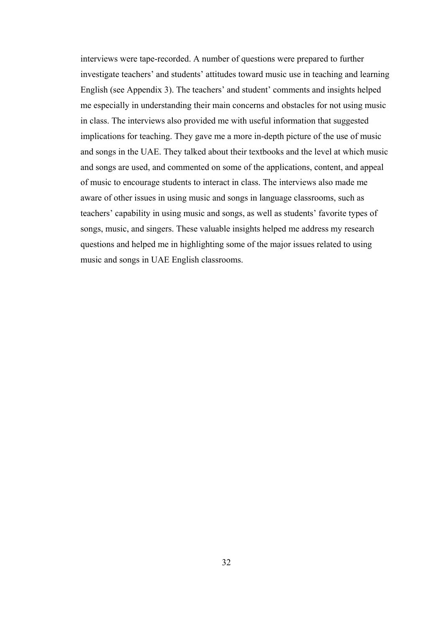interviews were tape-recorded. A number of questions were prepared to further investigate teachers' and students' attitudes toward music use in teaching and learning English (see Appendix 3). The teachers' and student' comments and insights helped me especially in understanding their main concerns and obstacles for not using music in class. The interviews also provided me with useful information that suggested implications for teaching. They gave me a more in-depth picture of the use of music and songs in the UAE. They talked about their textbooks and the level at which music and songs are used, and commented on some of the applications, content, and appeal of music to encourage students to interact in class. The interviews also made me aware of other issues in using music and songs in language classrooms, such as teachers' capability in using music and songs, as well as students' favorite types of songs, music, and singers. These valuable insights helped me address my research questions and helped me in highlighting some of the major issues related to using music and songs in UAE English classrooms.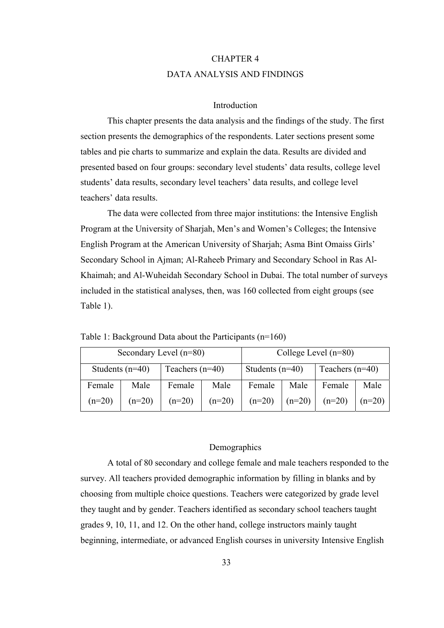# CHAPTER 4 DATA ANALYSIS AND FINDINGS

# Introduction

This chapter presents the data analysis and the findings of the study. The first section presents the demographics of the respondents. Later sections present some tables and pie charts to summarize and explain the data. Results are divided and presented based on four groups: secondary level students' data results, college level students' data results, secondary level teachers' data results, and college level teachers' data results.

The data were collected from three major institutions: the Intensive English Program at the University of Sharjah, Men's and Women's Colleges; the Intensive English Program at the American University of Sharjah; Asma Bint Omaiss Girls' Secondary School in Ajman; Al-Raheeb Primary and Secondary School in Ras Al-Khaimah; and Al-Wuheidah Secondary School in Dubai. The total number of surveys included in the statistical analyses, then, was 160 collected from eight groups (see Table 1).

| Secondary Level (n=80) |          |                   |          | College Level $(n=80)$ |          |                   |          |
|------------------------|----------|-------------------|----------|------------------------|----------|-------------------|----------|
| Students $(n=40)$      |          | Teachers $(n=40)$ |          | Students $(n=40)$      |          | Teachers $(n=40)$ |          |
| Female                 | Male     | Female            | Male     | Female                 | Male     | Female            | Male     |
| $(n=20)$               | $(n=20)$ | $(n=20)$          | $(n=20)$ | $(n=20)$               | $(n=20)$ | $(n=20)$          | $(n=20)$ |

Table 1: Background Data about the Participants (n=160)

# Demographics

A total of 80 secondary and college female and male teachers responded to the survey. All teachers provided demographic information by filling in blanks and by choosing from multiple choice questions. Teachers were categorized by grade level they taught and by gender. Teachers identified as secondary school teachers taught grades 9, 10, 11, and 12. On the other hand, college instructors mainly taught beginning, intermediate, or advanced English courses in university Intensive English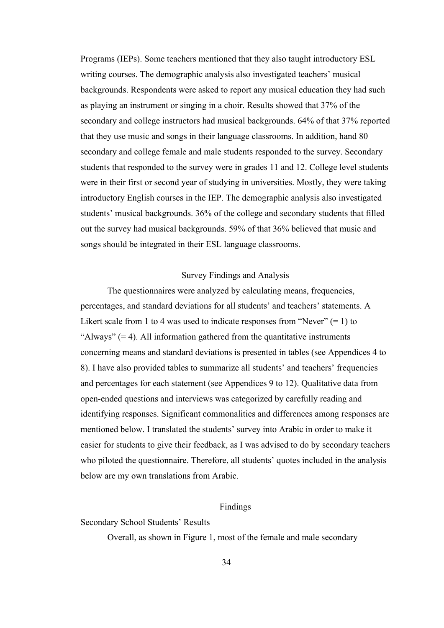Programs (IEPs). Some teachers mentioned that they also taught introductory ESL writing courses. The demographic analysis also investigated teachers' musical backgrounds. Respondents were asked to report any musical education they had such as playing an instrument or singing in a choir. Results showed that 37% of the secondary and college instructors had musical backgrounds. 64% of that 37% reported that they use music and songs in their language classrooms. In addition, hand 80 secondary and college female and male students responded to the survey. Secondary students that responded to the survey were in grades 11 and 12. College level students were in their first or second year of studying in universities. Mostly, they were taking introductory English courses in the IEP. The demographic analysis also investigated students' musical backgrounds. 36% of the college and secondary students that filled out the survey had musical backgrounds. 59% of that 36% believed that music and songs should be integrated in their ESL language classrooms.

## Survey Findings and Analysis

The questionnaires were analyzed by calculating means, frequencies, percentages, and standard deviations for all students' and teachers' statements. A Likert scale from 1 to 4 was used to indicate responses from "Never"  $(= 1)$  to "Always"  $(= 4)$ . All information gathered from the quantitative instruments concerning means and standard deviations is presented in tables (see Appendices 4 to 8). I have also provided tables to summarize all students' and teachers' frequencies and percentages for each statement (see Appendices 9 to 12). Qualitative data from open-ended questions and interviews was categorized by carefully reading and identifying responses. Significant commonalities and differences among responses are mentioned below. I translated the students' survey into Arabic in order to make it easier for students to give their feedback, as I was advised to do by secondary teachers who piloted the questionnaire. Therefore, all students' quotes included in the analysis below are my own translations from Arabic.

### Findings

Secondary School Students' Results

Overall, as shown in Figure 1, most of the female and male secondary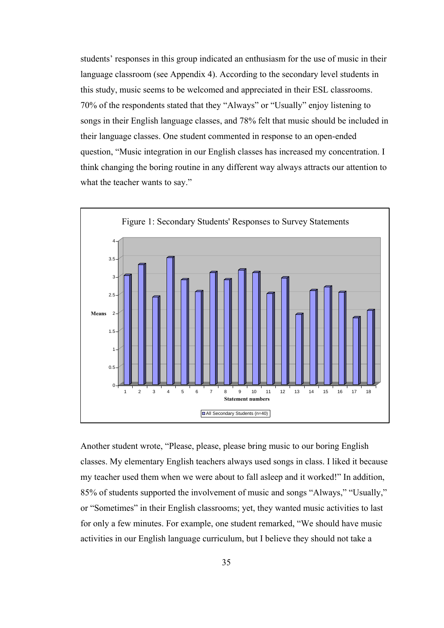students' responses in this group indicated an enthusiasm for the use of music in their language classroom (see Appendix 4). According to the secondary level students in this study, music seems to be welcomed and appreciated in their ESL classrooms. 70% of the respondents stated that they "Always" or "Usually" enjoy listening to songs in their English language classes, and 78% felt that music should be included in their language classes. One student commented in response to an open-ended question, "Music integration in our English classes has increased my concentration. I think changing the boring routine in any different way always attracts our attention to what the teacher wants to say."



Another student wrote, "Please, please, please bring music to our boring English classes. My elementary English teachers always used songs in class. I liked it because my teacher used them when we were about to fall asleep and it worked!" In addition, 85% of students supported the involvement of music and songs "Always," "Usually," or "Sometimes" in their English classrooms; yet, they wanted music activities to last for only a few minutes. For example, one student remarked, "We should have music activities in our English language curriculum, but I believe they should not take a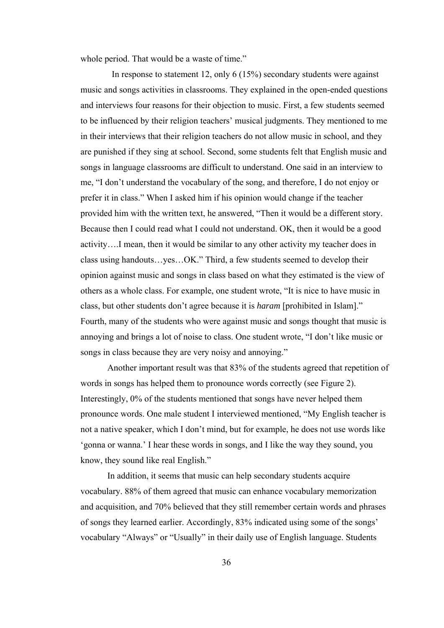whole period. That would be a waste of time."

 In response to statement 12, only 6 (15%) secondary students were against music and songs activities in classrooms. They explained in the open-ended questions and interviews four reasons for their objection to music. First, a few students seemed to be influenced by their religion teachers' musical judgments. They mentioned to me in their interviews that their religion teachers do not allow music in school, and they are punished if they sing at school. Second, some students felt that English music and songs in language classrooms are difficult to understand. One said in an interview to me, "I don't understand the vocabulary of the song, and therefore, I do not enjoy or prefer it in class." When I asked him if his opinion would change if the teacher provided him with the written text, he answered, "Then it would be a different story. Because then I could read what I could not understand. OK, then it would be a good activity….I mean, then it would be similar to any other activity my teacher does in class using handouts…yes…OK." Third, a few students seemed to develop their opinion against music and songs in class based on what they estimated is the view of others as a whole class. For example, one student wrote, "It is nice to have music in class, but other students don't agree because it is *haram* [prohibited in Islam]." Fourth, many of the students who were against music and songs thought that music is annoying and brings a lot of noise to class. One student wrote, "I don't like music or songs in class because they are very noisy and annoying."

Another important result was that 83% of the students agreed that repetition of words in songs has helped them to pronounce words correctly (see Figure 2). Interestingly, 0% of the students mentioned that songs have never helped them pronounce words. One male student I interviewed mentioned, "My English teacher is not a native speaker, which I don't mind, but for example, he does not use words like 'gonna or wanna.' I hear these words in songs, and I like the way they sound, you know, they sound like real English."

In addition, it seems that music can help secondary students acquire vocabulary. 88% of them agreed that music can enhance vocabulary memorization and acquisition, and 70% believed that they still remember certain words and phrases of songs they learned earlier. Accordingly, 83% indicated using some of the songs' vocabulary "Always" or "Usually" in their daily use of English language. Students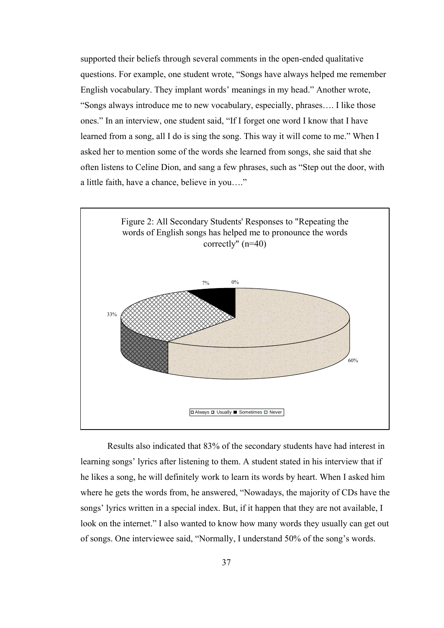supported their beliefs through several comments in the open-ended qualitative questions. For example, one student wrote, "Songs have always helped me remember English vocabulary. They implant words' meanings in my head." Another wrote, "Songs always introduce me to new vocabulary, especially, phrases…. I like those ones." In an interview, one student said, "If I forget one word I know that I have learned from a song, all I do is sing the song. This way it will come to me." When I asked her to mention some of the words she learned from songs, she said that she often listens to Celine Dion, and sang a few phrases, such as "Step out the door, with a little faith, have a chance, believe in you…."



Results also indicated that 83% of the secondary students have had interest in learning songs' lyrics after listening to them. A student stated in his interview that if he likes a song, he will definitely work to learn its words by heart. When I asked him where he gets the words from, he answered, "Nowadays, the majority of CDs have the songs' lyrics written in a special index. But, if it happen that they are not available, I look on the internet." I also wanted to know how many words they usually can get out of songs. One interviewee said, "Normally, I understand 50% of the song's words.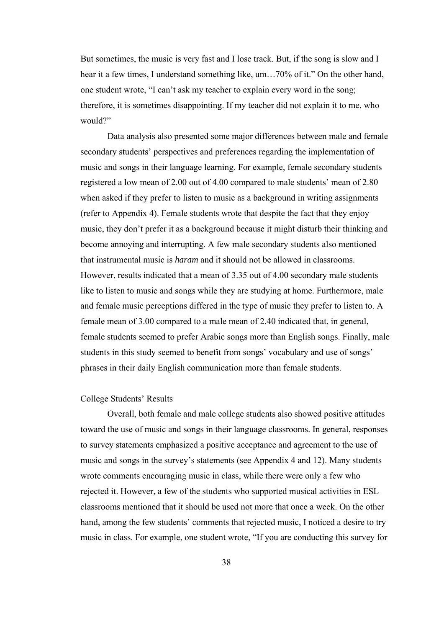But sometimes, the music is very fast and I lose track. But, if the song is slow and I hear it a few times, I understand something like, um...70% of it." On the other hand, one student wrote, "I can't ask my teacher to explain every word in the song; therefore, it is sometimes disappointing. If my teacher did not explain it to me, who would?"

Data analysis also presented some major differences between male and female secondary students' perspectives and preferences regarding the implementation of music and songs in their language learning. For example, female secondary students registered a low mean of 2.00 out of 4.00 compared to male students' mean of 2.80 when asked if they prefer to listen to music as a background in writing assignments (refer to Appendix 4). Female students wrote that despite the fact that they enjoy music, they don't prefer it as a background because it might disturb their thinking and become annoying and interrupting. A few male secondary students also mentioned that instrumental music is *haram* and it should not be allowed in classrooms. However, results indicated that a mean of 3.35 out of 4.00 secondary male students like to listen to music and songs while they are studying at home. Furthermore, male and female music perceptions differed in the type of music they prefer to listen to. A female mean of 3.00 compared to a male mean of 2.40 indicated that, in general, female students seemed to prefer Arabic songs more than English songs. Finally, male students in this study seemed to benefit from songs' vocabulary and use of songs' phrases in their daily English communication more than female students.

## College Students' Results

Overall, both female and male college students also showed positive attitudes toward the use of music and songs in their language classrooms. In general, responses to survey statements emphasized a positive acceptance and agreement to the use of music and songs in the survey's statements (see Appendix 4 and 12). Many students wrote comments encouraging music in class, while there were only a few who rejected it. However, a few of the students who supported musical activities in ESL classrooms mentioned that it should be used not more that once a week. On the other hand, among the few students' comments that rejected music, I noticed a desire to try music in class. For example, one student wrote, "If you are conducting this survey for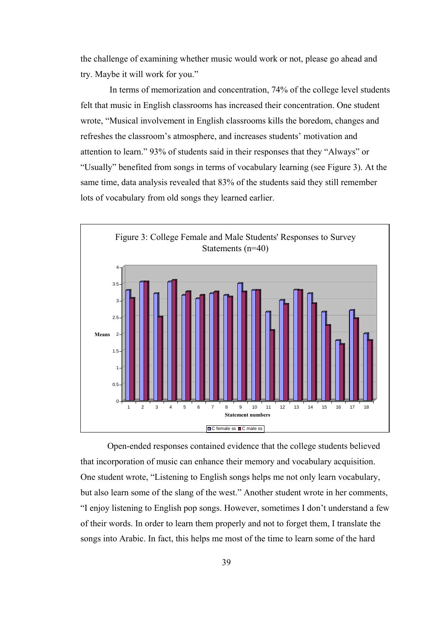the challenge of examining whether music would work or not, please go ahead and try. Maybe it will work for you."

 In terms of memorization and concentration, 74% of the college level students felt that music in English classrooms has increased their concentration. One student wrote, "Musical involvement in English classrooms kills the boredom, changes and refreshes the classroom's atmosphere, and increases students' motivation and attention to learn." 93% of students said in their responses that they "Always" or "Usually" benefited from songs in terms of vocabulary learning (see Figure 3). At the same time, data analysis revealed that 83% of the students said they still remember lots of vocabulary from old songs they learned earlier.



Open-ended responses contained evidence that the college students believed that incorporation of music can enhance their memory and vocabulary acquisition. One student wrote, "Listening to English songs helps me not only learn vocabulary, but also learn some of the slang of the west." Another student wrote in her comments, "I enjoy listening to English pop songs. However, sometimes I don't understand a few of their words. In order to learn them properly and not to forget them, I translate the songs into Arabic. In fact, this helps me most of the time to learn some of the hard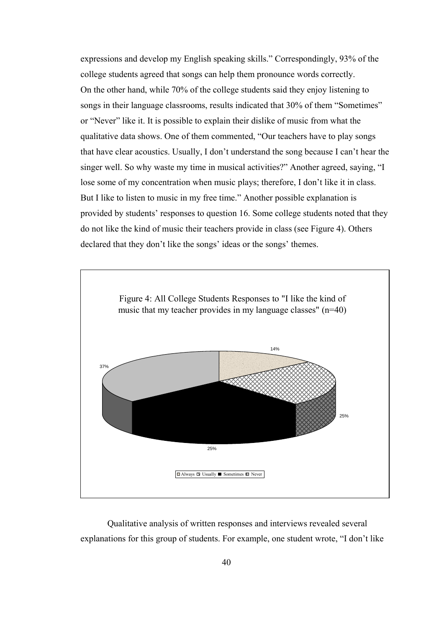expressions and develop my English speaking skills." Correspondingly, 93% of the college students agreed that songs can help them pronounce words correctly. On the other hand, while 70% of the college students said they enjoy listening to songs in their language classrooms, results indicated that 30% of them "Sometimes" or "Never" like it. It is possible to explain their dislike of music from what the qualitative data shows. One of them commented, "Our teachers have to play songs that have clear acoustics. Usually, I don't understand the song because I can't hear the singer well. So why waste my time in musical activities?" Another agreed, saying, "I lose some of my concentration when music plays; therefore, I don't like it in class. But I like to listen to music in my free time." Another possible explanation is provided by students' responses to question 16. Some college students noted that they do not like the kind of music their teachers provide in class (see Figure 4). Others declared that they don't like the songs' ideas or the songs' themes.



Qualitative analysis of written responses and interviews revealed several explanations for this group of students. For example, one student wrote, "I don't like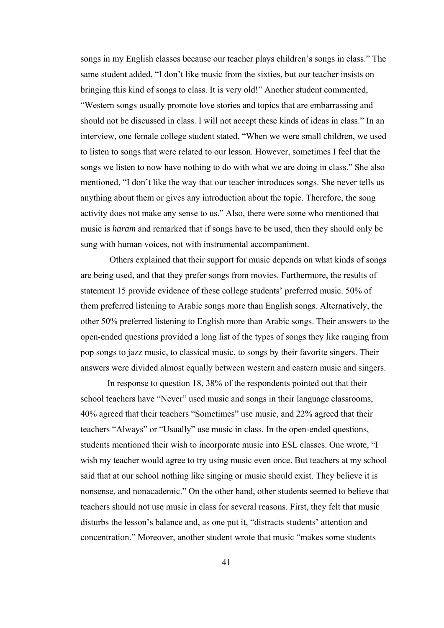songs in my English classes because our teacher plays children's songs in class." The same student added, "I don't like music from the sixties, but our teacher insists on bringing this kind of songs to class. It is very old!" Another student commented,

"Western songs usually promote love stories and topics that are embarrassing and should not be discussed in class. I will not accept these kinds of ideas in class." In an interview, one female college student stated, "When we were small children, we used to listen to songs that were related to our lesson. However, sometimes I feel that the songs we listen to now have nothing to do with what we are doing in class." She also mentioned, "I don't like the way that our teacher introduces songs. She never tells us anything about them or gives any introduction about the topic. Therefore, the song activity does not make any sense to us." Also, there were some who mentioned that music is *haram* and remarked that if songs have to be used, then they should only be sung with human voices, not with instrumental accompaniment.

 Others explained that their support for music depends on what kinds of songs are being used, and that they prefer songs from movies. Furthermore, the results of statement 15 provide evidence of these college students' preferred music. 50% of them preferred listening to Arabic songs more than English songs. Alternatively, the other 50% preferred listening to English more than Arabic songs. Their answers to the open-ended questions provided a long list of the types of songs they like ranging from pop songs to jazz music, to classical music, to songs by their favorite singers. Their answers were divided almost equally between western and eastern music and singers.

In response to question 18, 38% of the respondents pointed out that their school teachers have "Never" used music and songs in their language classrooms, 40% agreed that their teachers "Sometimes" use music, and 22% agreed that their teachers "Always" or "Usually" use music in class. In the open-ended questions, students mentioned their wish to incorporate music into ESL classes. One wrote, "I wish my teacher would agree to try using music even once. But teachers at my school said that at our school nothing like singing or music should exist. They believe it is nonsense, and nonacademic." On the other hand, other students seemed to believe that teachers should not use music in class for several reasons. First, they felt that music disturbs the lesson's balance and, as one put it, "distracts students' attention and concentration." Moreover, another student wrote that music "makes some students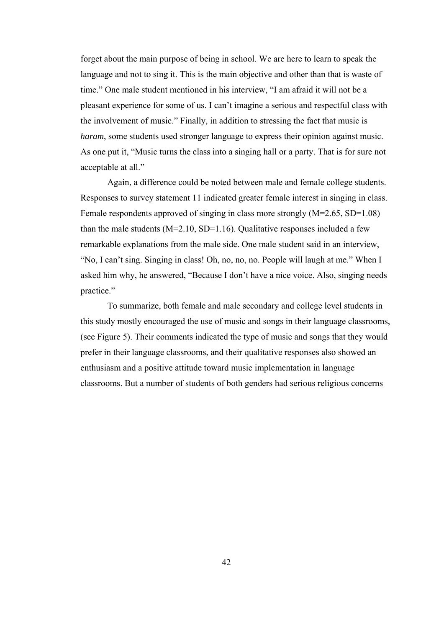forget about the main purpose of being in school. We are here to learn to speak the language and not to sing it. This is the main objective and other than that is waste of time." One male student mentioned in his interview, "I am afraid it will not be a pleasant experience for some of us. I can't imagine a serious and respectful class with the involvement of music." Finally, in addition to stressing the fact that music is *haram*, some students used stronger language to express their opinion against music. As one put it, "Music turns the class into a singing hall or a party. That is for sure not acceptable at all."

Again, a difference could be noted between male and female college students. Responses to survey statement 11 indicated greater female interest in singing in class. Female respondents approved of singing in class more strongly (M=2.65, SD=1.08) than the male students  $(M=2.10, SD=1.16)$ . Qualitative responses included a few remarkable explanations from the male side. One male student said in an interview, "No, I can't sing. Singing in class! Oh, no, no, no. People will laugh at me." When I asked him why, he answered, "Because I don't have a nice voice. Also, singing needs practice."

To summarize, both female and male secondary and college level students in this study mostly encouraged the use of music and songs in their language classrooms, (see Figure 5). Their comments indicated the type of music and songs that they would prefer in their language classrooms, and their qualitative responses also showed an enthusiasm and a positive attitude toward music implementation in language classrooms. But a number of students of both genders had serious religious concerns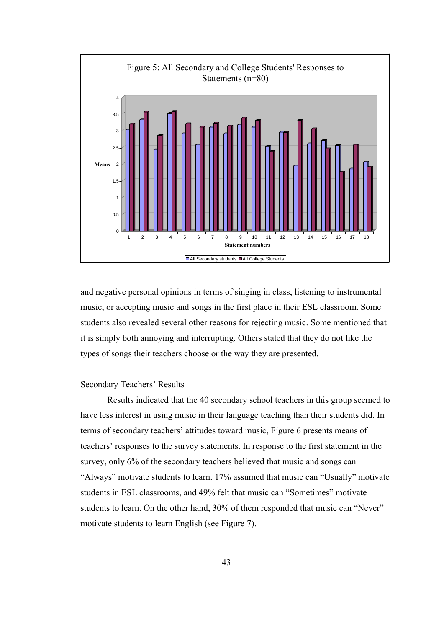

and negative personal opinions in terms of singing in class, listening to instrumental music, or accepting music and songs in the first place in their ESL classroom. Some students also revealed several other reasons for rejecting music. Some mentioned that it is simply both annoying and interrupting. Others stated that they do not like the types of songs their teachers choose or the way they are presented.

## Secondary Teachers' Results

Results indicated that the 40 secondary school teachers in this group seemed to have less interest in using music in their language teaching than their students did. In terms of secondary teachers' attitudes toward music, Figure 6 presents means of teachers' responses to the survey statements. In response to the first statement in the survey, only 6% of the secondary teachers believed that music and songs can "Always" motivate students to learn. 17% assumed that music can "Usually" motivate students in ESL classrooms, and 49% felt that music can "Sometimes" motivate students to learn. On the other hand, 30% of them responded that music can "Never" motivate students to learn English (see Figure 7).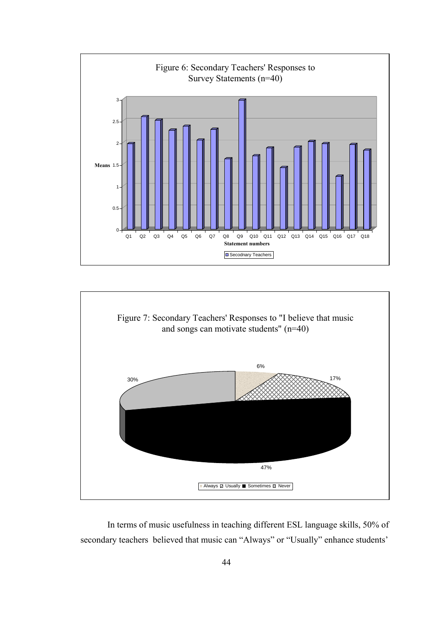



In terms of music usefulness in teaching different ESL language skills, 50% of secondary teachers believed that music can "Always" or "Usually" enhance students'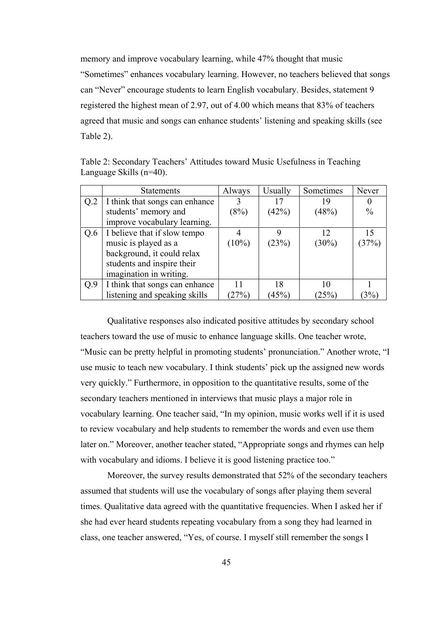memory and improve vocabulary learning, while 47% thought that music "Sometimes" enhances vocabulary learning. However, no teachers believed that songs can "Never" encourage students to learn English vocabulary. Besides, statement 9 registered the highest mean of 2.97, out of 4.00 which means that 83% of teachers agreed that music and songs can enhance students' listening and speaking skills (see Table 2).

|                 | <b>Statements</b>              | Always   | Usually | Sometimes | Never         |
|-----------------|--------------------------------|----------|---------|-----------|---------------|
| Q <sub>.2</sub> | I think that songs can enhance |          | 17      | 19        |               |
|                 | students' memory and           | (8%)     | (42%)   | (48%)     | $\frac{0}{0}$ |
|                 | improve vocabulary learning.   |          |         |           |               |
| Q.6             | I believe that if slow tempo   |          | 9       | 12        | 15            |
|                 | music is played as a           | $(10\%)$ | (23%)   | $(30\%)$  | (37%)         |
|                 | background, it could relax     |          |         |           |               |
|                 | students and inspire their     |          |         |           |               |
|                 | imagination in writing.        |          |         |           |               |
| Q.9             | I think that songs can enhance | 11       | 18      | 10        |               |
|                 | listening and speaking skills  | (27%)    | (45%)   | (25%      | $3\%$         |

Table 2: Secondary Teachers' Attitudes toward Music Usefulness in Teaching Language Skills (n=40).

Qualitative responses also indicated positive attitudes by secondary school teachers toward the use of music to enhance language skills. One teacher wrote, "Music can be pretty helpful in promoting students' pronunciation." Another wrote, "I use music to teach new vocabulary. I think students' pick up the assigned new words very quickly." Furthermore, in opposition to the quantitative results, some of the secondary teachers mentioned in interviews that music plays a major role in vocabulary learning. One teacher said, "In my opinion, music works well if it is used to review vocabulary and help students to remember the words and even use them later on." Moreover, another teacher stated, "Appropriate songs and rhymes can help with vocabulary and idioms. I believe it is good listening practice too."

Moreover, the survey results demonstrated that 52% of the secondary teachers assumed that students will use the vocabulary of songs after playing them several times. Qualitative data agreed with the quantitative frequencies. When I asked her if she had ever heard students repeating vocabulary from a song they had learned in class, one teacher answered, "Yes, of course. I myself still remember the songs I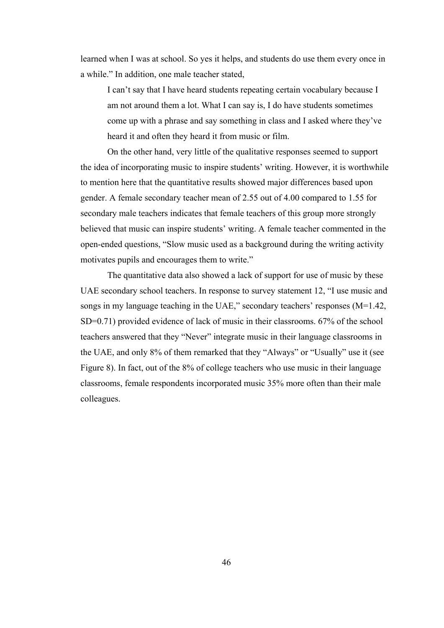learned when I was at school. So yes it helps, and students do use them every once in a while." In addition, one male teacher stated,

I can't say that I have heard students repeating certain vocabulary because I am not around them a lot. What I can say is, I do have students sometimes come up with a phrase and say something in class and I asked where they've heard it and often they heard it from music or film.

On the other hand, very little of the qualitative responses seemed to support the idea of incorporating music to inspire students' writing. However, it is worthwhile to mention here that the quantitative results showed major differences based upon gender. A female secondary teacher mean of 2.55 out of 4.00 compared to 1.55 for secondary male teachers indicates that female teachers of this group more strongly believed that music can inspire students' writing. A female teacher commented in the open-ended questions, "Slow music used as a background during the writing activity motivates pupils and encourages them to write."

The quantitative data also showed a lack of support for use of music by these UAE secondary school teachers. In response to survey statement 12, "I use music and songs in my language teaching in the UAE," secondary teachers' responses (M=1.42, SD=0.71) provided evidence of lack of music in their classrooms. 67% of the school teachers answered that they "Never" integrate music in their language classrooms in the UAE, and only 8% of them remarked that they "Always" or "Usually" use it (see Figure 8). In fact, out of the 8% of college teachers who use music in their language classrooms, female respondents incorporated music 35% more often than their male colleagues.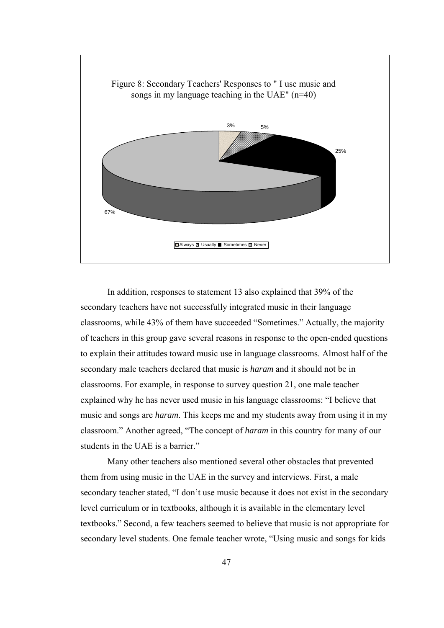

In addition, responses to statement 13 also explained that 39% of the secondary teachers have not successfully integrated music in their language classrooms, while 43% of them have succeeded "Sometimes." Actually, the majority of teachers in this group gave several reasons in response to the open-ended questions to explain their attitudes toward music use in language classrooms. Almost half of the secondary male teachers declared that music is *haram* and it should not be in classrooms. For example, in response to survey question 21, one male teacher explained why he has never used music in his language classrooms: "I believe that music and songs are *haram*. This keeps me and my students away from using it in my classroom." Another agreed, "The concept of *haram* in this country for many of our students in the UAE is a barrier."

Many other teachers also mentioned several other obstacles that prevented them from using music in the UAE in the survey and interviews. First, a male secondary teacher stated, "I don't use music because it does not exist in the secondary level curriculum or in textbooks, although it is available in the elementary level textbooks." Second, a few teachers seemed to believe that music is not appropriate for secondary level students. One female teacher wrote, "Using music and songs for kids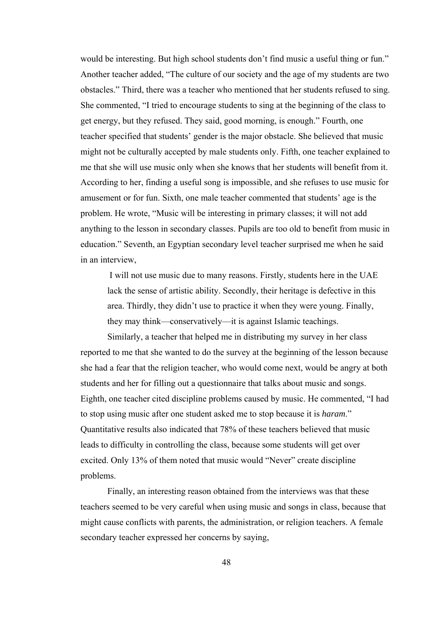would be interesting. But high school students don't find music a useful thing or fun." Another teacher added, "The culture of our society and the age of my students are two obstacles." Third, there was a teacher who mentioned that her students refused to sing. She commented, "I tried to encourage students to sing at the beginning of the class to get energy, but they refused. They said, good morning, is enough." Fourth, one teacher specified that students' gender is the major obstacle. She believed that music might not be culturally accepted by male students only. Fifth, one teacher explained to me that she will use music only when she knows that her students will benefit from it. According to her, finding a useful song is impossible, and she refuses to use music for amusement or for fun. Sixth, one male teacher commented that students' age is the problem. He wrote, "Music will be interesting in primary classes; it will not add anything to the lesson in secondary classes. Pupils are too old to benefit from music in education." Seventh, an Egyptian secondary level teacher surprised me when he said in an interview,

I will not use music due to many reasons. Firstly, students here in the UAE lack the sense of artistic ability. Secondly, their heritage is defective in this area. Thirdly, they didn't use to practice it when they were young. Finally, they may think—conservatively—it is against Islamic teachings.

Similarly, a teacher that helped me in distributing my survey in her class reported to me that she wanted to do the survey at the beginning of the lesson because she had a fear that the religion teacher, who would come next, would be angry at both students and her for filling out a questionnaire that talks about music and songs. Eighth, one teacher cited discipline problems caused by music. He commented, "I had to stop using music after one student asked me to stop because it is *haram*." Quantitative results also indicated that 78% of these teachers believed that music leads to difficulty in controlling the class, because some students will get over excited. Only 13% of them noted that music would "Never" create discipline problems.

Finally, an interesting reason obtained from the interviews was that these teachers seemed to be very careful when using music and songs in class, because that might cause conflicts with parents, the administration, or religion teachers. A female secondary teacher expressed her concerns by saying,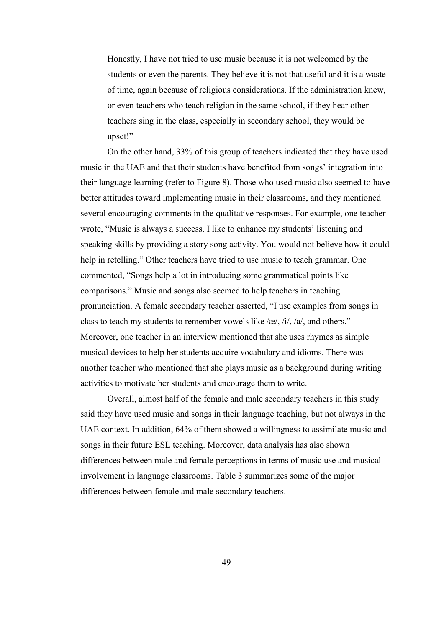Honestly, I have not tried to use music because it is not welcomed by the students or even the parents. They believe it is not that useful and it is a waste of time, again because of religious considerations. If the administration knew, or even teachers who teach religion in the same school, if they hear other teachers sing in the class, especially in secondary school, they would be upset!"

 On the other hand, 33% of this group of teachers indicated that they have used music in the UAE and that their students have benefited from songs' integration into their language learning (refer to Figure 8). Those who used music also seemed to have better attitudes toward implementing music in their classrooms, and they mentioned several encouraging comments in the qualitative responses. For example, one teacher wrote, "Music is always a success. I like to enhance my students' listening and speaking skills by providing a story song activity. You would not believe how it could help in retelling." Other teachers have tried to use music to teach grammar. One commented, "Songs help a lot in introducing some grammatical points like comparisons." Music and songs also seemed to help teachers in teaching pronunciation. A female secondary teacher asserted, "I use examples from songs in class to teach my students to remember vowels like /æ/, /i/, /a/, and others." Moreover, one teacher in an interview mentioned that she uses rhymes as simple musical devices to help her students acquire vocabulary and idioms. There was another teacher who mentioned that she plays music as a background during writing activities to motivate her students and encourage them to write.

 Overall, almost half of the female and male secondary teachers in this study said they have used music and songs in their language teaching, but not always in the UAE context. In addition, 64% of them showed a willingness to assimilate music and songs in their future ESL teaching. Moreover, data analysis has also shown differences between male and female perceptions in terms of music use and musical involvement in language classrooms. Table 3 summarizes some of the major differences between female and male secondary teachers.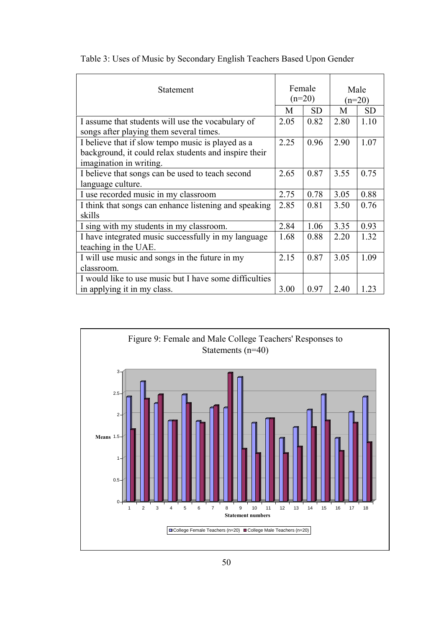| Statement                                                       | Female<br>$(n=20)$ |           | Male<br>$(n=20)$ |           |
|-----------------------------------------------------------------|--------------------|-----------|------------------|-----------|
|                                                                 | M                  | <b>SD</b> | M                | <b>SD</b> |
| I assume that students will use the vocabulary of               | 2.05               | 0.82      | 2.80             | 1.10      |
| songs after playing them several times.                         |                    |           |                  |           |
| I believe that if slow tempo music is played as a               | 2.25               | 0.96      | 2.90             | 1.07      |
| background, it could relax students and inspire their           |                    |           |                  |           |
| imagination in writing.                                         |                    |           |                  |           |
| I believe that songs can be used to teach second                | 2.65               | 0.87      | 3.55             | 0.75      |
| language culture.                                               |                    |           |                  |           |
| I use recorded music in my classroom                            | 2.75               | 0.78      | 3.05             | 0.88      |
| I think that songs can enhance listening and speaking<br>skills | 2.85               | 0.81      | 3.50             | 0.76      |
| I sing with my students in my classroom.                        | 2.84               | 1.06      | 3.35             | 0.93      |
| I have integrated music successfully in my language             | 1.68               | 0.88      | 2.20             | 1.32      |
| teaching in the UAE.                                            |                    |           |                  |           |
| I will use music and songs in the future in my                  | 2.15               | 0.87      | 3.05             | 1.09      |
| classroom.                                                      |                    |           |                  |           |
| I would like to use music but I have some difficulties          |                    |           |                  |           |
| in applying it in my class.                                     | 3.00               | 0.97      | 2.40             | 1 23      |

Table 3: Uses of Music by Secondary English Teachers Based Upon Gender

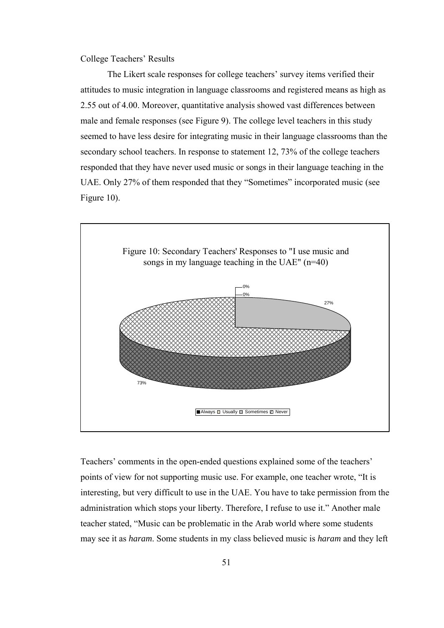College Teachers' Results

 The Likert scale responses for college teachers' survey items verified their attitudes to music integration in language classrooms and registered means as high as 2.55 out of 4.00. Moreover, quantitative analysis showed vast differences between male and female responses (see Figure 9). The college level teachers in this study seemed to have less desire for integrating music in their language classrooms than the secondary school teachers. In response to statement 12, 73% of the college teachers responded that they have never used music or songs in their language teaching in the UAE. Only 27% of them responded that they "Sometimes" incorporated music (see Figure 10).



Teachers' comments in the open-ended questions explained some of the teachers' points of view for not supporting music use. For example, one teacher wrote, "It is interesting, but very difficult to use in the UAE. You have to take permission from the administration which stops your liberty. Therefore, I refuse to use it." Another male teacher stated, "Music can be problematic in the Arab world where some students may see it as *haram*. Some students in my class believed music is *haram* and they left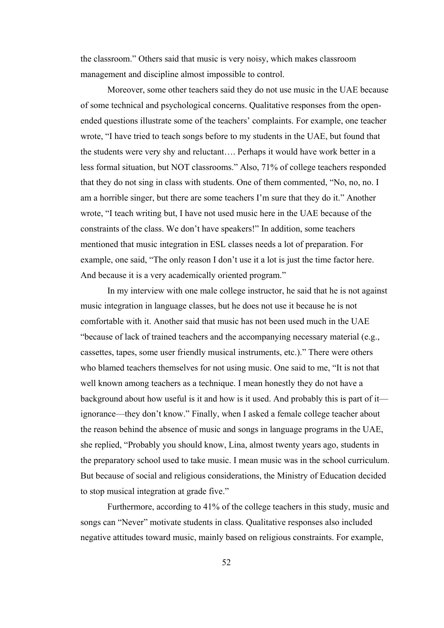the classroom." Others said that music is very noisy, which makes classroom management and discipline almost impossible to control.

Moreover, some other teachers said they do not use music in the UAE because of some technical and psychological concerns. Qualitative responses from the openended questions illustrate some of the teachers' complaints. For example, one teacher wrote, "I have tried to teach songs before to my students in the UAE, but found that the students were very shy and reluctant…. Perhaps it would have work better in a less formal situation, but NOT classrooms." Also, 71% of college teachers responded that they do not sing in class with students. One of them commented, "No, no, no. I am a horrible singer, but there are some teachers I'm sure that they do it." Another wrote, "I teach writing but, I have not used music here in the UAE because of the constraints of the class. We don't have speakers!" In addition, some teachers mentioned that music integration in ESL classes needs a lot of preparation. For example, one said, "The only reason I don't use it a lot is just the time factor here. And because it is a very academically oriented program."

In my interview with one male college instructor, he said that he is not against music integration in language classes, but he does not use it because he is not comfortable with it. Another said that music has not been used much in the UAE "because of lack of trained teachers and the accompanying necessary material (e.g., cassettes, tapes, some user friendly musical instruments, etc.)." There were others who blamed teachers themselves for not using music. One said to me, "It is not that well known among teachers as a technique. I mean honestly they do not have a background about how useful is it and how is it used. And probably this is part of it ignorance—they don't know." Finally, when I asked a female college teacher about the reason behind the absence of music and songs in language programs in the UAE, she replied, "Probably you should know, Lina, almost twenty years ago, students in the preparatory school used to take music. I mean music was in the school curriculum. But because of social and religious considerations, the Ministry of Education decided to stop musical integration at grade five."

Furthermore, according to 41% of the college teachers in this study, music and songs can "Never" motivate students in class. Qualitative responses also included negative attitudes toward music, mainly based on religious constraints. For example,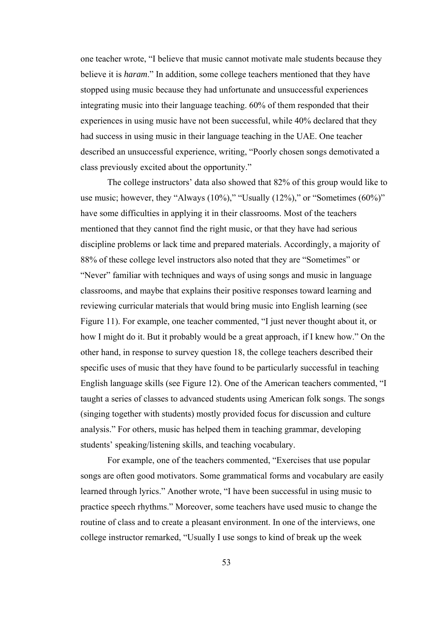one teacher wrote, "I believe that music cannot motivate male students because they believe it is *haram*." In addition, some college teachers mentioned that they have stopped using music because they had unfortunate and unsuccessful experiences integrating music into their language teaching. 60% of them responded that their experiences in using music have not been successful, while 40% declared that they had success in using music in their language teaching in the UAE. One teacher described an unsuccessful experience, writing, "Poorly chosen songs demotivated a class previously excited about the opportunity."

The college instructors' data also showed that 82% of this group would like to use music; however, they "Always  $(10\%)$ ," "Usually  $(12\%)$ ," or "Sometimes  $(60\%)$ " have some difficulties in applying it in their classrooms. Most of the teachers mentioned that they cannot find the right music, or that they have had serious discipline problems or lack time and prepared materials. Accordingly, a majority of 88% of these college level instructors also noted that they are "Sometimes" or "Never" familiar with techniques and ways of using songs and music in language classrooms, and maybe that explains their positive responses toward learning and reviewing curricular materials that would bring music into English learning (see Figure 11). For example, one teacher commented, "I just never thought about it, or how I might do it. But it probably would be a great approach, if I knew how." On the other hand, in response to survey question 18, the college teachers described their specific uses of music that they have found to be particularly successful in teaching English language skills (see Figure 12). One of the American teachers commented, "I taught a series of classes to advanced students using American folk songs. The songs (singing together with students) mostly provided focus for discussion and culture analysis." For others, music has helped them in teaching grammar, developing students' speaking/listening skills, and teaching vocabulary.

For example, one of the teachers commented, "Exercises that use popular songs are often good motivators. Some grammatical forms and vocabulary are easily learned through lyrics." Another wrote, "I have been successful in using music to practice speech rhythms." Moreover, some teachers have used music to change the routine of class and to create a pleasant environment. In one of the interviews, one college instructor remarked, "Usually I use songs to kind of break up the week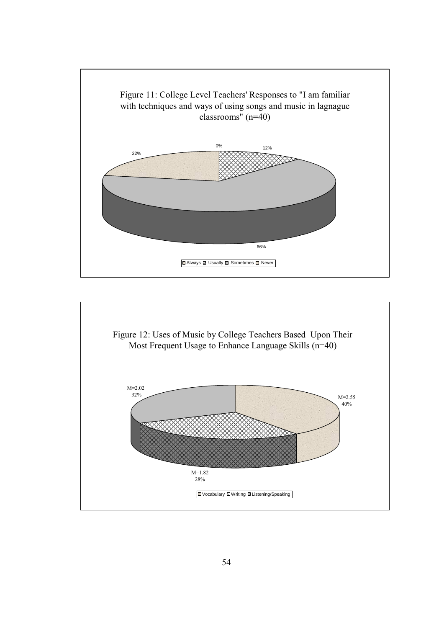

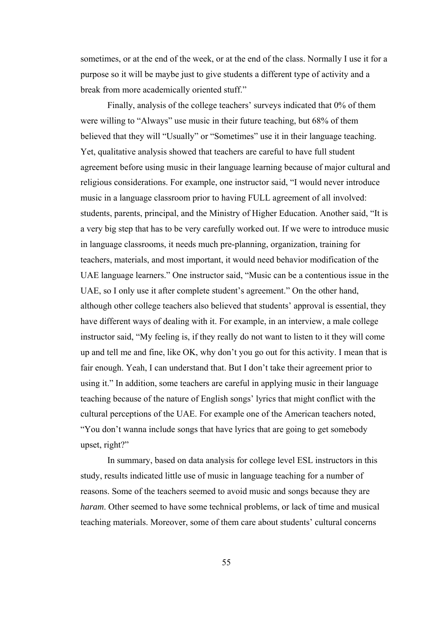sometimes, or at the end of the week, or at the end of the class. Normally I use it for a purpose so it will be maybe just to give students a different type of activity and a break from more academically oriented stuff."

Finally, analysis of the college teachers' surveys indicated that 0% of them were willing to "Always" use music in their future teaching, but 68% of them believed that they will "Usually" or "Sometimes" use it in their language teaching. Yet, qualitative analysis showed that teachers are careful to have full student agreement before using music in their language learning because of major cultural and religious considerations. For example, one instructor said, "I would never introduce music in a language classroom prior to having FULL agreement of all involved: students, parents, principal, and the Ministry of Higher Education. Another said, "It is a very big step that has to be very carefully worked out. If we were to introduce music in language classrooms, it needs much pre-planning, organization, training for teachers, materials, and most important, it would need behavior modification of the UAE language learners." One instructor said, "Music can be a contentious issue in the UAE, so I only use it after complete student's agreement." On the other hand, although other college teachers also believed that students' approval is essential, they have different ways of dealing with it. For example, in an interview, a male college instructor said, "My feeling is, if they really do not want to listen to it they will come up and tell me and fine, like OK, why don't you go out for this activity. I mean that is fair enough. Yeah, I can understand that. But I don't take their agreement prior to using it." In addition, some teachers are careful in applying music in their language teaching because of the nature of English songs' lyrics that might conflict with the cultural perceptions of the UAE. For example one of the American teachers noted, "You don't wanna include songs that have lyrics that are going to get somebody upset, right?"

In summary, based on data analysis for college level ESL instructors in this study, results indicated little use of music in language teaching for a number of reasons. Some of the teachers seemed to avoid music and songs because they are *haram*. Other seemed to have some technical problems, or lack of time and musical teaching materials. Moreover, some of them care about students' cultural concerns

55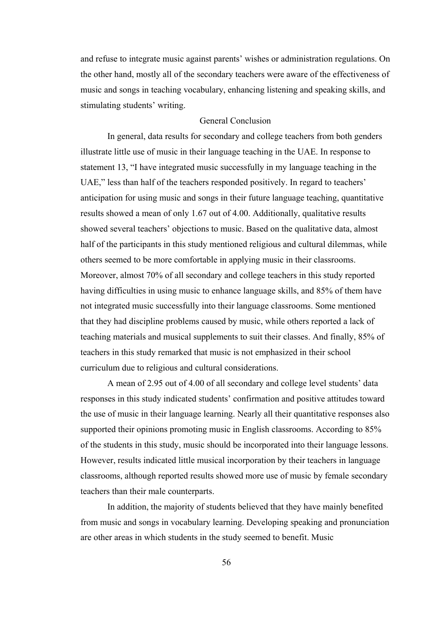and refuse to integrate music against parents' wishes or administration regulations. On the other hand, mostly all of the secondary teachers were aware of the effectiveness of music and songs in teaching vocabulary, enhancing listening and speaking skills, and stimulating students' writing.

# General Conclusion

In general, data results for secondary and college teachers from both genders illustrate little use of music in their language teaching in the UAE. In response to statement 13, "I have integrated music successfully in my language teaching in the UAE," less than half of the teachers responded positively. In regard to teachers' anticipation for using music and songs in their future language teaching, quantitative results showed a mean of only 1.67 out of 4.00. Additionally, qualitative results showed several teachers' objections to music. Based on the qualitative data, almost half of the participants in this study mentioned religious and cultural dilemmas, while others seemed to be more comfortable in applying music in their classrooms. Moreover, almost 70% of all secondary and college teachers in this study reported having difficulties in using music to enhance language skills, and 85% of them have not integrated music successfully into their language classrooms. Some mentioned that they had discipline problems caused by music, while others reported a lack of teaching materials and musical supplements to suit their classes. And finally, 85% of teachers in this study remarked that music is not emphasized in their school curriculum due to religious and cultural considerations.

 A mean of 2.95 out of 4.00 of all secondary and college level students' data responses in this study indicated students' confirmation and positive attitudes toward the use of music in their language learning. Nearly all their quantitative responses also supported their opinions promoting music in English classrooms. According to 85% of the students in this study, music should be incorporated into their language lessons. However, results indicated little musical incorporation by their teachers in language classrooms, although reported results showed more use of music by female secondary teachers than their male counterparts.

In addition, the majority of students believed that they have mainly benefited from music and songs in vocabulary learning. Developing speaking and pronunciation are other areas in which students in the study seemed to benefit. Music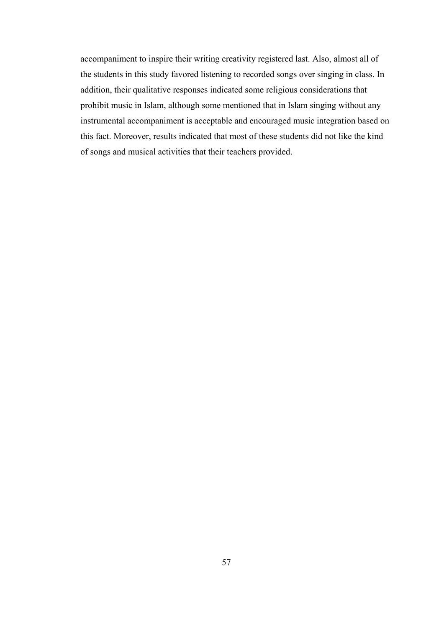accompaniment to inspire their writing creativity registered last. Also, almost all of the students in this study favored listening to recorded songs over singing in class. In addition, their qualitative responses indicated some religious considerations that prohibit music in Islam, although some mentioned that in Islam singing without any instrumental accompaniment is acceptable and encouraged music integration based on this fact. Moreover, results indicated that most of these students did not like the kind of songs and musical activities that their teachers provided.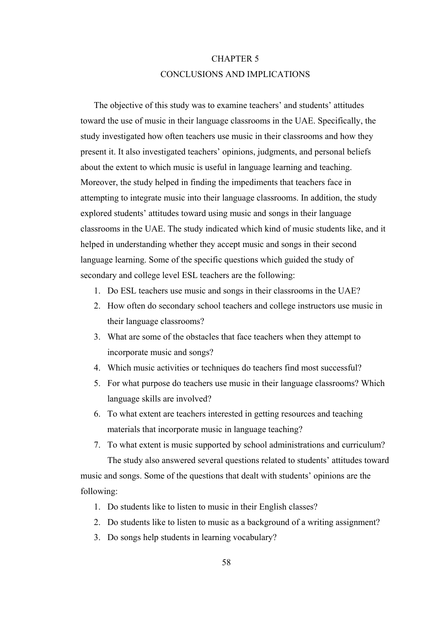# CHAPTER 5 CONCLUSIONS AND IMPLICATIONS

The objective of this study was to examine teachers' and students' attitudes toward the use of music in their language classrooms in the UAE. Specifically, the study investigated how often teachers use music in their classrooms and how they present it. It also investigated teachers' opinions, judgments, and personal beliefs about the extent to which music is useful in language learning and teaching. Moreover, the study helped in finding the impediments that teachers face in attempting to integrate music into their language classrooms. In addition, the study explored students' attitudes toward using music and songs in their language classrooms in the UAE. The study indicated which kind of music students like, and it helped in understanding whether they accept music and songs in their second language learning. Some of the specific questions which guided the study of secondary and college level ESL teachers are the following:

- 1. Do ESL teachers use music and songs in their classrooms in the UAE?
- 2. How often do secondary school teachers and college instructors use music in their language classrooms?
- 3. What are some of the obstacles that face teachers when they attempt to incorporate music and songs?
- 4. Which music activities or techniques do teachers find most successful?
- 5. For what purpose do teachers use music in their language classrooms? Which language skills are involved?
- 6. To what extent are teachers interested in getting resources and teaching materials that incorporate music in language teaching?
- 7. To what extent is music supported by school administrations and curriculum? The study also answered several questions related to students' attitudes toward music and songs. Some of the questions that dealt with students' opinions are the following:
	- 1. Do students like to listen to music in their English classes?
	- 2. Do students like to listen to music as a background of a writing assignment?
	- 3. Do songs help students in learning vocabulary?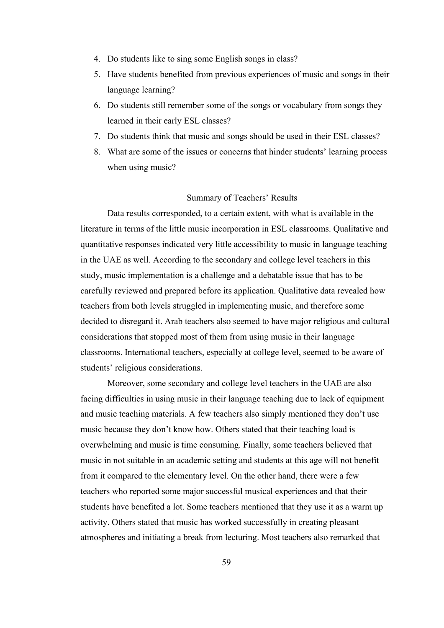- 4. Do students like to sing some English songs in class?
- 5. Have students benefited from previous experiences of music and songs in their language learning?
- 6. Do students still remember some of the songs or vocabulary from songs they learned in their early ESL classes?
- 7. Do students think that music and songs should be used in their ESL classes?
- 8. What are some of the issues or concerns that hinder students' learning process when using music?

## Summary of Teachers' Results

 Data results corresponded, to a certain extent, with what is available in the literature in terms of the little music incorporation in ESL classrooms. Qualitative and quantitative responses indicated very little accessibility to music in language teaching in the UAE as well. According to the secondary and college level teachers in this study, music implementation is a challenge and a debatable issue that has to be carefully reviewed and prepared before its application. Qualitative data revealed how teachers from both levels struggled in implementing music, and therefore some decided to disregard it. Arab teachers also seemed to have major religious and cultural considerations that stopped most of them from using music in their language classrooms. International teachers, especially at college level, seemed to be aware of students' religious considerations.

Moreover, some secondary and college level teachers in the UAE are also facing difficulties in using music in their language teaching due to lack of equipment and music teaching materials. A few teachers also simply mentioned they don't use music because they don't know how. Others stated that their teaching load is overwhelming and music is time consuming. Finally, some teachers believed that music in not suitable in an academic setting and students at this age will not benefit from it compared to the elementary level. On the other hand, there were a few teachers who reported some major successful musical experiences and that their students have benefited a lot. Some teachers mentioned that they use it as a warm up activity. Others stated that music has worked successfully in creating pleasant atmospheres and initiating a break from lecturing. Most teachers also remarked that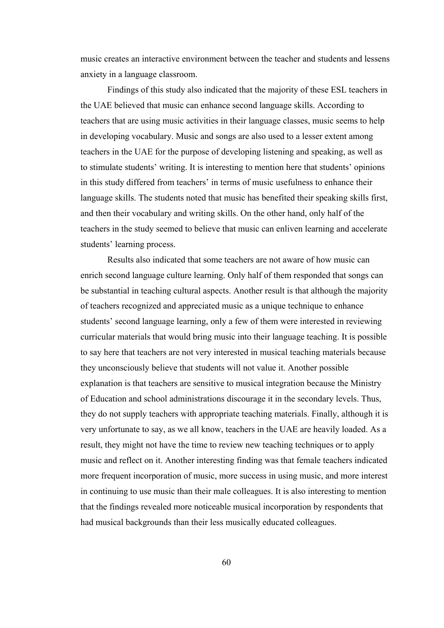music creates an interactive environment between the teacher and students and lessens anxiety in a language classroom.

Findings of this study also indicated that the majority of these ESL teachers in the UAE believed that music can enhance second language skills. According to teachers that are using music activities in their language classes, music seems to help in developing vocabulary. Music and songs are also used to a lesser extent among teachers in the UAE for the purpose of developing listening and speaking, as well as to stimulate students' writing. It is interesting to mention here that students' opinions in this study differed from teachers' in terms of music usefulness to enhance their language skills. The students noted that music has benefited their speaking skills first, and then their vocabulary and writing skills. On the other hand, only half of the teachers in the study seemed to believe that music can enliven learning and accelerate students' learning process.

 Results also indicated that some teachers are not aware of how music can enrich second language culture learning. Only half of them responded that songs can be substantial in teaching cultural aspects. Another result is that although the majority of teachers recognized and appreciated music as a unique technique to enhance students' second language learning, only a few of them were interested in reviewing curricular materials that would bring music into their language teaching. It is possible to say here that teachers are not very interested in musical teaching materials because they unconsciously believe that students will not value it. Another possible explanation is that teachers are sensitive to musical integration because the Ministry of Education and school administrations discourage it in the secondary levels. Thus, they do not supply teachers with appropriate teaching materials. Finally, although it is very unfortunate to say, as we all know, teachers in the UAE are heavily loaded. As a result, they might not have the time to review new teaching techniques or to apply music and reflect on it. Another interesting finding was that female teachers indicated more frequent incorporation of music, more success in using music, and more interest in continuing to use music than their male colleagues. It is also interesting to mention that the findings revealed more noticeable musical incorporation by respondents that had musical backgrounds than their less musically educated colleagues.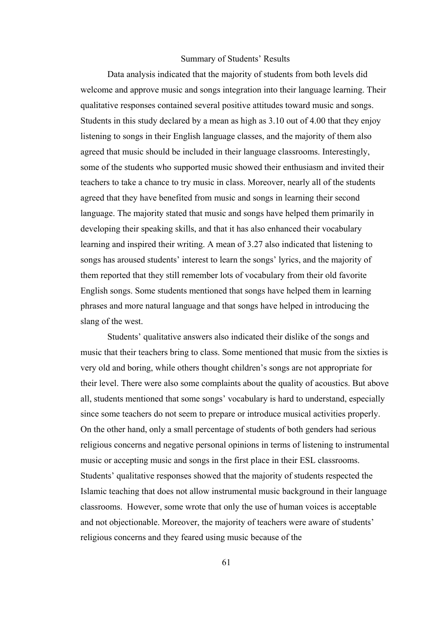## Summary of Students' Results

Data analysis indicated that the majority of students from both levels did welcome and approve music and songs integration into their language learning. Their qualitative responses contained several positive attitudes toward music and songs. Students in this study declared by a mean as high as 3.10 out of 4.00 that they enjoy listening to songs in their English language classes, and the majority of them also agreed that music should be included in their language classrooms. Interestingly, some of the students who supported music showed their enthusiasm and invited their teachers to take a chance to try music in class. Moreover, nearly all of the students agreed that they have benefited from music and songs in learning their second language. The majority stated that music and songs have helped them primarily in developing their speaking skills, and that it has also enhanced their vocabulary learning and inspired their writing. A mean of 3.27 also indicated that listening to songs has aroused students' interest to learn the songs' lyrics, and the majority of them reported that they still remember lots of vocabulary from their old favorite English songs. Some students mentioned that songs have helped them in learning phrases and more natural language and that songs have helped in introducing the slang of the west.

Students' qualitative answers also indicated their dislike of the songs and music that their teachers bring to class. Some mentioned that music from the sixties is very old and boring, while others thought children's songs are not appropriate for their level. There were also some complaints about the quality of acoustics. But above all, students mentioned that some songs' vocabulary is hard to understand, especially since some teachers do not seem to prepare or introduce musical activities properly. On the other hand, only a small percentage of students of both genders had serious religious concerns and negative personal opinions in terms of listening to instrumental music or accepting music and songs in the first place in their ESL classrooms. Students' qualitative responses showed that the majority of students respected the Islamic teaching that does not allow instrumental music background in their language classrooms. However, some wrote that only the use of human voices is acceptable and not objectionable. Moreover, the majority of teachers were aware of students' religious concerns and they feared using music because of the

61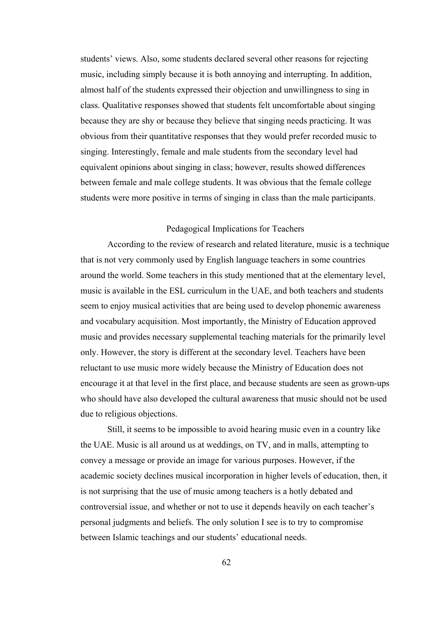students' views. Also, some students declared several other reasons for rejecting music, including simply because it is both annoying and interrupting. In addition, almost half of the students expressed their objection and unwillingness to sing in class. Qualitative responses showed that students felt uncomfortable about singing because they are shy or because they believe that singing needs practicing. It was obvious from their quantitative responses that they would prefer recorded music to singing. Interestingly, female and male students from the secondary level had equivalent opinions about singing in class; however, results showed differences between female and male college students. It was obvious that the female college students were more positive in terms of singing in class than the male participants.

# Pedagogical Implications for Teachers

 According to the review of research and related literature, music is a technique that is not very commonly used by English language teachers in some countries around the world. Some teachers in this study mentioned that at the elementary level, music is available in the ESL curriculum in the UAE, and both teachers and students seem to enjoy musical activities that are being used to develop phonemic awareness and vocabulary acquisition. Most importantly, the Ministry of Education approved music and provides necessary supplemental teaching materials for the primarily level only. However, the story is different at the secondary level. Teachers have been reluctant to use music more widely because the Ministry of Education does not encourage it at that level in the first place, and because students are seen as grown-ups who should have also developed the cultural awareness that music should not be used due to religious objections.

 Still, it seems to be impossible to avoid hearing music even in a country like the UAE. Music is all around us at weddings, on TV, and in malls, attempting to convey a message or provide an image for various purposes. However, if the academic society declines musical incorporation in higher levels of education, then, it is not surprising that the use of music among teachers is a hotly debated and controversial issue, and whether or not to use it depends heavily on each teacher's personal judgments and beliefs. The only solution I see is to try to compromise between Islamic teachings and our students' educational needs.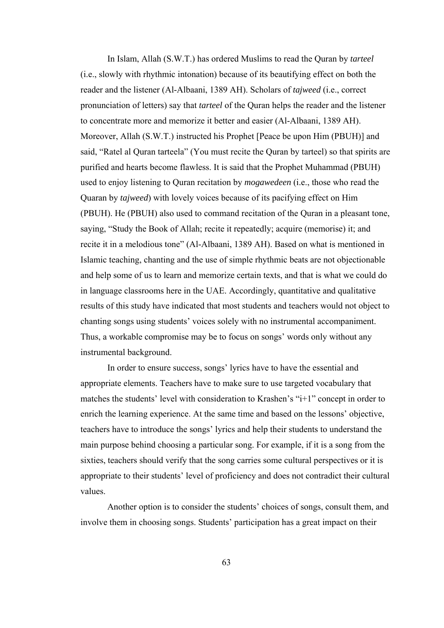In Islam, Allah (S.W.T.) has ordered Muslims to read the Quran by *tarteel*  (i.e., slowly with rhythmic intonation) because of its beautifying effect on both the reader and the listener (Al-Albaani, 1389 AH). Scholars of *tajweed* (i.e., correct pronunciation of letters) say that *tarteel* of the Quran helps the reader and the listener to concentrate more and memorize it better and easier (Al-Albaani, 1389 AH). Moreover, Allah (S.W.T.) instructed his Prophet [Peace be upon Him (PBUH)] and said, "Ratel al Quran tarteela" (You must recite the Quran by tarteel) so that spirits are purified and hearts become flawless. It is said that the Prophet Muhammad (PBUH) used to enjoy listening to Quran recitation by *mogawedeen* (i.e., those who read the Quaran by *tajweed*) with lovely voices because of its pacifying effect on Him (PBUH). He (PBUH) also used to command recitation of the Quran in a pleasant tone, saying, "Study the Book of Allah; recite it repeatedly; acquire (memorise) it; and recite it in a melodious tone" (Al-Albaani, 1389 AH). Based on what is mentioned in Islamic teaching, chanting and the use of simple rhythmic beats are not objectionable and help some of us to learn and memorize certain texts, and that is what we could do in language classrooms here in the UAE. Accordingly, quantitative and qualitative results of this study have indicated that most students and teachers would not object to chanting songs using students' voices solely with no instrumental accompaniment. Thus, a workable compromise may be to focus on songs' words only without any instrumental background.

In order to ensure success, songs' lyrics have to have the essential and appropriate elements. Teachers have to make sure to use targeted vocabulary that matches the students' level with consideration to Krashen's "i+1" concept in order to enrich the learning experience. At the same time and based on the lessons' objective, teachers have to introduce the songs' lyrics and help their students to understand the main purpose behind choosing a particular song. For example, if it is a song from the sixties, teachers should verify that the song carries some cultural perspectives or it is appropriate to their students' level of proficiency and does not contradict their cultural values.

Another option is to consider the students' choices of songs, consult them, and involve them in choosing songs. Students' participation has a great impact on their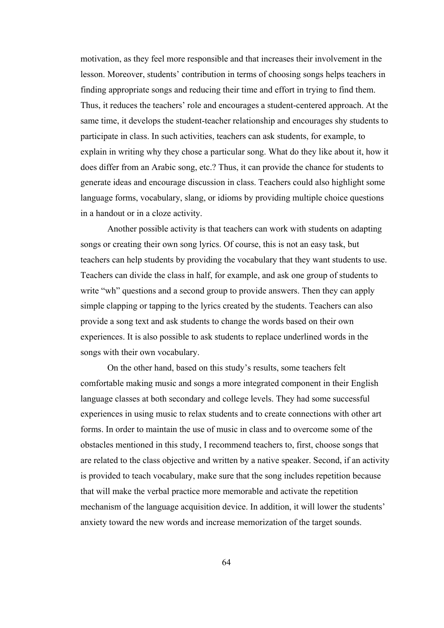motivation, as they feel more responsible and that increases their involvement in the lesson. Moreover, students' contribution in terms of choosing songs helps teachers in finding appropriate songs and reducing their time and effort in trying to find them. Thus, it reduces the teachers' role and encourages a student-centered approach. At the same time, it develops the student-teacher relationship and encourages shy students to participate in class. In such activities, teachers can ask students, for example, to explain in writing why they chose a particular song. What do they like about it, how it does differ from an Arabic song, etc.? Thus, it can provide the chance for students to generate ideas and encourage discussion in class. Teachers could also highlight some language forms, vocabulary, slang, or idioms by providing multiple choice questions in a handout or in a cloze activity.

Another possible activity is that teachers can work with students on adapting songs or creating their own song lyrics. Of course, this is not an easy task, but teachers can help students by providing the vocabulary that they want students to use. Teachers can divide the class in half, for example, and ask one group of students to write "wh" questions and a second group to provide answers. Then they can apply simple clapping or tapping to the lyrics created by the students. Teachers can also provide a song text and ask students to change the words based on their own experiences. It is also possible to ask students to replace underlined words in the songs with their own vocabulary.

On the other hand, based on this study's results, some teachers felt comfortable making music and songs a more integrated component in their English language classes at both secondary and college levels. They had some successful experiences in using music to relax students and to create connections with other art forms. In order to maintain the use of music in class and to overcome some of the obstacles mentioned in this study, I recommend teachers to, first, choose songs that are related to the class objective and written by a native speaker. Second, if an activity is provided to teach vocabulary, make sure that the song includes repetition because that will make the verbal practice more memorable and activate the repetition mechanism of the language acquisition device. In addition, it will lower the students' anxiety toward the new words and increase memorization of the target sounds.

64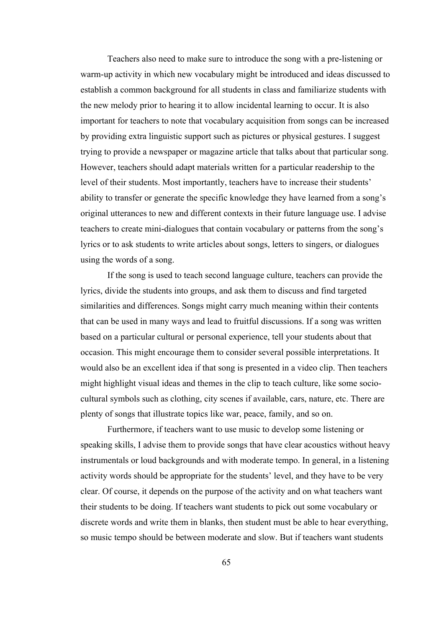Teachers also need to make sure to introduce the song with a pre-listening or warm-up activity in which new vocabulary might be introduced and ideas discussed to establish a common background for all students in class and familiarize students with the new melody prior to hearing it to allow incidental learning to occur. It is also important for teachers to note that vocabulary acquisition from songs can be increased by providing extra linguistic support such as pictures or physical gestures. I suggest trying to provide a newspaper or magazine article that talks about that particular song. However, teachers should adapt materials written for a particular readership to the level of their students. Most importantly, teachers have to increase their students' ability to transfer or generate the specific knowledge they have learned from a song's original utterances to new and different contexts in their future language use. I advise teachers to create mini-dialogues that contain vocabulary or patterns from the song's lyrics or to ask students to write articles about songs, letters to singers, or dialogues using the words of a song.

If the song is used to teach second language culture, teachers can provide the lyrics, divide the students into groups, and ask them to discuss and find targeted similarities and differences. Songs might carry much meaning within their contents that can be used in many ways and lead to fruitful discussions. If a song was written based on a particular cultural or personal experience, tell your students about that occasion. This might encourage them to consider several possible interpretations. It would also be an excellent idea if that song is presented in a video clip. Then teachers might highlight visual ideas and themes in the clip to teach culture, like some sociocultural symbols such as clothing, city scenes if available, cars, nature, etc. There are plenty of songs that illustrate topics like war, peace, family, and so on.

Furthermore, if teachers want to use music to develop some listening or speaking skills, I advise them to provide songs that have clear acoustics without heavy instrumentals or loud backgrounds and with moderate tempo. In general, in a listening activity words should be appropriate for the students' level, and they have to be very clear. Of course, it depends on the purpose of the activity and on what teachers want their students to be doing. If teachers want students to pick out some vocabulary or discrete words and write them in blanks, then student must be able to hear everything, so music tempo should be between moderate and slow. But if teachers want students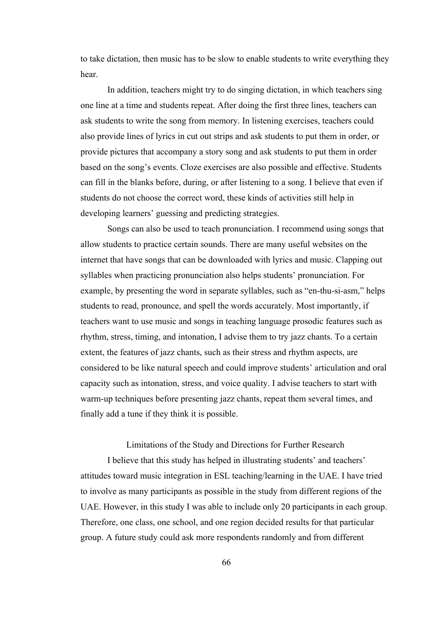to take dictation, then music has to be slow to enable students to write everything they hear.

In addition, teachers might try to do singing dictation, in which teachers sing one line at a time and students repeat. After doing the first three lines, teachers can ask students to write the song from memory. In listening exercises, teachers could also provide lines of lyrics in cut out strips and ask students to put them in order, or provide pictures that accompany a story song and ask students to put them in order based on the song's events. Cloze exercises are also possible and effective. Students can fill in the blanks before, during, or after listening to a song. I believe that even if students do not choose the correct word, these kinds of activities still help in developing learners' guessing and predicting strategies.

Songs can also be used to teach pronunciation. I recommend using songs that allow students to practice certain sounds. There are many useful websites on the internet that have songs that can be downloaded with lyrics and music. Clapping out syllables when practicing pronunciation also helps students' pronunciation. For example, by presenting the word in separate syllables, such as "en-thu-si-asm," helps students to read, pronounce, and spell the words accurately. Most importantly, if teachers want to use music and songs in teaching language prosodic features such as rhythm, stress, timing, and intonation, I advise them to try jazz chants. To a certain extent, the features of jazz chants, such as their stress and rhythm aspects, are considered to be like natural speech and could improve students' articulation and oral capacity such as intonation, stress, and voice quality. I advise teachers to start with warm-up techniques before presenting jazz chants, repeat them several times, and finally add a tune if they think it is possible.

Limitations of the Study and Directions for Further Research

I believe that this study has helped in illustrating students' and teachers' attitudes toward music integration in ESL teaching/learning in the UAE. I have tried to involve as many participants as possible in the study from different regions of the UAE. However, in this study I was able to include only 20 participants in each group. Therefore, one class, one school, and one region decided results for that particular group. A future study could ask more respondents randomly and from different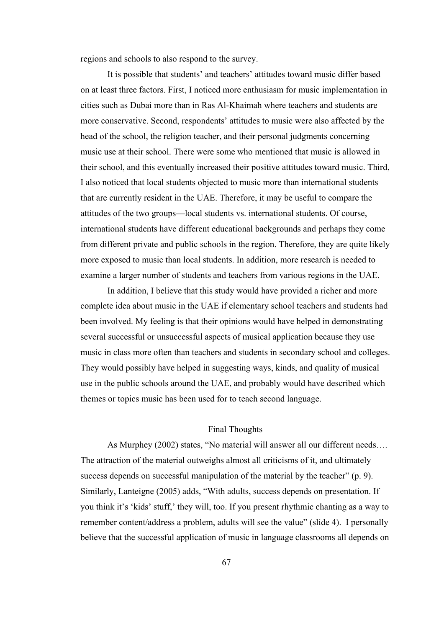regions and schools to also respond to the survey.

It is possible that students' and teachers' attitudes toward music differ based on at least three factors. First, I noticed more enthusiasm for music implementation in cities such as Dubai more than in Ras Al-Khaimah where teachers and students are more conservative. Second, respondents' attitudes to music were also affected by the head of the school, the religion teacher, and their personal judgments concerning music use at their school. There were some who mentioned that music is allowed in their school, and this eventually increased their positive attitudes toward music. Third, I also noticed that local students objected to music more than international students that are currently resident in the UAE. Therefore, it may be useful to compare the attitudes of the two groups—local students vs. international students. Of course, international students have different educational backgrounds and perhaps they come from different private and public schools in the region. Therefore, they are quite likely more exposed to music than local students. In addition, more research is needed to examine a larger number of students and teachers from various regions in the UAE.

In addition, I believe that this study would have provided a richer and more complete idea about music in the UAE if elementary school teachers and students had been involved. My feeling is that their opinions would have helped in demonstrating several successful or unsuccessful aspects of musical application because they use music in class more often than teachers and students in secondary school and colleges. They would possibly have helped in suggesting ways, kinds, and quality of musical use in the public schools around the UAE, and probably would have described which themes or topics music has been used for to teach second language.

# Final Thoughts

As Murphey (2002) states, "No material will answer all our different needs…. The attraction of the material outweighs almost all criticisms of it, and ultimately success depends on successful manipulation of the material by the teacher" (p. 9). Similarly, Lanteigne (2005) adds, "With adults, success depends on presentation. If you think it's 'kids' stuff,' they will, too. If you present rhythmic chanting as a way to remember content/address a problem, adults will see the value" (slide 4). I personally believe that the successful application of music in language classrooms all depends on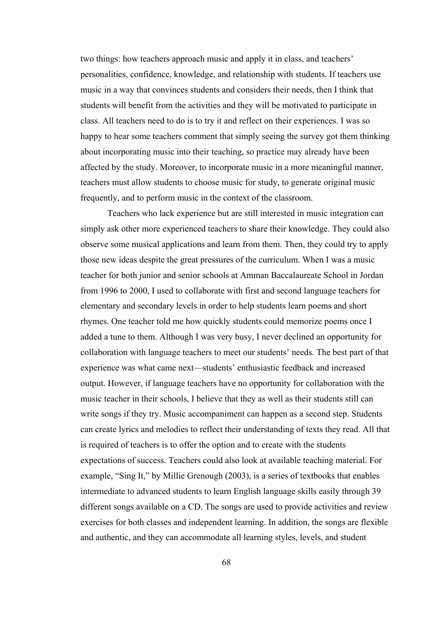two things: how teachers approach music and apply it in class, and teachers' personalities, confidence, knowledge, and relationship with students. If teachers use music in a way that convinces students and considers their needs, then I think that students will benefit from the activities and they will be motivated to participate in class. All teachers need to do is to try it and reflect on their experiences. I was so happy to hear some teachers comment that simply seeing the survey got them thinking about incorporating music into their teaching, so practice may already have been affected by the study. Moreover, to incorporate music in a more meaningful manner, teachers must allow students to choose music for study, to generate original music frequently, and to perform music in the context of the classroom.

Teachers who lack experience but are still interested in music integration can simply ask other more experienced teachers to share their knowledge. They could also observe some musical applications and learn from them. Then, they could try to apply those new ideas despite the great pressures of the curriculum. When I was a music teacher for both junior and senior schools at Amman Baccalaureate School in Jordan from 1996 to 2000, I used to collaborate with first and second language teachers for elementary and secondary levels in order to help students learn poems and short rhymes. One teacher told me how quickly students could memorize poems once I added a tune to them. Although I was very busy, I never declined an opportunity for collaboration with language teachers to meet our students' needs. The best part of that experience was what came next—students' enthusiastic feedback and increased output. However, if language teachers have no opportunity for collaboration with the music teacher in their schools, I believe that they as well as their students still can write songs if they try. Music accompaniment can happen as a second step. Students can create lyrics and melodies to reflect their understanding of texts they read. All that is required of teachers is to offer the option and to create with the students expectations of success. Teachers could also look at available teaching material. For example, "Sing It," by Millie Grenough (2003), is a series of textbooks that enables intermediate to advanced students to learn English language skills easily through 39 different songs available on a CD. The songs are used to provide activities and review exercises for both classes and independent learning. In addition, the songs are flexible and authentic, and they can accommodate all learning styles, levels, and student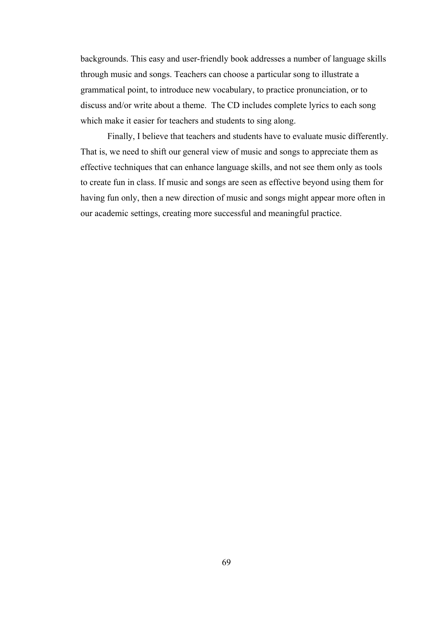backgrounds. This easy and user-friendly book addresses a number of language skills through music and songs. Teachers can choose a particular song to illustrate a grammatical point, to introduce new vocabulary, to practice pronunciation, or to discuss and/or write about a theme. The CD includes complete lyrics to each song which make it easier for teachers and students to sing along.

Finally, I believe that teachers and students have to evaluate music differently. That is, we need to shift our general view of music and songs to appreciate them as effective techniques that can enhance language skills, and not see them only as tools to create fun in class. If music and songs are seen as effective beyond using them for having fun only, then a new direction of music and songs might appear more often in our academic settings, creating more successful and meaningful practice.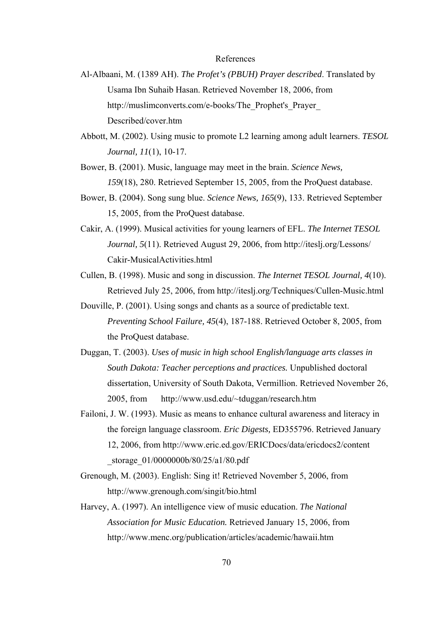## References

- Al-Albaani, M. (1389 AH). *The Profet's (PBUH) Prayer described*. Translated by Usama Ibn Suhaib Hasan. Retrieved November 18, 2006, from http://muslimconverts.com/e-books/The\_Prophet's\_Prayer\_ Described/cover.htm
- Abbott, M. (2002). Using music to promote L2 learning among adult learners. *TESOL Journal, 11*(1), 10-17.
- Bower, B. (2001). Music, language may meet in the brain. *Science News, 159*(18), 280. Retrieved September 15, 2005, from the ProQuest database.
- Bower, B. (2004). Song sung blue. *Science News, 165*(9), 133. Retrieved September 15, 2005, from the ProQuest database.
- Cakir, A. (1999). Musical activities for young learners of EFL. *The Internet TESOL Journal, 5*(11). Retrieved August 29, 2006, from http://iteslj.org/Lessons/ Cakir-MusicalActivities.html
- Cullen, B. (1998). Music and song in discussion. *The Internet TESOL Journal, 4*(10). Retrieved July 25, 2006, from http://iteslj.org/Techniques/Cullen-Music.html
- Douville, P. (2001). Using songs and chants as a source of predictable text. *Preventing School Failure, 45*(4), 187-188. Retrieved October 8, 2005, from the ProQuest database.
- Duggan, T. (2003). *Uses of music in high school English/language arts classes in South Dakota: Teacher perceptions and practices.* Unpublished doctoral dissertation, University of South Dakota, Vermillion. Retrieved November 26, 2005, from http://www.usd.edu/~tduggan/research.htm
- Failoni, J. W. (1993). Music as means to enhance cultural awareness and literacy in the foreign language classroom. *Eric Digests,* ED355796. Retrieved January 12, 2006, from http://www.eric.ed.gov/ERICDocs/data/ericdocs2/content \_storage\_01/0000000b/80/25/a1/80.pdf
- Grenough, M. (2003). English: Sing it! Retrieved November 5, 2006, from http://www.grenough.com/singit/bio.html
- Harvey, A. (1997). An intelligence view of music education. *The National Association for Music Education.* Retrieved January 15, 2006, from http://www.menc.org/publication/articles/academic/hawaii.htm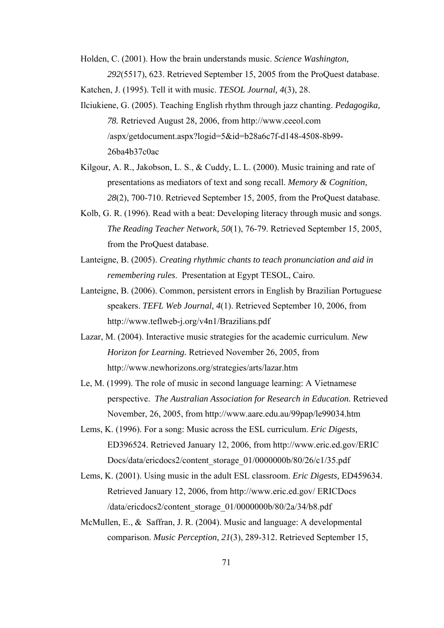Holden, C. (2001). How the brain understands music. *Science Washington, 292*(5517), 623. Retrieved September 15, 2005 from the ProQuest database.

Katchen, J. (1995). Tell it with music. *TESOL Journal, 4*(3), 28.

- Ilciukiene, G. (2005). Teaching English rhythm through jazz chanting. *Pedagogika, 78.* Retrieved August 28, 2006, from http://www.ceeol.com /aspx/getdocument.aspx?logid=5&id=b28a6c7f-d148-4508-8b99- 26ba4b37c0ac
- Kilgour, A. R., Jakobson, L. S., & Cuddy, L. L. (2000). Music training and rate of presentations as mediators of text and song recall. *Memory & Cognition, 28*(2), 700-710. Retrieved September 15, 2005, from the ProQuest database.
- Kolb, G. R. (1996). Read with a beat: Developing literacy through music and songs. *The Reading Teacher Network, 50*(1), 76-79. Retrieved September 15, 2005, from the ProQuest database.
- Lanteigne, B. (2005). *Creating rhythmic chants to teach pronunciation and aid in remembering rules*. Presentation at Egypt TESOL, Cairo.
- Lanteigne, B. (2006). Common, persistent errors in English by Brazilian Portuguese speakers. *TEFL Web Journal, 4*(1). Retrieved September 10, 2006, from http://www.teflweb-j.org/v4n1/Brazilians.pdf
- Lazar, M. (2004). Interactive music strategies for the academic curriculum. *New Horizon for Learning.* Retrieved November 26, 2005, from http://www.newhorizons.org/strategies/arts/lazar.htm
- Le, M. (1999). The role of music in second language learning: A Vietnamese perspective. *The Australian Association for Research in Education.* Retrieved November, 26, 2005, from http://www.aare.edu.au/99pap/le99034.htm
- Lems, K. (1996). For a song: Music across the ESL curriculum. *Eric Digests,*  ED396524. Retrieved January 12, 2006, from http://www.eric.ed.gov/ERIC Docs/data/ericdocs2/content\_storage\_01/0000000b/80/26/c1/35.pdf
- Lems, K. (2001). Using music in the adult ESL classroom. *Eric Digests,* ED459634. Retrieved January 12, 2006, from http://www.eric.ed.gov/ ERICDocs /data/ericdocs2/content\_storage\_01/0000000b/80/2a/34/b8.pdf
- McMullen, E., & Saffran, J. R. (2004). Music and language: A developmental comparison. *Music Perception, 21*(3), 289-312. Retrieved September 15,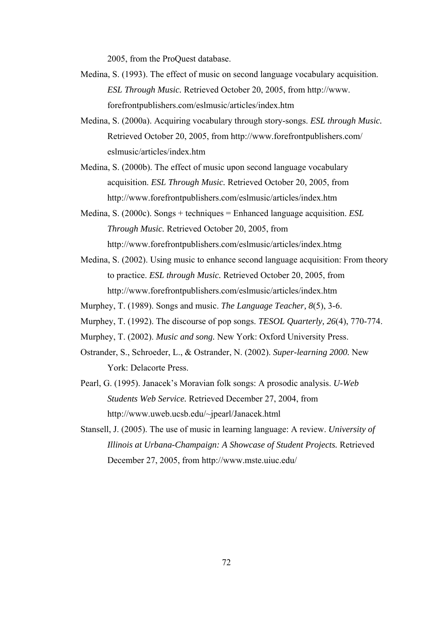2005, from the ProQuest database.

- Medina, S. (1993). The effect of music on second language vocabulary acquisition. *ESL Through Music.* Retrieved October 20, 2005, from http://www. forefrontpublishers.com/eslmusic/articles/index.htm
- Medina, S. (2000a). Acquiring vocabulary through story-songs. *ESL through Music.*  Retrieved October 20, 2005, from http://www.forefrontpublishers.com/ eslmusic/articles/index.htm
- Medina, S. (2000b). The effect of music upon second language vocabulary acquisition. *ESL Through Music.* Retrieved October 20, 2005, from http://www.forefrontpublishers.com/eslmusic/articles/index.htm
- Medina, S. (2000c). Songs + techniques = Enhanced language acquisition. *ESL Through Music.* Retrieved October 20, 2005, from http://www.forefrontpublishers.com/eslmusic/articles/index.htmg
- Medina, S. (2002). Using music to enhance second language acquisition: From theory to practice. *ESL through Music.* Retrieved October 20, 2005, from http://www.forefrontpublishers.com/eslmusic/articles/index.htm
- Murphey, T. (1989). Songs and music. *The Language Teacher, 8*(5), 3-6.
- Murphey, T. (1992). The discourse of pop songs. *TESOL Quarterly, 26*(4), 770-774.
- Murphey, T. (2002). *Music and song.* New York: Oxford University Press.
- Ostrander, S., Schroeder, L., & Ostrander, N. (2002). *Super-learning 2000.* New York: Delacorte Press.
- Pearl, G. (1995). Janacek's Moravian folk songs: A prosodic analysis. *U-Web Students Web Service.* Retrieved December 27, 2004, from http://www.uweb.ucsb.edu/~jpearl/Janacek.html
- Stansell, J. (2005). The use of music in learning language: A review. *University of Illinois at Urbana-Champaign: A Showcase of Student Projects.* Retrieved December 27, 2005, from http://www.mste.uiuc.edu/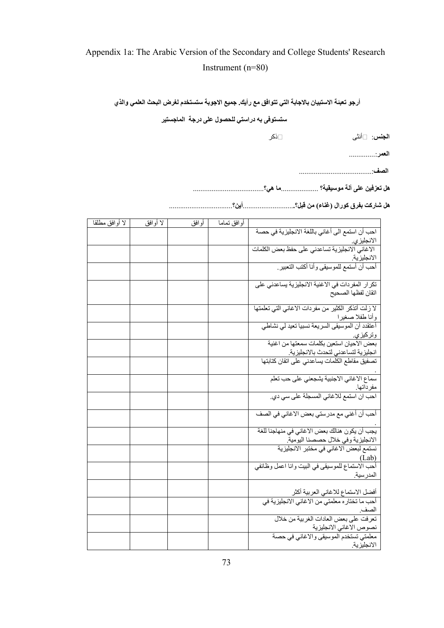# Appendix 1a: The Arabic Version of the Secondary and College Students' Research Instrument (n=80)

**أرجو تعبئة الاستبيان بالاجابة التي تتوافق مع رأيك. جميع الاجوبة ستستخدم لغرض البحث العلمي والذي**

**ستستوفى به دراستي للحصول على درجة الماجستير**

| ⊡ذكر | ا <b>لجنس</b> : □أنثى |
|------|-----------------------|
|------|-----------------------|

**العمر**..............:

**الصف** .......................................:

**هل تعزفين على ألة موسيقية؟** ....................**ما هي**؟ ......................................

**هل شارآت بفرق آورال (غناء) من قبل؟**...........................**.أين**؟ ..................................

| لا أوافق مطلقا | لا أوافق | أوافق | أوافق تمامآ |                                                                              |
|----------------|----------|-------|-------------|------------------------------------------------------------------------------|
|                |          |       |             | احب أن استمع الى أغاني باللغة الانجليزية في حصة                              |
|                |          |       |             |                                                                              |
|                |          |       |             | الانجليزي.<br>الاغاني الانجليزية تساعدني على حفظ بعض الكلمات                 |
|                |          |       |             |                                                                              |
|                |          |       |             | الانجليزية.<br>أحب أن أستمع للموسيقي وأنا أكتب التعبير.                      |
|                |          |       |             |                                                                              |
|                |          |       |             | تكرار المفردات في الاغنية الانجليزية يساعدني على                             |
|                |          |       |             | اتقان لفظها الصحيح                                                           |
|                |          |       |             |                                                                              |
|                |          |       |             | لا زلت أتذكر الكثير من مفردات الاغاني التي تعلمتها                           |
|                |          |       |             | وأنا طفلا صغيرا                                                              |
|                |          |       |             | أعتقدد أن الموسيقى السريعة نسبيا تعيد لي نشاطي                               |
|                |          |       |             | وتركيز <i>ي.</i> ______                                                      |
|                |          |       |             |                                                                              |
|                |          |       |             | انجليزية لتساعدني لتحدث بالانجليزية                                          |
|                |          |       |             | تصفيق مقاطع الكلّمات يساعدني على اتقان كتابتها                               |
|                |          |       |             |                                                                              |
|                |          |       |             | سماع الاغاني الاجنبية يشجعني على حب تعلم                                     |
|                |          |       |             | مفر داتها.<br>احب ان استمع للاغاني المسجلة على سي دي.                        |
|                |          |       |             |                                                                              |
|                |          |       |             |                                                                              |
|                |          |       |             | أحب أن أغني مع مدرستي بعض الاغاني في الصف                                    |
|                |          |       |             | يجب أن يكون هنالك بعض الاغاني في منهاجنا للغة                                |
|                |          |       |             |                                                                              |
|                |          |       |             | الانجليزية وفي خلال حصصنا اليومية.<br>نستمع لبعض الاغاني في مختبر الانجليزية |
|                |          |       |             |                                                                              |
|                |          |       |             | (Lab)<br>أحب الاستماع للموسيقي في البيت وانا اعمل وظائفي                     |
|                |          |       |             | المدرسية                                                                     |
|                |          |       |             |                                                                              |
|                |          |       |             | أفضل الاستماع للاغاني العربية أكثر                                           |
|                |          |       |             | أحب ما تختاره معلمتي من الاغاني الانجليزية في                                |
|                |          |       |             | الصف                                                                         |
|                |          |       |             |                                                                              |
|                |          |       |             | نصوص الاغاني الانجليزية                                                      |
|                |          |       |             | معلمتي تستخدم الموسيقي والاغاني في حصة                                       |
|                |          |       |             | الانجليزية                                                                   |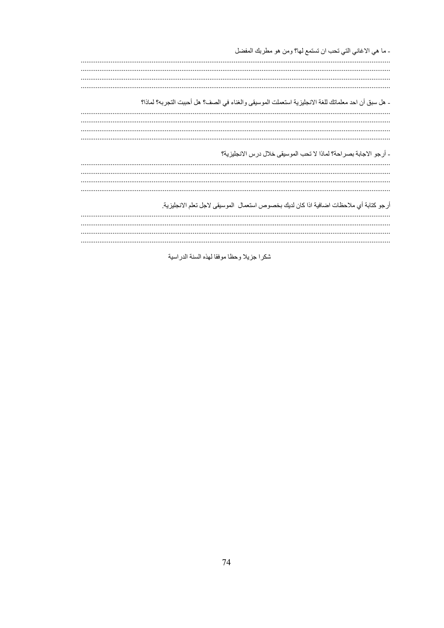- ما هي الاغاني التي تحب ان تستمع لها؟ ومن هو مطربك المفضل - هل سبق أن احد معلماتك للغة الانجليزية استعملت الموسيقى والغناء في الصف؟ هل أحببت التجربه؟ لماذا؟ - أرجو الاجابة بصراحة؟ لماذا لا تحب الموسيقى خلال درس الانجليزية؟ أرجو كتابة أي ملاحظات اضافية اذا كان لديك بخصوص استعمال الموسيقى لاجل تعلم الانجليزية 

شكرا جزيلا وحظا موفقا لهذه السنة الدراسية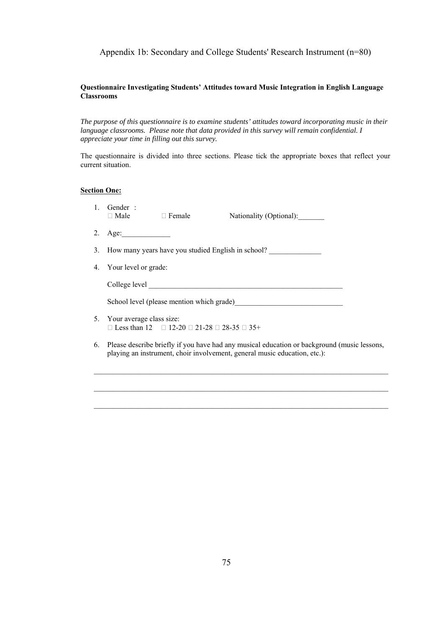## Appendix 1b: Secondary and College Students' Research Instrument (n=80)

### **Questionnaire Investigating Students' Attitudes toward Music Integration in English Language Classrooms**

*The purpose of this questionnaire is to examine students' attitudes toward incorporating music in their language classrooms. Please note that data provided in this survey will remain confidential. I appreciate your time in filling out this survey.* 

The questionnaire is divided into three sections. Please tick the appropriate boxes that reflect your current situation.

### **Section One:**

1. Gender :<br>  $\Box$  Male

□ Female Nationality (Optional):

- 2. Age:
- 3. How many years have you studied English in school?
- 4. Your level or grade:

College level

School level (please mention which grade)

- 5. Your average class size:  $\Box$  Less than 12  $\Box$  12-20  $\Box$  21-28  $\Box$  28-35  $\Box$  35+
- 6. Please describe briefly if you have had any musical education or background (music lessons, playing an instrument, choir involvement, general music education, etc.):

 $\_$  , and the set of the set of the set of the set of the set of the set of the set of the set of the set of the set of the set of the set of the set of the set of the set of the set of the set of the set of the set of th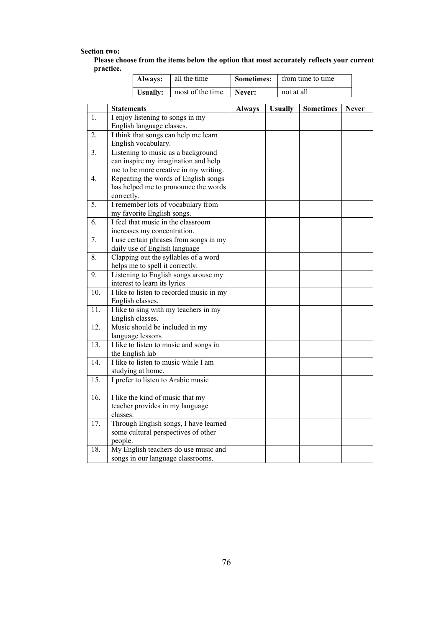# **Section two:**

| Please choose from the items below the option that most accurately reflects your current |  |
|------------------------------------------------------------------------------------------|--|
| practice.                                                                                |  |

| <b>Always:</b> all the time        |        | <b>Sometimes:</b>   from time to time |
|------------------------------------|--------|---------------------------------------|
| <b>Usually:</b>   most of the time | Never: | not at all                            |

|                | <b>Statements</b>                        | <b>Always</b> | <b>Usually</b> | <b>Sometimes</b> | <b>Never</b> |
|----------------|------------------------------------------|---------------|----------------|------------------|--------------|
| $\mathbf{1}$ . | I enjoy listening to songs in my         |               |                |                  |              |
|                | English language classes.                |               |                |                  |              |
| 2.             | I think that songs can help me learn     |               |                |                  |              |
|                | English vocabulary.                      |               |                |                  |              |
| 3 <sub>1</sub> | Listening to music as a background       |               |                |                  |              |
|                | can inspire my imagination and help      |               |                |                  |              |
|                | me to be more creative in my writing.    |               |                |                  |              |
| 4.             | Repeating the words of English songs     |               |                |                  |              |
|                | has helped me to pronounce the words     |               |                |                  |              |
|                | correctly.                               |               |                |                  |              |
| 5.             | I remember lots of vocabulary from       |               |                |                  |              |
|                | my favorite English songs.               |               |                |                  |              |
| 6.             | I feel that music in the classroom       |               |                |                  |              |
|                | increases my concentration.              |               |                |                  |              |
| 7.             | I use certain phrases from songs in my   |               |                |                  |              |
|                | daily use of English language            |               |                |                  |              |
| 8.             | Clapping out the syllables of a word     |               |                |                  |              |
|                | helps me to spell it correctly.          |               |                |                  |              |
| 9.             | Listening to English songs arouse my     |               |                |                  |              |
|                | interest to learn its lyrics             |               |                |                  |              |
| 10.            | I like to listen to recorded music in my |               |                |                  |              |
|                | English classes.                         |               |                |                  |              |
| 11.            | I like to sing with my teachers in my    |               |                |                  |              |
|                | English classes.                         |               |                |                  |              |
| 12.            | Music should be included in my           |               |                |                  |              |
|                | language lessons                         |               |                |                  |              |
| 13.            | I like to listen to music and songs in   |               |                |                  |              |
|                | the English lab                          |               |                |                  |              |
| 14.            | I like to listen to music while I am     |               |                |                  |              |
|                | studying at home.                        |               |                |                  |              |
| 15.            | I prefer to listen to Arabic music       |               |                |                  |              |
| 16.            | I like the kind of music that my         |               |                |                  |              |
|                | teacher provides in my language          |               |                |                  |              |
|                | classes.                                 |               |                |                  |              |
| 17.            | Through English songs, I have learned    |               |                |                  |              |
|                | some cultural perspectives of other      |               |                |                  |              |
|                | people.                                  |               |                |                  |              |
| 18.            | My English teachers do use music and     |               |                |                  |              |
|                | songs in our language classrooms.        |               |                |                  |              |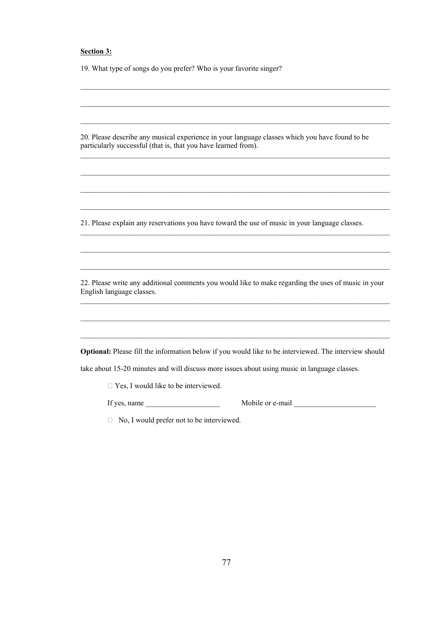## **Section 3:**

19. What type of songs do you prefer? Who is your favorite singer?

20. Please describe any musical experience in your language classes which you have found to be particularly successful (that is, that you have learned from).

 $\mathcal{L}_\text{max}$ 

 $\mathcal{L}_\mathcal{L} = \{ \mathcal{L}_\mathcal{L} = \{ \mathcal{L}_\mathcal{L} = \{ \mathcal{L}_\mathcal{L} = \{ \mathcal{L}_\mathcal{L} = \{ \mathcal{L}_\mathcal{L} = \{ \mathcal{L}_\mathcal{L} = \{ \mathcal{L}_\mathcal{L} = \{ \mathcal{L}_\mathcal{L} = \{ \mathcal{L}_\mathcal{L} = \{ \mathcal{L}_\mathcal{L} = \{ \mathcal{L}_\mathcal{L} = \{ \mathcal{L}_\mathcal{L} = \{ \mathcal{L}_\mathcal{L} = \{ \mathcal{L}_\mathcal{$ 

 $\mathcal{L}_\text{max}$ 

 $\mathcal{L}_\mathcal{L} = \{ \mathcal{L}_\mathcal{L} = \{ \mathcal{L}_\mathcal{L} = \{ \mathcal{L}_\mathcal{L} = \{ \mathcal{L}_\mathcal{L} = \{ \mathcal{L}_\mathcal{L} = \{ \mathcal{L}_\mathcal{L} = \{ \mathcal{L}_\mathcal{L} = \{ \mathcal{L}_\mathcal{L} = \{ \mathcal{L}_\mathcal{L} = \{ \mathcal{L}_\mathcal{L} = \{ \mathcal{L}_\mathcal{L} = \{ \mathcal{L}_\mathcal{L} = \{ \mathcal{L}_\mathcal{L} = \{ \mathcal{L}_\mathcal{$ 

 $\mathcal{L}_\text{max}$ 

 $\mathcal{L}_\text{max}$ 

 $\mathcal{L}_\mathcal{L} = \{ \mathcal{L}_\mathcal{L} = \{ \mathcal{L}_\mathcal{L} = \{ \mathcal{L}_\mathcal{L} = \{ \mathcal{L}_\mathcal{L} = \{ \mathcal{L}_\mathcal{L} = \{ \mathcal{L}_\mathcal{L} = \{ \mathcal{L}_\mathcal{L} = \{ \mathcal{L}_\mathcal{L} = \{ \mathcal{L}_\mathcal{L} = \{ \mathcal{L}_\mathcal{L} = \{ \mathcal{L}_\mathcal{L} = \{ \mathcal{L}_\mathcal{L} = \{ \mathcal{L}_\mathcal{L} = \{ \mathcal{L}_\mathcal{$ 

21. Please explain any reservations you have toward the use of music in your language classes.

22. Please write any additional comments you would like to make regarding the uses of music in your English language classes.  $\mathcal{L}_\mathcal{L} = \{ \mathcal{L}_\mathcal{L} = \{ \mathcal{L}_\mathcal{L} = \{ \mathcal{L}_\mathcal{L} = \{ \mathcal{L}_\mathcal{L} = \{ \mathcal{L}_\mathcal{L} = \{ \mathcal{L}_\mathcal{L} = \{ \mathcal{L}_\mathcal{L} = \{ \mathcal{L}_\mathcal{L} = \{ \mathcal{L}_\mathcal{L} = \{ \mathcal{L}_\mathcal{L} = \{ \mathcal{L}_\mathcal{L} = \{ \mathcal{L}_\mathcal{L} = \{ \mathcal{L}_\mathcal{L} = \{ \mathcal{L}_\mathcal{$ 

**Optional:** Please fill the information below if you would like to be interviewed. The interview should

 $\mathcal{L}_\text{max}$ 

take about 15-20 minutes and will discuss more issues about using music in language classes.

□ Yes, I would like to be interviewed.

If yes, name \_\_\_\_\_\_\_\_\_\_\_\_\_\_\_\_\_\_\_\_ Mobile or e-mail \_\_\_\_\_\_\_\_\_\_\_\_\_\_\_\_\_\_\_\_\_\_

 $\Box$  No, I would prefer not to be interviewed.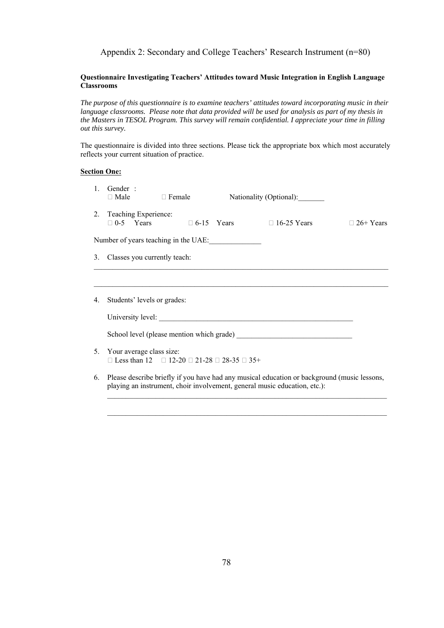## Appendix 2: Secondary and College Teachers' Research Instrument (n=80)

## **Questionnaire Investigating Teachers' Attitudes toward Music Integration in English Language Classrooms**

*The purpose of this questionnaire is to examine teachers' attitudes toward incorporating music in their language classrooms. Please note that data provided will be used for analysis as part of my thesis in the Masters in TESOL Program. This survey will remain confidential. I appreciate your time in filling out this survey.* 

The questionnaire is divided into three sections. Please tick the appropriate box which most accurately reflects your current situation of practice.

## **Section One:**

| $\mathbf{1}$ | Gender:<br>$\Box$ Male                                                                                                                                                      | $\Box$ Female |  | Nationality (Optional): |                  |  |  |
|--------------|-----------------------------------------------------------------------------------------------------------------------------------------------------------------------------|---------------|--|-------------------------|------------------|--|--|
|              | 2. Teaching Experience:<br>$\Box$ 0-5 Years $\Box$ 6-15 Years $\Box$ 16-25 Years                                                                                            |               |  |                         | $\Box$ 26+ Years |  |  |
|              | Number of years teaching in the UAE:                                                                                                                                        |               |  |                         |                  |  |  |
| 3.           | Classes you currently teach:                                                                                                                                                |               |  |                         |                  |  |  |
|              |                                                                                                                                                                             |               |  |                         |                  |  |  |
| 4.           | Students' levels or grades:                                                                                                                                                 |               |  |                         |                  |  |  |
|              |                                                                                                                                                                             |               |  |                         |                  |  |  |
|              | School level (please mention which grade)                                                                                                                                   |               |  |                         |                  |  |  |
|              | 5. Your average class size:<br>□ Less than 12 □ 12-20 □ 21-28 □ 28-35 □ 35+                                                                                                 |               |  |                         |                  |  |  |
|              | 6. Please describe briefly if you have had any musical education or background (music lessons,<br>playing an instrument, choir involvement, general music education, etc.): |               |  |                         |                  |  |  |

 $\mathcal{L}_\text{max}$  , and the set of the set of the set of the set of the set of the set of the set of the set of the set of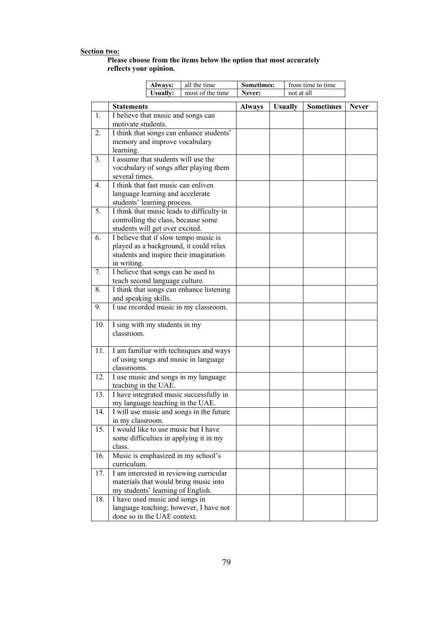#### **Section two:**

### **Please choose from the items below the option that most accurately reflects your opinion.**

|     |                                                  | Always:                                                  | all the time                              | <b>Sometimes:</b> |            |                | from time to time |              |
|-----|--------------------------------------------------|----------------------------------------------------------|-------------------------------------------|-------------------|------------|----------------|-------------------|--------------|
|     |                                                  | <b>Usually:</b>                                          | most of the time                          | Never:            | not at all |                |                   |              |
|     | <b>Statements</b>                                |                                                          |                                           | <b>Always</b>     |            | <b>Usually</b> | <b>Sometimes</b>  | <b>Never</b> |
| 1.  |                                                  |                                                          |                                           |                   |            |                |                   |              |
|     |                                                  | I believe that music and songs can<br>motivate students. |                                           |                   |            |                |                   |              |
| 2.  |                                                  |                                                          | I think that songs can enhance students'  |                   |            |                |                   |              |
|     |                                                  | memory and improve vocabulary                            |                                           |                   |            |                |                   |              |
|     | learning.                                        |                                                          |                                           |                   |            |                |                   |              |
| 3.  |                                                  | I assume that students will use the                      |                                           |                   |            |                |                   |              |
|     |                                                  |                                                          | vocabulary of songs after playing them    |                   |            |                |                   |              |
|     | several times.                                   |                                                          |                                           |                   |            |                |                   |              |
| 4.  |                                                  | I think that fast music can enliven                      |                                           |                   |            |                |                   |              |
|     |                                                  | language learning and accelerate                         |                                           |                   |            |                |                   |              |
|     |                                                  | students' learning process.                              |                                           |                   |            |                |                   |              |
| 5.  |                                                  |                                                          | I think that music leads to difficulty in |                   |            |                |                   |              |
|     |                                                  |                                                          | controlling the class, because some       |                   |            |                |                   |              |
|     |                                                  | students will get over excited.                          |                                           |                   |            |                |                   |              |
| 6.  |                                                  |                                                          | I believe that if slow tempo music is     |                   |            |                |                   |              |
|     |                                                  |                                                          | played as a background, it could relax    |                   |            |                |                   |              |
|     |                                                  |                                                          | students and inspire their imagination    |                   |            |                |                   |              |
|     | in writing.                                      |                                                          |                                           |                   |            |                |                   |              |
| 7.  |                                                  | I believe that songs can be used to                      |                                           |                   |            |                |                   |              |
|     |                                                  | teach second language culture.                           |                                           |                   |            |                |                   |              |
| 8.  |                                                  |                                                          | I think that songs can enhance listening  |                   |            |                |                   |              |
|     | and speaking skills.                             |                                                          |                                           |                   |            |                |                   |              |
| 9.  |                                                  |                                                          | I use recorded music in my classroom.     |                   |            |                |                   |              |
| 10. |                                                  | I sing with my students in my                            |                                           |                   |            |                |                   |              |
|     | classroom.                                       |                                                          |                                           |                   |            |                |                   |              |
|     |                                                  |                                                          |                                           |                   |            |                |                   |              |
| 11. |                                                  |                                                          | I am familiar with techniques and ways    |                   |            |                |                   |              |
|     |                                                  |                                                          | of using songs and music in language      |                   |            |                |                   |              |
|     | classrooms.                                      |                                                          |                                           |                   |            |                |                   |              |
| 12. |                                                  |                                                          | I use music and songs in my language      |                   |            |                |                   |              |
|     | teaching in the UAE.                             |                                                          |                                           |                   |            |                |                   |              |
| 13. |                                                  |                                                          | I have integrated music successfully in   |                   |            |                |                   |              |
|     |                                                  | my language teaching in the UAE.                         |                                           |                   |            |                |                   |              |
| 14. | in my classroom.                                 |                                                          | I will use music and songs in the future  |                   |            |                |                   |              |
| 15. |                                                  |                                                          | I would like to use music but I have      |                   |            |                |                   |              |
|     |                                                  |                                                          |                                           |                   |            |                |                   |              |
|     | some difficulties in applying it in my<br>class. |                                                          |                                           |                   |            |                |                   |              |
| 16. |                                                  |                                                          | Music is emphasized in my school's        |                   |            |                |                   |              |
|     | curriculum.                                      |                                                          |                                           |                   |            |                |                   |              |
| 17. |                                                  |                                                          | I am interested in reviewing curricular   |                   |            |                |                   |              |
|     |                                                  |                                                          | materials that would bring music into     |                   |            |                |                   |              |
|     |                                                  | my students' learning of English.                        |                                           |                   |            |                |                   |              |
| 18. |                                                  | I have used music and songs in                           |                                           |                   |            |                |                   |              |
|     |                                                  |                                                          | language teaching; however, I have not    |                   |            |                |                   |              |
|     |                                                  | done so in the UAE context.                              |                                           |                   |            |                |                   |              |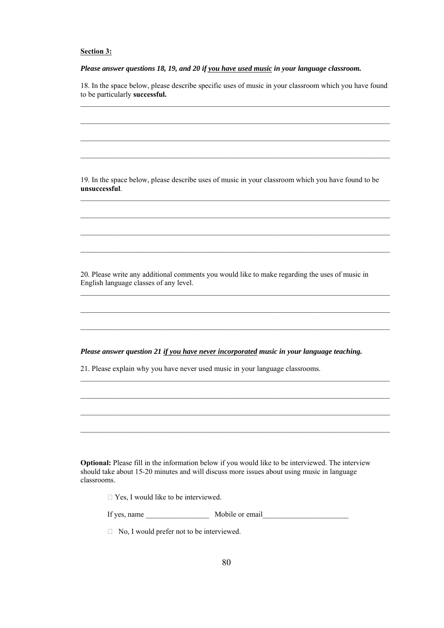### **Section 3:**

*Please answer questions 18, 19, and 20 if you have used music in your language classroom.* 

18. In the space below, please describe specific uses of music in your classroom which you have found to be particularly **successful.**   $\mathcal{L}_\text{max}$ 

 $\mathcal{L}_\mathcal{L} = \{ \mathcal{L}_\mathcal{L} = \{ \mathcal{L}_\mathcal{L} = \{ \mathcal{L}_\mathcal{L} = \{ \mathcal{L}_\mathcal{L} = \{ \mathcal{L}_\mathcal{L} = \{ \mathcal{L}_\mathcal{L} = \{ \mathcal{L}_\mathcal{L} = \{ \mathcal{L}_\mathcal{L} = \{ \mathcal{L}_\mathcal{L} = \{ \mathcal{L}_\mathcal{L} = \{ \mathcal{L}_\mathcal{L} = \{ \mathcal{L}_\mathcal{L} = \{ \mathcal{L}_\mathcal{L} = \{ \mathcal{L}_\mathcal{$ 

 $\mathcal{L}_\text{max}$ 

19. In the space below, please describe uses of music in your classroom which you have found to be **unsuccessful**.

 $\mathcal{L}_\mathcal{L} = \{ \mathcal{L}_\mathcal{L} = \{ \mathcal{L}_\mathcal{L} = \{ \mathcal{L}_\mathcal{L} = \{ \mathcal{L}_\mathcal{L} = \{ \mathcal{L}_\mathcal{L} = \{ \mathcal{L}_\mathcal{L} = \{ \mathcal{L}_\mathcal{L} = \{ \mathcal{L}_\mathcal{L} = \{ \mathcal{L}_\mathcal{L} = \{ \mathcal{L}_\mathcal{L} = \{ \mathcal{L}_\mathcal{L} = \{ \mathcal{L}_\mathcal{L} = \{ \mathcal{L}_\mathcal{L} = \{ \mathcal{L}_\mathcal{$ 

 $\mathcal{L}_\text{max}$ 

 $\mathcal{L}_\mathcal{L} = \{ \mathcal{L}_\mathcal{L} = \{ \mathcal{L}_\mathcal{L} = \{ \mathcal{L}_\mathcal{L} = \{ \mathcal{L}_\mathcal{L} = \{ \mathcal{L}_\mathcal{L} = \{ \mathcal{L}_\mathcal{L} = \{ \mathcal{L}_\mathcal{L} = \{ \mathcal{L}_\mathcal{L} = \{ \mathcal{L}_\mathcal{L} = \{ \mathcal{L}_\mathcal{L} = \{ \mathcal{L}_\mathcal{L} = \{ \mathcal{L}_\mathcal{L} = \{ \mathcal{L}_\mathcal{L} = \{ \mathcal{L}_\mathcal{$ 

 $\mathcal{L}_\mathcal{L} = \{ \mathcal{L}_\mathcal{L} = \{ \mathcal{L}_\mathcal{L} = \{ \mathcal{L}_\mathcal{L} = \{ \mathcal{L}_\mathcal{L} = \{ \mathcal{L}_\mathcal{L} = \{ \mathcal{L}_\mathcal{L} = \{ \mathcal{L}_\mathcal{L} = \{ \mathcal{L}_\mathcal{L} = \{ \mathcal{L}_\mathcal{L} = \{ \mathcal{L}_\mathcal{L} = \{ \mathcal{L}_\mathcal{L} = \{ \mathcal{L}_\mathcal{L} = \{ \mathcal{L}_\mathcal{L} = \{ \mathcal{L}_\mathcal{$ 

 $\mathcal{L}_\mathcal{L} = \{ \mathcal{L}_\mathcal{L} = \{ \mathcal{L}_\mathcal{L} = \{ \mathcal{L}_\mathcal{L} = \{ \mathcal{L}_\mathcal{L} = \{ \mathcal{L}_\mathcal{L} = \{ \mathcal{L}_\mathcal{L} = \{ \mathcal{L}_\mathcal{L} = \{ \mathcal{L}_\mathcal{L} = \{ \mathcal{L}_\mathcal{L} = \{ \mathcal{L}_\mathcal{L} = \{ \mathcal{L}_\mathcal{L} = \{ \mathcal{L}_\mathcal{L} = \{ \mathcal{L}_\mathcal{L} = \{ \mathcal{L}_\mathcal{$ 

 $\mathcal{L}_\mathcal{L} = \{ \mathcal{L}_\mathcal{L} = \{ \mathcal{L}_\mathcal{L} = \{ \mathcal{L}_\mathcal{L} = \{ \mathcal{L}_\mathcal{L} = \{ \mathcal{L}_\mathcal{L} = \{ \mathcal{L}_\mathcal{L} = \{ \mathcal{L}_\mathcal{L} = \{ \mathcal{L}_\mathcal{L} = \{ \mathcal{L}_\mathcal{L} = \{ \mathcal{L}_\mathcal{L} = \{ \mathcal{L}_\mathcal{L} = \{ \mathcal{L}_\mathcal{L} = \{ \mathcal{L}_\mathcal{L} = \{ \mathcal{L}_\mathcal{$ 

 $\mathcal{L}_\text{max}$ 

 $\mathcal{L}_\mathcal{L} = \{ \mathcal{L}_\mathcal{L} = \{ \mathcal{L}_\mathcal{L} = \{ \mathcal{L}_\mathcal{L} = \{ \mathcal{L}_\mathcal{L} = \{ \mathcal{L}_\mathcal{L} = \{ \mathcal{L}_\mathcal{L} = \{ \mathcal{L}_\mathcal{L} = \{ \mathcal{L}_\mathcal{L} = \{ \mathcal{L}_\mathcal{L} = \{ \mathcal{L}_\mathcal{L} = \{ \mathcal{L}_\mathcal{L} = \{ \mathcal{L}_\mathcal{L} = \{ \mathcal{L}_\mathcal{L} = \{ \mathcal{L}_\mathcal{$ 

20. Please write any additional comments you would like to make regarding the uses of music in English language classes of any level.

*Please answer question 21 if you have never incorporated music in your language teaching.* 

21. Please explain why you have never used music in your language classrooms.

**Optional:** Please fill in the information below if you would like to be interviewed. The interview should take about 15-20 minutes and will discuss more issues about using music in language classrooms.

 $\Box$  Yes, I would like to be interviewed.

If yes, name Mobile or email

 $\Box$  No, I would prefer not to be interviewed.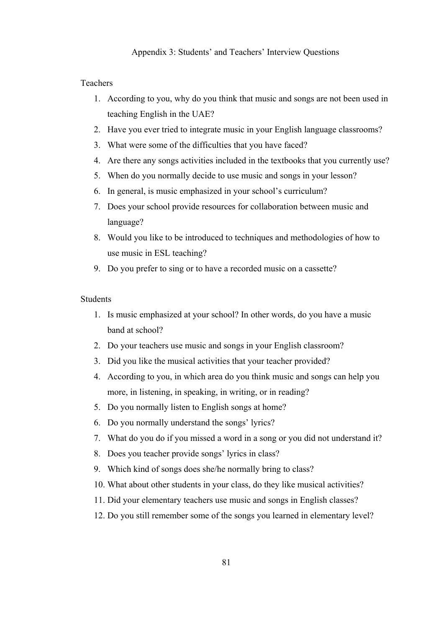# Appendix 3: Students' and Teachers' Interview Questions

# Teachers

- 1. According to you, why do you think that music and songs are not been used in teaching English in the UAE?
- 2. Have you ever tried to integrate music in your English language classrooms?
- 3. What were some of the difficulties that you have faced?
- 4. Are there any songs activities included in the textbooks that you currently use?
- 5. When do you normally decide to use music and songs in your lesson?
- 6. In general, is music emphasized in your school's curriculum?
- 7. Does your school provide resources for collaboration between music and language?
- 8. Would you like to be introduced to techniques and methodologies of how to use music in ESL teaching?
- 9. Do you prefer to sing or to have a recorded music on a cassette?

# **Students**

- 1. Is music emphasized at your school? In other words, do you have a music band at school?
- 2. Do your teachers use music and songs in your English classroom?
- 3. Did you like the musical activities that your teacher provided?
- 4. According to you, in which area do you think music and songs can help you more, in listening, in speaking, in writing, or in reading?
- 5. Do you normally listen to English songs at home?
- 6. Do you normally understand the songs' lyrics?
- 7. What do you do if you missed a word in a song or you did not understand it?
- 8. Does you teacher provide songs' lyrics in class?
- 9. Which kind of songs does she/he normally bring to class?
- 10. What about other students in your class, do they like musical activities?
- 11. Did your elementary teachers use music and songs in English classes?
- 12. Do you still remember some of the songs you learned in elementary level?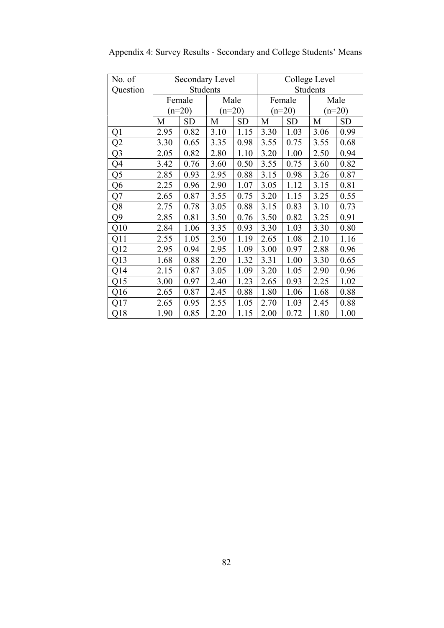| No. of         |      | Secondary Level |          |           | College Level |           |      |           |  |
|----------------|------|-----------------|----------|-----------|---------------|-----------|------|-----------|--|
| Question       |      | Students        |          |           | Students      |           |      |           |  |
|                |      | Female          | Male     |           |               | Female    |      | Male      |  |
|                |      | $(n=20)$        | $(n=20)$ |           |               | $(n=20)$  |      | $(n=20)$  |  |
|                | M    | <b>SD</b>       | M        | <b>SD</b> | M             | <b>SD</b> | M    | <b>SD</b> |  |
| Q1             | 2.95 | 0.82            | 3.10     | 1.15      | 3.30          | 1.03      | 3.06 | 0.99      |  |
| Q2             | 3.30 | 0.65            | 3.35     | 0.98      | 3.55          | 0.75      | 3.55 | 0.68      |  |
| Q <sub>3</sub> | 2.05 | 0.82            | 2.80     | 1.10      | 3.20          | 1.00      | 2.50 | 0.94      |  |
| Q4             | 3.42 | 0.76            | 3.60     | 0.50      | 3.55          | 0.75      | 3.60 | 0.82      |  |
| Q5             | 2.85 | 0.93            | 2.95     | 0.88      | 3.15          | 0.98      | 3.26 | 0.87      |  |
| Q6             | 2.25 | 0.96            | 2.90     | 1.07      | 3.05          | 1.12      | 3.15 | 0.81      |  |
| Q7             | 2.65 | 0.87            | 3.55     | 0.75      | 3.20          | 1.15      | 3.25 | 0.55      |  |
| Q8             | 2.75 | 0.78            | 3.05     | 0.88      | 3.15          | 0.83      | 3.10 | 0.73      |  |
| Q9             | 2.85 | 0.81            | 3.50     | 0.76      | 3.50          | 0.82      | 3.25 | 0.91      |  |
| Q10            | 2.84 | 1.06            | 3.35     | 0.93      | 3.30          | 1.03      | 3.30 | 0.80      |  |
| Q11            | 2.55 | 1.05            | 2.50     | 1.19      | 2.65          | 1.08      | 2.10 | 1.16      |  |
| Q12            | 2.95 | 0.94            | 2.95     | 1.09      | 3.00          | 0.97      | 2.88 | 0.96      |  |
| Q13            | 1.68 | 0.88            | 2.20     | 1.32      | 3.31          | 1.00      | 3.30 | 0.65      |  |
| Q14            | 2.15 | 0.87            | 3.05     | 1.09      | 3.20          | 1.05      | 2.90 | 0.96      |  |
| Q15            | 3.00 | 0.97            | 2.40     | 1.23      | 2.65          | 0.93      | 2.25 | 1.02      |  |
| Q16            | 2.65 | 0.87            | 2.45     | 0.88      | 1.80          | 1.06      | 1.68 | 0.88      |  |
| Q17            | 2.65 | 0.95            | 2.55     | 1.05      | 2.70          | 1.03      | 2.45 | 0.88      |  |
| Q18            | 1.90 | 0.85            | 2.20     | 1.15      | 2.00          | 0.72      | 1.80 | 1.00      |  |

Appendix 4: Survey Results - Secondary and College Students' Means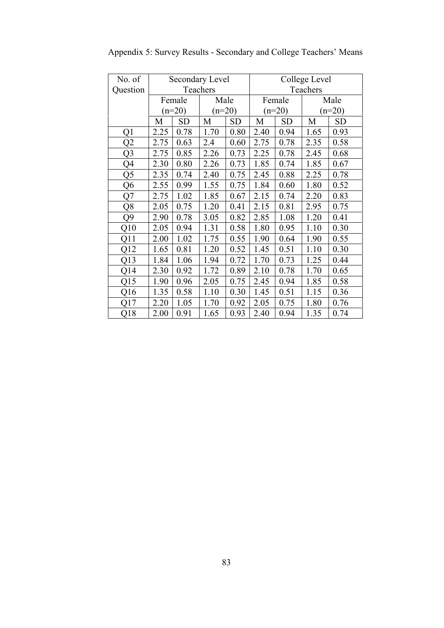| No. of   | Secondary Level |           |          |           | College Level |           |      |           |
|----------|-----------------|-----------|----------|-----------|---------------|-----------|------|-----------|
| Question |                 |           | Teachers |           |               | Teachers  |      |           |
|          |                 | Female    | Male     |           |               | Female    |      | Male      |
|          |                 | $(n=20)$  | $(n=20)$ |           |               | $(n=20)$  |      | $(n=20)$  |
|          | M               | <b>SD</b> | M        | <b>SD</b> | M             | <b>SD</b> | M    | <b>SD</b> |
| Q1       | 2.25            | 0.78      | 1.70     | 0.80      | 2.40          | 0.94      | 1.65 | 0.93      |
| Q2       | 2.75            | 0.63      | 2.4      | 0.60      | 2.75          | 0.78      | 2.35 | 0.58      |
| Q3       | 2.75            | 0.85      | 2.26     | 0.73      | 2.25          | 0.78      | 2.45 | 0.68      |
| Q4       | 2.30            | 0.80      | 2.26     | 0.73      | 1.85          | 0.74      | 1.85 | 0.67      |
| Q5       | 2.35            | 0.74      | 2.40     | 0.75      | 2.45          | 0.88      | 2.25 | 0.78      |
| Q6       | 2.55            | 0.99      | 1.55     | 0.75      | 1.84          | 0.60      | 1.80 | 0.52      |
| Q7       | 2.75            | 1.02      | 1.85     | 0.67      | 2.15          | 0.74      | 2.20 | 0.83      |
| Q8       | 2.05            | 0.75      | 1.20     | 0.41      | 2.15          | 0.81      | 2.95 | 0.75      |
| Q9       | 2.90            | 0.78      | 3.05     | 0.82      | 2.85          | 1.08      | 1.20 | 0.41      |
| Q10      | 2.05            | 0.94      | 1.31     | 0.58      | 1.80          | 0.95      | 1.10 | 0.30      |
| Q11      | 2.00            | 1.02      | 1.75     | 0.55      | 1.90          | 0.64      | 1.90 | 0.55      |
| Q12      | 1.65            | 0.81      | 1.20     | 0.52      | 1.45          | 0.51      | 1.10 | 0.30      |
| Q13      | 1.84            | 1.06      | 1.94     | 0.72      | 1.70          | 0.73      | 1.25 | 0.44      |
| Q14      | 2.30            | 0.92      | 1.72     | 0.89      | 2.10          | 0.78      | 1.70 | 0.65      |
| Q15      | 1.90            | 0.96      | 2.05     | 0.75      | 2.45          | 0.94      | 1.85 | 0.58      |
| Q16      | 1.35            | 0.58      | 1.10     | 0.30      | 1.45          | 0.51      | 1.15 | 0.36      |
| Q17      | 2.20            | 1.05      | 1.70     | 0.92      | 2.05          | 0.75      | 1.80 | 0.76      |
| Q18      | 2.00            | 0.91      | 1.65     | 0.93      | 2.40          | 0.94      | 1.35 | 0.74      |

Appendix 5: Survey Results - Secondary and College Teachers' Means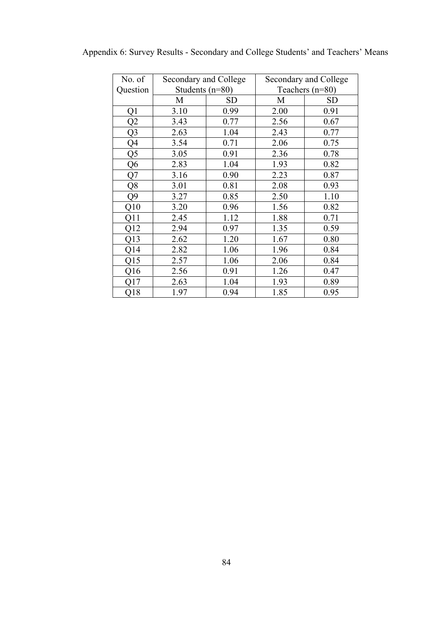| No. of         | Secondary and College |           | Secondary and College |           |  |
|----------------|-----------------------|-----------|-----------------------|-----------|--|
| Question       | Students $(n=80)$     |           | Teachers $(n=80)$     |           |  |
|                | M                     | <b>SD</b> | M                     | <b>SD</b> |  |
| Q1             | 3.10                  | 0.99      | 2.00                  | 0.91      |  |
| Q2             | 3.43                  | 0.77      | 2.56                  | 0.67      |  |
| Q <sub>3</sub> | 2.63                  | 1.04      | 2.43                  | 0.77      |  |
| Q4             | 3.54                  | 0.71      | 2.06                  | 0.75      |  |
| Q5             | 3.05                  | 0.91      | 2.36                  | 0.78      |  |
| Q6             | 2.83                  | 1.04      | 1.93                  | 0.82      |  |
| Q7             | 3.16                  | 0.90      | 2.23                  | 0.87      |  |
| Q8             | 3.01                  | 0.81      | 2.08                  | 0.93      |  |
| Q9             | 3.27                  | 0.85      | 2.50                  | 1.10      |  |
| Q10            | 3.20                  | 0.96      | 1.56                  | 0.82      |  |
| Q11            | 2.45                  | 1.12      | 1.88                  | 0.71      |  |
| Q12            | 2.94                  | 0.97      | 1.35                  | 0.59      |  |
| Q13            | 2.62                  | 1.20      | 1.67                  | 0.80      |  |
| Q14            | 2.82                  | 1.06      | 1.96                  | 0.84      |  |
| Q15            | 2.57                  | 1.06      | 2.06                  | 0.84      |  |
| Q16            | 2.56                  | 0.91      | 1.26                  | 0.47      |  |
| Q17            | 2.63                  | 1.04      | 1.93                  | 0.89      |  |
| Q18            | 1.97                  | 0.94      | 1.85                  | 0.95      |  |

Appendix 6: Survey Results - Secondary and College Students' and Teachers' Means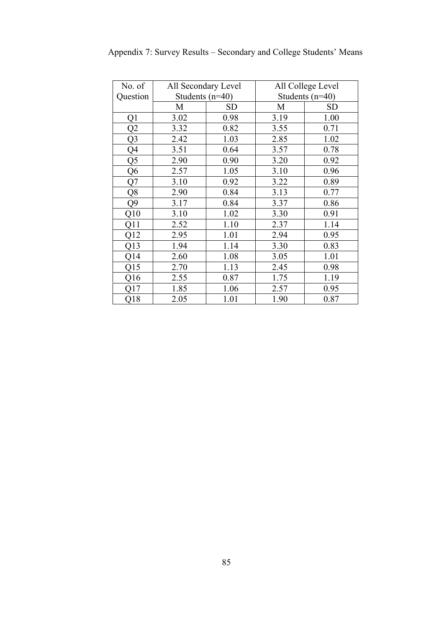| No. of         | All Secondary Level |           | All College Level |           |  |
|----------------|---------------------|-----------|-------------------|-----------|--|
| Question       | Students $(n=40)$   |           | Students $(n=40)$ |           |  |
|                | M                   | <b>SD</b> | M                 | <b>SD</b> |  |
| Q1             | 3.02                | 0.98      | 3.19              | 1.00      |  |
| Q2             | 3.32                | 0.82      | 3.55              | 0.71      |  |
| Q <sub>3</sub> | 2.42                | 1.03      | 2.85              | 1.02      |  |
| Q4             | 3.51                | 0.64      | 3.57              | 0.78      |  |
| Q5             | 2.90                | 0.90      | 3.20              | 0.92      |  |
| Q <sub>6</sub> | 2.57                | 1.05      | 3.10              | 0.96      |  |
| Q7             | 3.10                | 0.92      | 3.22              | 0.89      |  |
| Q8             | 2.90                | 0.84      | 3.13              | 0.77      |  |
| Q9             | 3.17                | 0.84      | 3.37              | 0.86      |  |
| Q10            | 3.10                | 1.02      | 3.30              | 0.91      |  |
| Q11            | 2.52                | 1.10      | 2.37              | 1.14      |  |
| Q12            | 2.95                | 1.01      | 2.94              | 0.95      |  |
| Q13            | 1.94                | 1.14      | 3.30              | 0.83      |  |
| Q14            | 2.60                | 1.08      | 3.05              | 1.01      |  |
| Q15            | 2.70                | 1.13      | 2.45              | 0.98      |  |
| Q16            | 2.55                | 0.87      | 1.75              | 1.19      |  |
| Q17            | 1.85                | 1.06      | 2.57              | 0.95      |  |
| Q18            | 2.05                | 1.01      | 1.90              | 0.87      |  |

Appendix 7: Survey Results – Secondary and College Students' Means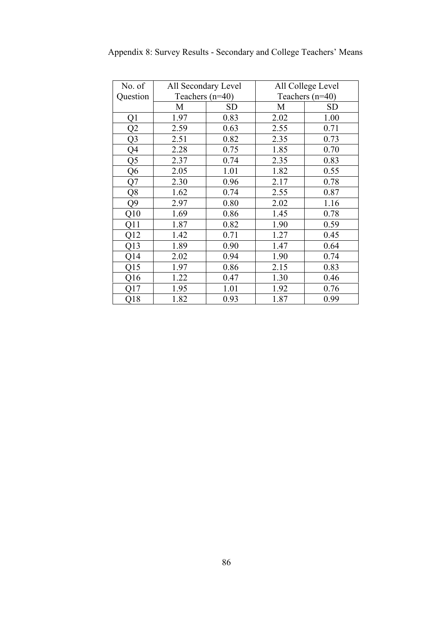| No. of         | All Secondary Level |      |                   | All College Level |  |  |  |  |
|----------------|---------------------|------|-------------------|-------------------|--|--|--|--|
| Question       | Teachers $(n=40)$   |      | Teachers $(n=40)$ |                   |  |  |  |  |
|                | M                   | SD   | M                 | SD                |  |  |  |  |
| Q1             | 1.97                | 0.83 | 2.02              | 1.00              |  |  |  |  |
| Q2             | 2.59                | 0.63 | 2.55              | 0.71              |  |  |  |  |
| Q <sub>3</sub> | 2.51                | 0.82 | 2.35              | 0.73              |  |  |  |  |
| Q4             | 2.28                | 0.75 | 1.85              | 0.70              |  |  |  |  |
| Q5             | 2.37                | 0.74 | 2.35              | 0.83              |  |  |  |  |
| Q <sub>6</sub> | 2.05                | 1.01 | 1.82              | 0.55              |  |  |  |  |
| Q7             | 2.30                | 0.96 | 2.17              | 0.78              |  |  |  |  |
| Q8             | 1.62                | 0.74 | 2.55              | 0.87              |  |  |  |  |
| Q9             | 2.97                | 0.80 | 2.02              | 1.16              |  |  |  |  |
| Q10            | 1.69                | 0.86 | 1.45              | 0.78              |  |  |  |  |
| Q11            | 1.87                | 0.82 | 1.90              | 0.59              |  |  |  |  |
| Q12            | 1.42                | 0.71 | 1.27              | 0.45              |  |  |  |  |
| Q13            | 1.89                | 0.90 | 1.47              | 0.64              |  |  |  |  |
| Q14            | 2.02                | 0.94 | 1.90              | 0.74              |  |  |  |  |
| Q15            | 1.97                | 0.86 | 2.15              | 0.83              |  |  |  |  |
| Q16            | 1.22                | 0.47 | 1.30              | 0.46              |  |  |  |  |
| Q17            | 1.95                | 1.01 | 1.92              | 0.76              |  |  |  |  |
| Q18            | 1.82                | 0.93 | 1.87              | 0.99              |  |  |  |  |

Appendix 8: Survey Results - Secondary and College Teachers' Means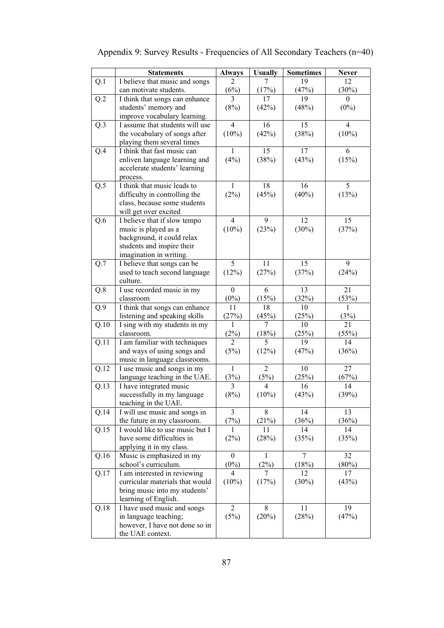|                   | <b>Statements</b>                                             | <b>Always</b>    | <b>Usually</b> | <b>Sometimes</b> | <b>Never</b>   |
|-------------------|---------------------------------------------------------------|------------------|----------------|------------------|----------------|
| Q.1               | I believe that music and songs                                | 2                | 7              | 19               | 12             |
|                   | can motivate students.                                        | (6%)             | (17%)          | (47%)            | (30%)          |
| Q.2               | I think that songs can enhance                                | 3                | 17             | 19               | 0              |
|                   | students' memory and                                          | (8%)             | (42%)          | (48%)            | $(0\%)$        |
|                   | improve vocabulary learning.                                  |                  |                |                  |                |
| Q.3               | I assume that students will use                               | $\overline{4}$   | 16             | 15               | $\overline{4}$ |
|                   | the vocabulary of songs after                                 | (10%)            | (42%)          | (38%)            | (10%)          |
|                   | playing them several times                                    |                  |                |                  |                |
| Q.4               | I think that fast music can                                   | 1                | 15             | 17               | 6              |
|                   | enliven language learning and                                 | (4%)             | (38%)          | (43%)            | (15%)          |
|                   | accelerate students' learning                                 |                  |                |                  |                |
|                   | process.<br>I think that music leads to                       | 1                | 18             | 16               | 5              |
| Q.5               |                                                               | (2%)             |                |                  |                |
|                   | difficulty in controlling the<br>class, because some students |                  | (45%)          | (40%)            | (13%)          |
|                   | will get over excited                                         |                  |                |                  |                |
| Q.6               | I believe that if slow tempo                                  | $\overline{4}$   | 9              | 12               | 15             |
|                   | music is played as a                                          | $(10\%)$         | (23%)          | (30%)            | (37%)          |
|                   | background, it could relax                                    |                  |                |                  |                |
|                   | students and inspire their                                    |                  |                |                  |                |
|                   | imagination in writing.                                       |                  |                |                  |                |
| Q.7               | I believe that songs can be                                   | 5                | 11             | 15               | 9              |
|                   | used to teach second language                                 | (12%)            | (27%)          | (37%)            | (24%)          |
|                   | culture.                                                      |                  |                |                  |                |
| Q.8               | I use recorded music in my                                    | $\boldsymbol{0}$ | 6              | 13               | 21             |
|                   | classroom                                                     | $(0\%)$          | (15%)          | (32%)            | (53%)          |
| Q.9               | I think that songs can enhance                                | 11               | 18             | 10               | 1              |
|                   | listening and speaking skills                                 | (27%)            | (45%)          | (25%)            | (3%)           |
| Q.10              | I sing with my students in my                                 | 1                | 7              | 10               | 21             |
|                   | classroom.                                                    | (2%)             | (18%)          | (25%)            | (55%)          |
| Q.11              | I am familiar with techniques                                 | $\overline{2}$   | 5              | 19               | 14             |
|                   | and ways of using songs and                                   | (5%)             | (12%)          | (47%)            | (36%)          |
| $Q.\overline{12}$ | music in language classrooms.                                 | 1                | 2              | 10               | 27             |
|                   | I use music and songs in my<br>language teaching in the UAE.  | (3%)             | $(5\%)$        | (25%)            | (67%)          |
| Q.13              | I have integrated music                                       | 3                | 4              | 16               | 14             |
|                   | successfully in my language                                   | (8%)             | (10%)          | (43%)            | (39%)          |
|                   | teaching in the UAE.                                          |                  |                |                  |                |
| Q.14              | I will use music and songs in                                 | 3                | 8              | 14               | 13             |
|                   | the future in my classroom.                                   | (7%)             | (21%)          | (36%)            | (36%)          |
| Q.15              | I would like to use music but I                               | 1                | 11             | 14               | 14             |
|                   | have some difficulties in                                     | (2%)             | (28%)          | (35%)            | (35%)          |
|                   | applying it in my class.                                      |                  |                |                  |                |
| Q.16              | Music is emphasized in my                                     | $\overline{0}$   | 1              | 7                | 32             |
|                   | school's curriculum.                                          | $(0\%)$          | (2%)           | (18%)            | (80%)          |
| Q.17              | I am interested in reviewing                                  | 4                | 7              | 12               | 17             |
|                   | curricular materials that would                               | $(10\%)$         | (17%)          | (30%)            | (43%)          |
|                   | bring music into my students'                                 |                  |                |                  |                |
|                   | learning of English.                                          |                  |                |                  |                |
| Q.18              | I have used music and songs                                   | $\overline{2}$   | 8              | 11               | 19             |
|                   | in language teaching;                                         | (5%)             | (20%)          | (28%)            | (47%)          |
|                   | however, I have not done so in                                |                  |                |                  |                |
|                   | the UAE context.                                              |                  |                |                  |                |

# Appendix 9: Survey Results - Frequencies of All Secondary Teachers (n=40)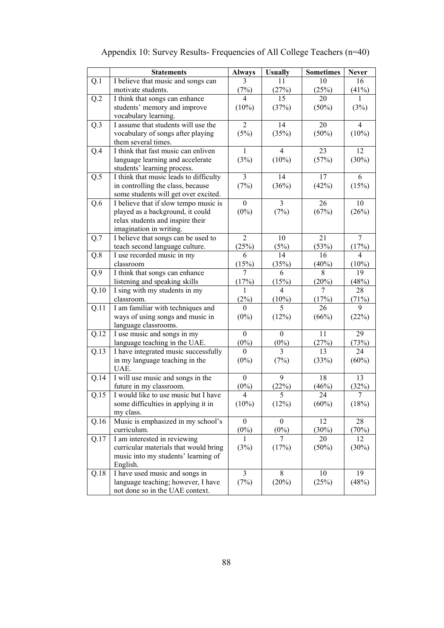|      | <b>Statements</b>                                                     | <b>Always</b>               | <b>Usually</b>              | <b>Sometimes</b> | <b>Never</b>   |
|------|-----------------------------------------------------------------------|-----------------------------|-----------------------------|------------------|----------------|
| Q.1  | I believe that music and songs can                                    |                             | 11                          | 10               | 16             |
|      | motivate students.                                                    | (7%)                        | (27%)                       | (25%)            | (41%)          |
| Q.2  | I think that songs can enhance                                        | 4                           | 15                          | 20               | 1              |
|      | students' memory and improve                                          | (10%)                       | (37%)                       | $(50\%)$         | (3%)           |
|      | vocabulary learning.                                                  |                             |                             |                  |                |
| Q.3  | I assume that students will use the                                   | $\overline{2}$              | 14                          | 20               | $\overline{4}$ |
|      | vocabulary of songs after playing                                     | (5%)                        | (35%)                       | (50%)            | $(10\%)$       |
|      | them several times.                                                   |                             |                             |                  |                |
| Q.4  | I think that fast music can enliven                                   | 1                           | $\overline{4}$              | 23               | 12             |
|      | language learning and accelerate                                      | (3%)                        | $(10\%)$                    | (57%)            | (30%)          |
|      | students' learning process.                                           |                             |                             |                  |                |
| Q.5  | I think that music leads to difficulty                                | 3                           | 14                          | 17               | 6              |
|      | in controlling the class, because                                     | (7%)                        | (36%)                       | (42%)            | (15%)          |
|      | some students will get over excited.                                  |                             |                             |                  |                |
| Q.6  | I believe that if slow tempo music is                                 | $\theta$                    | 3                           | 26               | 10             |
|      | played as a background, it could                                      | $(0\%)$                     | (7%)                        | (67%)            | (26%)          |
|      | relax students and inspire their                                      |                             |                             |                  |                |
|      | imagination in writing.                                               |                             |                             |                  |                |
| Q.7  | I believe that songs can be used to                                   | $\overline{2}$              | 10                          | 21               | $\overline{7}$ |
|      | teach second language culture.                                        | (25%)                       | (5%)                        | (53%)            | (17%)          |
| Q.8  | I use recorded music in my                                            | 6                           | 14                          | 16               | $\overline{4}$ |
|      | classroom                                                             | (15%)                       | (35%)                       | (40%)            | (10%)          |
| Q.9  | I think that songs can enhance                                        | 7                           | 6                           | 8                | 19             |
|      | listening and speaking skills                                         | (17%)                       | (15%)                       | (20%)            | (48%)          |
| Q.10 | I sing with my students in my                                         | 1                           | $\overline{4}$              | 7                | 28             |
|      | classroom.                                                            | (2%)                        | $(10\%)$                    | (17%)            | (71%)          |
| Q.11 | I am familiar with techniques and                                     | $\theta$                    | 5                           | 26               | 9              |
|      | ways of using songs and music in                                      | $(0\%)$                     | (12%)                       | (66%)            | (22%)          |
|      | language classrooms.                                                  |                             |                             | 11               | 29             |
| Q.12 | I use music and songs in my                                           | $\boldsymbol{0}$<br>$(0\%)$ | $\boldsymbol{0}$<br>$(0\%)$ | (27%)            |                |
|      | language teaching in the UAE.<br>I have integrated music successfully | $\mathbf{0}$                | 3                           | 13               | (73%)<br>24    |
| Q.13 | in my language teaching in the                                        | $(0\%)$                     | (7%)                        | (33%)            | (60%)          |
|      | UAE.                                                                  |                             |                             |                  |                |
| Q.14 | I will use music and songs in the                                     | $\theta$                    | 9                           | 18               | 13             |
|      | future in my classroom.                                               | $(0\%)$                     | (22%)                       | (46%)            | (32%)          |
| Q.15 | I would like to use music but I have                                  | $\overline{4}$              | 5                           | 24               | 7              |
|      | some difficulties in applying it in                                   | $(10\%)$                    | (12%)                       | (60%)            | (18%)          |
|      | my class.                                                             |                             |                             |                  |                |
| Q.16 | Music is emphasized in my school's                                    | $\mathbf{0}$                | $\theta$                    | 12               | 28             |
|      | curriculum.                                                           | $(0\%)$                     | $(0\%)$                     | $(30\%)$         | (70%)          |
| Q.17 | I am interested in reviewing                                          | 1                           | 7                           | 20               | 12             |
|      | curricular materials that would bring                                 | (3%)                        | (17%)                       | $(50\%)$         | (30%)          |
|      | music into my students' learning of                                   |                             |                             |                  |                |
|      | English.                                                              |                             |                             |                  |                |
| Q.18 | I have used music and songs in                                        | 3                           | 8                           | 10               | 19             |
|      | language teaching; however, I have                                    | (7%)                        | (20%)                       | (25%)            | (48%)          |
|      | not done so in the UAE context.                                       |                             |                             |                  |                |

# Appendix 10: Survey Results- Frequencies of All College Teachers (n=40)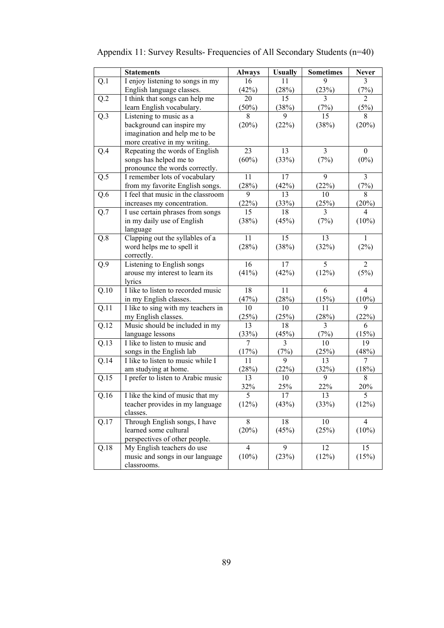|      | <b>Statements</b>                  | <b>Always</b>  | <b>Usually</b> | <b>Sometimes</b> | <b>Never</b>   |
|------|------------------------------------|----------------|----------------|------------------|----------------|
| Q.1  | I enjoy listening to songs in my   | 16             | 11             | 9                | 3              |
|      | English language classes.          | (42%)          | (28%)          | (23%)            | (7%)           |
| Q.2  | I think that songs can help me     | 20             | 15             | 3                | $\overline{2}$ |
|      | learn English vocabulary.          | (50%)          | (38%)          | (7%)             | (5%)           |
| Q.3  | Listening to music as a            | 8              | 9              | 15               | 8              |
|      | background can inspire my          | (20%)          | (22%)          | (38%)            | (20%)          |
|      | imagination and help me to be      |                |                |                  |                |
|      | more creative in my writing.       |                |                |                  |                |
| Q.4  | Repeating the words of English     | 23             | 13             | 3                | $\mathbf{0}$   |
|      | songs has helped me to             | (60%)          | (33%)          | (7%)             | $(0\%)$        |
|      | pronounce the words correctly.     |                |                |                  |                |
| Q.5  | I remember lots of vocabulary      | 11             | 17             | 9                | $\mathfrak{Z}$ |
|      | from my favorite English songs.    | (28%)          | (42%)          | (22%)            | (7%)           |
| Q.6  | I feel that music in the classroom | 9              | 13             | 10               | 8              |
|      | increases my concentration.        | (22%)          | (33%)          | (25%)            | (20%)          |
| Q.7  | I use certain phrases from songs   | 15             | 18             | 3                | 4              |
|      | in my daily use of English         | (38%)          | (45%)          | (7%)             | $(10\%)$       |
|      | language                           |                |                |                  |                |
| Q.8  | Clapping out the syllables of a    | 11             | 15             | 13               | 1              |
|      | word helps me to spell it          | (28%)          | (38%)          | (32%)            | (2%)           |
|      | correctly.                         |                |                |                  |                |
| Q.9  | Listening to English songs         | 16             | 17             | 5                | $\overline{2}$ |
|      | arouse my interest to learn its    | (41%)          | (42%)          | (12%)            | (5%)           |
|      | lyrics                             |                |                |                  |                |
| Q.10 | I like to listen to recorded music | 18             | 11             | 6                | $\overline{4}$ |
|      | in my English classes.             | (47%)          | (28%)          | (15%)            | (10%)          |
| Q.11 | I like to sing with my teachers in | 10             | 10             | 11               | 9              |
|      | my English classes.                | (25%)          | (25%)          | (28%)            | (22%)          |
| Q.12 | Music should be included in my     | 13             | 18             | 3                | 6              |
|      | language lessons                   | (33%)          | (45%)          | (7%)             | (15%)          |
| Q.13 | I like to listen to music and      | $\overline{7}$ | 3              | 10               | 19             |
|      | songs in the English lab           | (17%)          | (7%)           | (25%)            | (48%)          |
| Q.14 | I like to listen to music while I  | 11             | 9              | 13               | $\overline{7}$ |
|      | am studying at home.               | (28%)          | (22%)          | (32%)            | (18%)          |
| Q.15 | I prefer to listen to Arabic music | 13             | 10             | 9                | 8              |
|      |                                    | 32%            | 25%            | 22%              | 20%            |
| Q.16 | I like the kind of music that my   | 5              | 17             | 13               | 5              |
|      | teacher provides in my language    | (12%)          | (43%)          | (33%)            | (12%)          |
|      | classes.                           |                |                |                  |                |
| Q.17 | Through English songs, I have      | 8              | 18             | 10               | $\overline{4}$ |
|      | learned some cultural              | (20%)          | (45%)          | (25%)            | $(10\%)$       |
|      | perspectives of other people.      |                |                |                  |                |
| Q.18 | My English teachers do use         | $\overline{4}$ | 9              | 12               | 15             |
|      | music and songs in our language    | (10%)          | (23%)          | (12%)            | (15%)          |
|      | classrooms.                        |                |                |                  |                |

|  | Appendix 11: Survey Results-Frequencies of All Secondary Students (n=40) |  |  |
|--|--------------------------------------------------------------------------|--|--|
|  |                                                                          |  |  |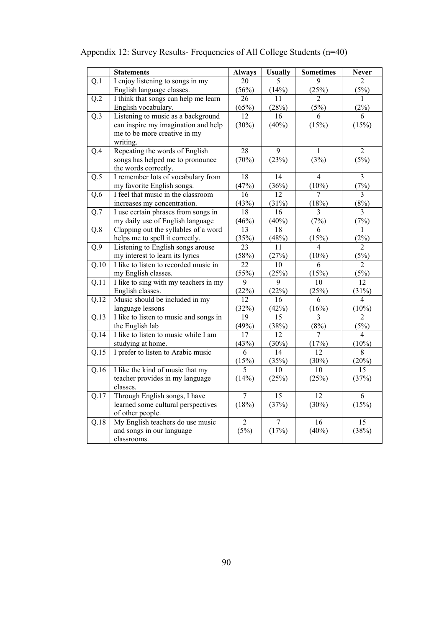|                   | <b>Statements</b>                      | <b>Always</b>   | <b>Usually</b> | <b>Sometimes</b> | <b>Never</b>    |
|-------------------|----------------------------------------|-----------------|----------------|------------------|-----------------|
| $\overline{Q.1}$  | I enjoy listening to songs in my       | 20              | 5              | $\mathbf Q$      | $\overline{2}$  |
|                   | English language classes.              | (56%)           | (14%)          | (25%)            | (5%)            |
| Q.2               | I think that songs can help me learn   | 26              | 11             | $\overline{2}$   | 1               |
|                   | English vocabulary.                    | $(65\%)$        | (28%)          | (5%)             | (2%)            |
| Q.3               | Listening to music as a background     | $\overline{12}$ | 16             | 6                | 6               |
|                   | can inspire my imagination and help    | (30%)           | (40%)          | (15%)            | (15%)           |
|                   | me to be more creative in my           |                 |                |                  |                 |
|                   | writing.                               |                 |                |                  |                 |
| Q.4               | Repeating the words of English         | $\overline{28}$ | 9              | $\mathbf{1}$     | $\overline{2}$  |
|                   | songs has helped me to pronounce       | (70%)           | (23%)          | (3%)             | (5%)            |
|                   | the words correctly.                   |                 |                |                  |                 |
| Q.5               | I remember lots of vocabulary from     | 18              | 14             | $\overline{4}$   | $\overline{3}$  |
|                   | my favorite English songs.             | (47%)           | (36%)          | $(10\%)$         | (7%)            |
| Q.6               | I feel that music in the classroom     | 16              | 12             | 7                | 3               |
|                   | increases my concentration.            | (43%)           | (31%)          | (18%)            | (8%)            |
| Q.7               | I use certain phrases from songs in    | 18              | 16             | 3                | 3               |
|                   | my daily use of English language       | (46%)           | (40%)          | (7%)             | (7%)            |
| Q.8               | Clapping out the syllables of a word   | 13              | 18             | 6                | 1               |
|                   | helps me to spell it correctly.        | (35%)           | (48%)          | (15%)            | (2%)            |
| Q.9               | Listening to English songs arouse      | $\overline{23}$ | 11             | $\overline{4}$   | $\overline{2}$  |
|                   | my interest to learn its lyrics        | (58%)           | (27%)          | $(10\%)$         | (5%)            |
| Q.10              | I like to listen to recorded music in  | 22              | 10             | 6                | 2               |
|                   | my English classes.                    | (55%)           | (25%)          | (15%)            | (5%)            |
| Q.11              | I like to sing with my teachers in my  | $\overline{9}$  | 9              | 10               | $\overline{12}$ |
|                   | English classes.                       | (22%)           | (22%)          | (25%)            | (31%)           |
| Q.12              | Music should be included in my         | 12              | 16             | 6                | 4               |
|                   | language lessons                       | (32%)           | (42%)          | (16%)            | (10%)           |
| Q.13              | I like to listen to music and songs in | $\overline{19}$ | 15             | $\overline{3}$   | $\overline{c}$  |
|                   | the English lab                        | (49%)           | (38%)          | (8%)             | (5%)            |
| Q.14              | I like to listen to music while I am   | 17              | 12             | 7                | 4               |
|                   | studying at home.                      | (43%)           | (30%)          | (17%)            | (10%)           |
| $\overline{Q.15}$ | I prefer to listen to Arabic music     | 6               | 14             | $\overline{12}$  | $\overline{8}$  |
|                   |                                        | (15%)           | (35%)          | (30%)            | (20%)           |
| Q.16              | I like the kind of music that my       | 5               | 10             | 10               | 15              |
|                   | teacher provides in my language        | (14%)           | (25%)          | (25%)            | (37%)           |
|                   | classes.                               |                 |                |                  |                 |
| Q.17              | Through English songs, I have          | $\overline{7}$  | 15             | $\overline{12}$  | 6               |
|                   | learned some cultural perspectives     | (18%)           | (37%)          | (30%)            | (15%)           |
|                   | of other people.                       |                 |                |                  |                 |
| Q.18              | My English teachers do use music       | $\overline{c}$  | 7              | 16               | 15              |
|                   | and songs in our language              | (5%)            | (17%)          | (40%)            | (38%)           |
|                   | classrooms.                            |                 |                |                  |                 |

# Appendix 12: Survey Results- Frequencies of All College Students (n=40)